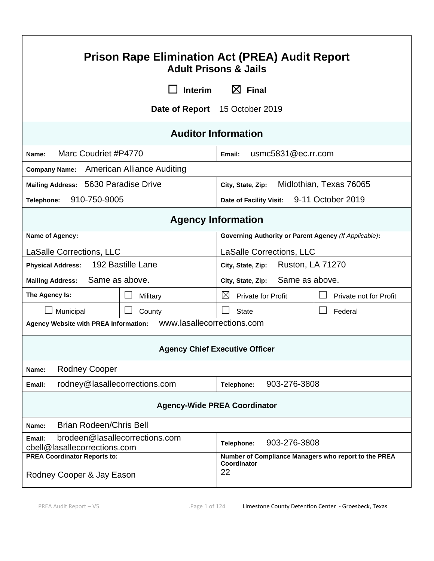| <b>Prison Rape Elimination Act (PREA) Audit Report</b><br><b>Adult Prisons &amp; Jails</b>       |                |                                                                           |                         |  |
|--------------------------------------------------------------------------------------------------|----------------|---------------------------------------------------------------------------|-------------------------|--|
|                                                                                                  | <b>Interim</b> | $\boxtimes$ Final                                                         |                         |  |
|                                                                                                  |                | Date of Report 15 October 2019                                            |                         |  |
|                                                                                                  |                | <b>Auditor Information</b>                                                |                         |  |
| Marc Coudriet #P4770<br>Name:                                                                    |                | Email:                                                                    | usmc5831@ec.rr.com      |  |
| Company Name: American Alliance Auditing                                                         |                |                                                                           |                         |  |
| Mailing Address: 5630 Paradise Drive                                                             |                | City, State, Zip:                                                         | Midlothian, Texas 76065 |  |
| 910-750-9005<br>Telephone:                                                                       |                | Date of Facility Visit:                                                   | 9-11 October 2019       |  |
| <b>Agency Information</b>                                                                        |                |                                                                           |                         |  |
| Name of Agency:                                                                                  |                | <b>Governing Authority or Parent Agency (If Applicable):</b>              |                         |  |
| <b>LaSalle Corrections, LLC</b>                                                                  |                | LaSalle Corrections, LLC                                                  |                         |  |
| 192 Bastille Lane<br><b>Physical Address:</b>                                                    |                | <b>Ruston, LA 71270</b><br>City, State, Zip:                              |                         |  |
| Same as above.<br><b>Mailing Address:</b>                                                        |                | Same as above.<br>City, State, Zip:                                       |                         |  |
| The Agency Is:                                                                                   | Military       | $\boxtimes$<br><b>Private for Profit</b>                                  | Private not for Profit  |  |
| Municipal                                                                                        | County         | <b>State</b>                                                              | Federal                 |  |
| www.lasallecorrections.com<br>Agency Website with PREA Information:                              |                |                                                                           |                         |  |
| <b>Agency Chief Executive Officer</b>                                                            |                |                                                                           |                         |  |
| <b>Rodney Cooper</b><br>Name:                                                                    |                |                                                                           |                         |  |
| rodney@lasallecorrections.com<br>Email:                                                          |                | Telephone:                                                                | 903-276-3808            |  |
| <b>Agency-Wide PREA Coordinator</b>                                                              |                |                                                                           |                         |  |
| <b>Brian Rodeen/Chris Bell</b><br>Name:                                                          |                |                                                                           |                         |  |
| brodeen@lasallecorrections.com<br>Email:<br>903-276-3808<br>Telephone:                           |                |                                                                           |                         |  |
| cbell@lasallecorrections.com<br><b>PREA Coordinator Reports to:</b><br>Rodney Cooper & Jay Eason |                | Number of Compliance Managers who report to the PREA<br>Coordinator<br>22 |                         |  |

 $\mathsf{r}$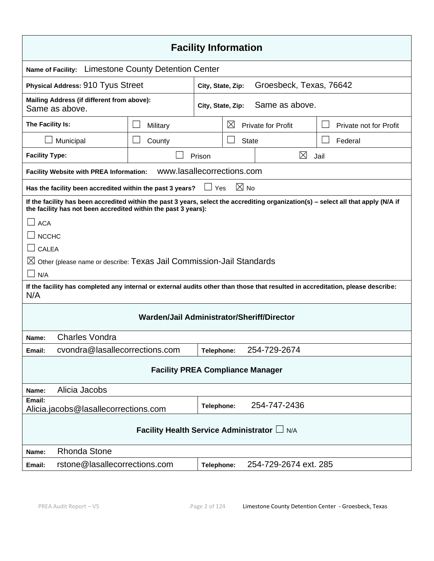| <b>Facility Information</b>                                                                                                                                                                           |                            |                   |             |                |                           |                        |
|-------------------------------------------------------------------------------------------------------------------------------------------------------------------------------------------------------|----------------------------|-------------------|-------------|----------------|---------------------------|------------------------|
| <b>Limestone County Detention Center</b><br><b>Name of Facility:</b>                                                                                                                                  |                            |                   |             |                |                           |                        |
| Physical Address: 910 Tyus Street                                                                                                                                                                     |                            | City, State, Zip: |             |                | Groesbeck, Texas, 76642   |                        |
| Mailing Address (if different from above):<br>Same as above.                                                                                                                                          |                            | City, State, Zip: |             |                | Same as above.            |                        |
| The Facility Is:                                                                                                                                                                                      | Military                   |                   | $\boxtimes$ |                | <b>Private for Profit</b> | Private not for Profit |
| Municipal                                                                                                                                                                                             | County                     |                   |             | <b>State</b>   |                           | Federal                |
| <b>Facility Type:</b>                                                                                                                                                                                 |                            | Prison            |             |                | $\boxtimes$               | Jail                   |
| <b>Facility Website with PREA Information:</b>                                                                                                                                                        | www.lasallecorrections.com |                   |             |                |                           |                        |
| Has the facility been accredited within the past 3 years?                                                                                                                                             |                            | $\Box$ Yes        |             | $\boxtimes$ No |                           |                        |
| If the facility has been accredited within the past 3 years, select the accrediting organization(s) - select all that apply (N/A if<br>the facility has not been accredited within the past 3 years): |                            |                   |             |                |                           |                        |
| <b>ACA</b>                                                                                                                                                                                            |                            |                   |             |                |                           |                        |
| <b>NCCHC</b>                                                                                                                                                                                          |                            |                   |             |                |                           |                        |
| $\Box$ CALEA                                                                                                                                                                                          |                            |                   |             |                |                           |                        |
| $\boxtimes$ Other (please name or describe: Texas Jail Commission-Jail Standards                                                                                                                      |                            |                   |             |                |                           |                        |
| N/A                                                                                                                                                                                                   |                            |                   |             |                |                           |                        |
| If the facility has completed any internal or external audits other than those that resulted in accreditation, please describe:<br>N/A                                                                |                            |                   |             |                |                           |                        |
| Warden/Jail Administrator/Sheriff/Director                                                                                                                                                            |                            |                   |             |                |                           |                        |
| <b>Charles Vondra</b><br>Name:                                                                                                                                                                        |                            |                   |             |                |                           |                        |
| cvondra@lasallecorrections.com<br>254-729-2674<br>Email:<br>Telephone:                                                                                                                                |                            |                   |             |                |                           |                        |
| <b>Facility PREA Compliance Manager</b>                                                                                                                                                               |                            |                   |             |                |                           |                        |
| Alicia Jacobs<br>Name:                                                                                                                                                                                |                            |                   |             |                |                           |                        |
| Email:<br>254-747-2436<br>Telephone:<br>Alicia.jacobs@lasallecorrections.com                                                                                                                          |                            |                   |             |                |                           |                        |
| Facility Health Service Administrator L N/A                                                                                                                                                           |                            |                   |             |                |                           |                        |
| <b>Rhonda Stone</b><br>Name:                                                                                                                                                                          |                            |                   |             |                |                           |                        |
| rstone@lasallecorrections.com<br>254-729-2674 ext. 285<br>Email:<br>Telephone:                                                                                                                        |                            |                   |             |                |                           |                        |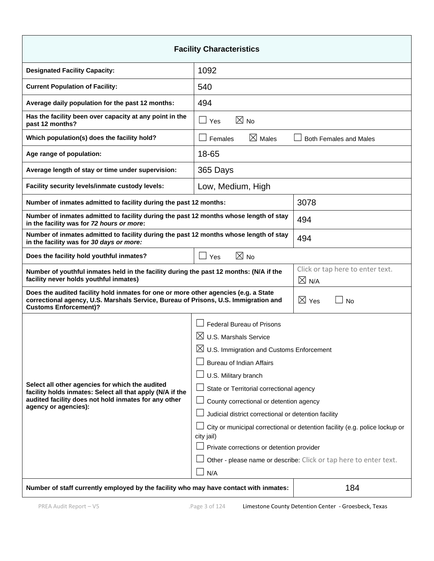| <b>Facility Characteristics</b>                                                                                                                                                                            |                                                                                           |                                  |  |  |
|------------------------------------------------------------------------------------------------------------------------------------------------------------------------------------------------------------|-------------------------------------------------------------------------------------------|----------------------------------|--|--|
| <b>Designated Facility Capacity:</b>                                                                                                                                                                       | 1092                                                                                      |                                  |  |  |
| <b>Current Population of Facility:</b>                                                                                                                                                                     | 540                                                                                       |                                  |  |  |
| Average daily population for the past 12 months:                                                                                                                                                           | 494                                                                                       |                                  |  |  |
| Has the facility been over capacity at any point in the<br>past 12 months?                                                                                                                                 | $\boxtimes$ No<br>$\Box$ Yes                                                              |                                  |  |  |
| Which population(s) does the facility hold?                                                                                                                                                                | $\boxtimes$ Males<br>Females                                                              | <b>Both Females and Males</b>    |  |  |
| Age range of population:                                                                                                                                                                                   | 18-65                                                                                     |                                  |  |  |
| Average length of stay or time under supervision:                                                                                                                                                          | 365 Days                                                                                  |                                  |  |  |
| Facility security levels/inmate custody levels:                                                                                                                                                            | Low, Medium, High                                                                         |                                  |  |  |
| Number of inmates admitted to facility during the past 12 months:                                                                                                                                          |                                                                                           | 3078                             |  |  |
| Number of inmates admitted to facility during the past 12 months whose length of stay<br>in the facility was for 72 hours or more:                                                                         |                                                                                           | 494                              |  |  |
| Number of inmates admitted to facility during the past 12 months whose length of stay<br>in the facility was for 30 days or more:                                                                          |                                                                                           | 494                              |  |  |
| Does the facility hold youthful inmates?                                                                                                                                                                   | $\boxtimes$ No<br>$\Box$ Yes                                                              |                                  |  |  |
| Number of youthful inmates held in the facility during the past 12 months: (N/A if the<br>facility never holds youthful inmates)<br>$\times$ N/A                                                           |                                                                                           | Click or tap here to enter text. |  |  |
| Does the audited facility hold inmates for one or more other agencies (e.g. a State<br>correctional agency, U.S. Marshals Service, Bureau of Prisons, U.S. Immigration and<br><b>Customs Enforcement)?</b> |                                                                                           | $\boxtimes$ Yes<br>$\Box$ No     |  |  |
|                                                                                                                                                                                                            | <b>Federal Bureau of Prisons</b>                                                          |                                  |  |  |
|                                                                                                                                                                                                            | $\boxtimes$ U.S. Marshals Service                                                         |                                  |  |  |
|                                                                                                                                                                                                            | $\boxtimes$ U.S. Immigration and Customs Enforcement                                      |                                  |  |  |
|                                                                                                                                                                                                            | <b>Bureau of Indian Affairs</b>                                                           |                                  |  |  |
|                                                                                                                                                                                                            | U.S. Military branch                                                                      |                                  |  |  |
| Select all other agencies for which the audited<br>facility holds inmates: Select all that apply (N/A if the<br>audited facility does not hold inmates for any other<br>agency or agencies):               | State or Territorial correctional agency                                                  |                                  |  |  |
|                                                                                                                                                                                                            | County correctional or detention agency                                                   |                                  |  |  |
|                                                                                                                                                                                                            | Judicial district correctional or detention facility                                      |                                  |  |  |
|                                                                                                                                                                                                            | City or municipal correctional or detention facility (e.g. police lockup or<br>city jail) |                                  |  |  |
|                                                                                                                                                                                                            | Private corrections or detention provider                                                 |                                  |  |  |
|                                                                                                                                                                                                            | Other - please name or describe: Click or tap here to enter text.                         |                                  |  |  |
|                                                                                                                                                                                                            | N/A                                                                                       |                                  |  |  |
| Number of staff currently employed by the facility who may have contact with inmates:                                                                                                                      |                                                                                           | 184                              |  |  |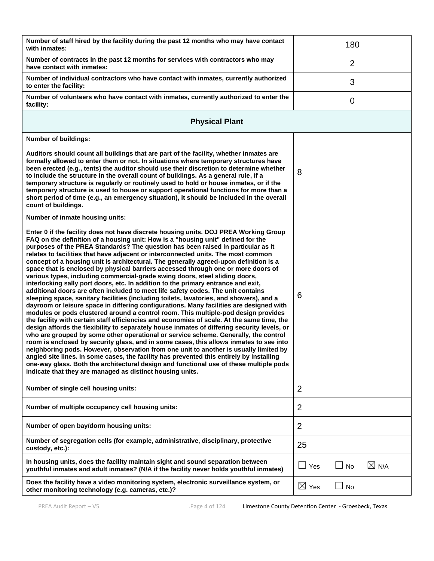| Number of staff hired by the facility during the past 12 months who may have contact<br>with inmates:                                                                                                                                                                                                                                                                                                                                                                                                                                                                                                                                                                                                                                                                                                                                                                                                                                                                                                                                                                                                                                                                                                                                                                                                                                                                                                                                                                                                                                                                                                                                                                                                                                                                                         |                 | 180            |                 |
|-----------------------------------------------------------------------------------------------------------------------------------------------------------------------------------------------------------------------------------------------------------------------------------------------------------------------------------------------------------------------------------------------------------------------------------------------------------------------------------------------------------------------------------------------------------------------------------------------------------------------------------------------------------------------------------------------------------------------------------------------------------------------------------------------------------------------------------------------------------------------------------------------------------------------------------------------------------------------------------------------------------------------------------------------------------------------------------------------------------------------------------------------------------------------------------------------------------------------------------------------------------------------------------------------------------------------------------------------------------------------------------------------------------------------------------------------------------------------------------------------------------------------------------------------------------------------------------------------------------------------------------------------------------------------------------------------------------------------------------------------------------------------------------------------|-----------------|----------------|-----------------|
| Number of contracts in the past 12 months for services with contractors who may<br>have contact with inmates:                                                                                                                                                                                                                                                                                                                                                                                                                                                                                                                                                                                                                                                                                                                                                                                                                                                                                                                                                                                                                                                                                                                                                                                                                                                                                                                                                                                                                                                                                                                                                                                                                                                                                 |                 | $\overline{2}$ |                 |
| Number of individual contractors who have contact with inmates, currently authorized<br>to enter the facility:                                                                                                                                                                                                                                                                                                                                                                                                                                                                                                                                                                                                                                                                                                                                                                                                                                                                                                                                                                                                                                                                                                                                                                                                                                                                                                                                                                                                                                                                                                                                                                                                                                                                                |                 | 3              |                 |
| Number of volunteers who have contact with inmates, currently authorized to enter the<br>facility:                                                                                                                                                                                                                                                                                                                                                                                                                                                                                                                                                                                                                                                                                                                                                                                                                                                                                                                                                                                                                                                                                                                                                                                                                                                                                                                                                                                                                                                                                                                                                                                                                                                                                            |                 | 0              |                 |
| <b>Physical Plant</b>                                                                                                                                                                                                                                                                                                                                                                                                                                                                                                                                                                                                                                                                                                                                                                                                                                                                                                                                                                                                                                                                                                                                                                                                                                                                                                                                                                                                                                                                                                                                                                                                                                                                                                                                                                         |                 |                |                 |
| <b>Number of buildings:</b>                                                                                                                                                                                                                                                                                                                                                                                                                                                                                                                                                                                                                                                                                                                                                                                                                                                                                                                                                                                                                                                                                                                                                                                                                                                                                                                                                                                                                                                                                                                                                                                                                                                                                                                                                                   |                 |                |                 |
| Auditors should count all buildings that are part of the facility, whether inmates are<br>formally allowed to enter them or not. In situations where temporary structures have<br>been erected (e.g., tents) the auditor should use their discretion to determine whether<br>to include the structure in the overall count of buildings. As a general rule, if a<br>temporary structure is regularly or routinely used to hold or house inmates, or if the<br>temporary structure is used to house or support operational functions for more than a<br>short period of time (e.g., an emergency situation), it should be included in the overall<br>count of buildings.                                                                                                                                                                                                                                                                                                                                                                                                                                                                                                                                                                                                                                                                                                                                                                                                                                                                                                                                                                                                                                                                                                                       | 8               |                |                 |
| Number of inmate housing units:                                                                                                                                                                                                                                                                                                                                                                                                                                                                                                                                                                                                                                                                                                                                                                                                                                                                                                                                                                                                                                                                                                                                                                                                                                                                                                                                                                                                                                                                                                                                                                                                                                                                                                                                                               |                 |                |                 |
| Enter 0 if the facility does not have discrete housing units. DOJ PREA Working Group<br>FAQ on the definition of a housing unit: How is a "housing unit" defined for the<br>purposes of the PREA Standards? The question has been raised in particular as it<br>relates to facilities that have adjacent or interconnected units. The most common<br>concept of a housing unit is architectural. The generally agreed-upon definition is a<br>space that is enclosed by physical barriers accessed through one or more doors of<br>various types, including commercial-grade swing doors, steel sliding doors,<br>interlocking sally port doors, etc. In addition to the primary entrance and exit,<br>additional doors are often included to meet life safety codes. The unit contains<br>sleeping space, sanitary facilities (including toilets, lavatories, and showers), and a<br>dayroom or leisure space in differing configurations. Many facilities are designed with<br>modules or pods clustered around a control room. This multiple-pod design provides<br>the facility with certain staff efficiencies and economies of scale. At the same time, the<br>design affords the flexibility to separately house inmates of differing security levels, or<br>who are grouped by some other operational or service scheme. Generally, the control<br>room is enclosed by security glass, and in some cases, this allows inmates to see into<br>neighboring pods. However, observation from one unit to another is usually limited by<br>angled site lines. In some cases, the facility has prevented this entirely by installing<br>one-way glass. Both the architectural design and functional use of these multiple pods<br>indicate that they are managed as distinct housing units. | 6               |                |                 |
| Number of single cell housing units:                                                                                                                                                                                                                                                                                                                                                                                                                                                                                                                                                                                                                                                                                                                                                                                                                                                                                                                                                                                                                                                                                                                                                                                                                                                                                                                                                                                                                                                                                                                                                                                                                                                                                                                                                          | 2               |                |                 |
| Number of multiple occupancy cell housing units:                                                                                                                                                                                                                                                                                                                                                                                                                                                                                                                                                                                                                                                                                                                                                                                                                                                                                                                                                                                                                                                                                                                                                                                                                                                                                                                                                                                                                                                                                                                                                                                                                                                                                                                                              | $\overline{2}$  |                |                 |
| Number of open bay/dorm housing units:                                                                                                                                                                                                                                                                                                                                                                                                                                                                                                                                                                                                                                                                                                                                                                                                                                                                                                                                                                                                                                                                                                                                                                                                                                                                                                                                                                                                                                                                                                                                                                                                                                                                                                                                                        | $\overline{2}$  |                |                 |
| Number of segregation cells (for example, administrative, disciplinary, protective<br>custody, etc.):                                                                                                                                                                                                                                                                                                                                                                                                                                                                                                                                                                                                                                                                                                                                                                                                                                                                                                                                                                                                                                                                                                                                                                                                                                                                                                                                                                                                                                                                                                                                                                                                                                                                                         | 25              |                |                 |
| In housing units, does the facility maintain sight and sound separation between<br>youthful inmates and adult inmates? (N/A if the facility never holds youthful inmates)                                                                                                                                                                                                                                                                                                                                                                                                                                                                                                                                                                                                                                                                                                                                                                                                                                                                                                                                                                                                                                                                                                                                                                                                                                                                                                                                                                                                                                                                                                                                                                                                                     | $\Box$ Yes      | No             | $\boxtimes$ N/A |
| Does the facility have a video monitoring system, electronic surveillance system, or<br>other monitoring technology (e.g. cameras, etc.)?                                                                                                                                                                                                                                                                                                                                                                                                                                                                                                                                                                                                                                                                                                                                                                                                                                                                                                                                                                                                                                                                                                                                                                                                                                                                                                                                                                                                                                                                                                                                                                                                                                                     | $\boxtimes$ Yes | <b>No</b>      |                 |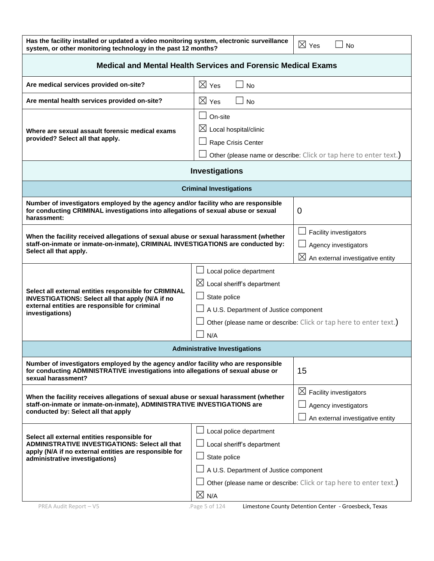| Has the facility installed or updated a video monitoring system, electronic surveillance<br>$\boxtimes$ Yes<br><b>No</b><br>system, or other monitoring technology in the past 12 months?<br>Medical and Mental Health Services and Forensic Medical Exams<br>$\boxtimes$ Yes<br>Are medical services provided on-site?<br><b>No</b><br>$\boxtimes$ Yes<br>Are mental health services provided on-site?<br><b>No</b><br>On-site<br>$\boxtimes$ Local hospital/clinic<br>Where are sexual assault forensic medical exams<br>provided? Select all that apply.<br>Rape Crisis Center<br>Other (please name or describe: Click or tap here to enter text.)<br>Investigations<br><b>Criminal Investigations</b><br>Number of investigators employed by the agency and/or facility who are responsible<br>for conducting CRIMINAL investigations into allegations of sexual abuse or sexual<br>0<br>harassment:<br>Facility investigators<br>When the facility received allegations of sexual abuse or sexual harassment (whether<br>staff-on-inmate or inmate-on-inmate), CRIMINAL INVESTIGATIONS are conducted by:<br>Agency investigators<br>Select all that apply.<br>$\boxtimes$ An external investigative entity<br>Local police department<br>$\boxtimes$ Local sheriff's department<br>Select all external entities responsible for CRIMINAL<br>State police<br><b>INVESTIGATIONS: Select all that apply (N/A if no</b><br>external entities are responsible for criminal<br>A U.S. Department of Justice component<br>investigations)<br>Other (please name or describe: Click or tap here to enter text.)<br>N/A<br><b>Administrative Investigations</b><br>Number of investigators employed by the agency and/or facility who are responsible<br>15<br>for conducting ADMINISTRATIVE investigations into allegations of sexual abuse or<br>sexual harassment?<br>$\boxtimes$ Facility investigators<br>When the facility receives allegations of sexual abuse or sexual harassment (whether<br>staff-on-inmate or inmate-on-inmate), ADMINISTRATIVE INVESTIGATIONS are<br>Agency investigators<br>conducted by: Select all that apply<br>An external investigative entity<br>Local police department<br>Select all external entities responsible for<br><b>ADMINISTRATIVE INVESTIGATIONS: Select all that</b><br>Local sheriff's department<br>apply (N/A if no external entities are responsible for<br>State police<br>administrative investigations)<br>A U.S. Department of Justice component |  |  |  |  |  |
|--------------------------------------------------------------------------------------------------------------------------------------------------------------------------------------------------------------------------------------------------------------------------------------------------------------------------------------------------------------------------------------------------------------------------------------------------------------------------------------------------------------------------------------------------------------------------------------------------------------------------------------------------------------------------------------------------------------------------------------------------------------------------------------------------------------------------------------------------------------------------------------------------------------------------------------------------------------------------------------------------------------------------------------------------------------------------------------------------------------------------------------------------------------------------------------------------------------------------------------------------------------------------------------------------------------------------------------------------------------------------------------------------------------------------------------------------------------------------------------------------------------------------------------------------------------------------------------------------------------------------------------------------------------------------------------------------------------------------------------------------------------------------------------------------------------------------------------------------------------------------------------------------------------------------------------------------------------------------------------------------------------------------------------------------------------------------------------------------------------------------------------------------------------------------------------------------------------------------------------------------------------------------------------------------------------------------------------------------------------------------------------------------------------------------------------------------------------------------------------------------------|--|--|--|--|--|
|                                                                                                                                                                                                                                                                                                                                                                                                                                                                                                                                                                                                                                                                                                                                                                                                                                                                                                                                                                                                                                                                                                                                                                                                                                                                                                                                                                                                                                                                                                                                                                                                                                                                                                                                                                                                                                                                                                                                                                                                                                                                                                                                                                                                                                                                                                                                                                                                                                                                                                        |  |  |  |  |  |
|                                                                                                                                                                                                                                                                                                                                                                                                                                                                                                                                                                                                                                                                                                                                                                                                                                                                                                                                                                                                                                                                                                                                                                                                                                                                                                                                                                                                                                                                                                                                                                                                                                                                                                                                                                                                                                                                                                                                                                                                                                                                                                                                                                                                                                                                                                                                                                                                                                                                                                        |  |  |  |  |  |
|                                                                                                                                                                                                                                                                                                                                                                                                                                                                                                                                                                                                                                                                                                                                                                                                                                                                                                                                                                                                                                                                                                                                                                                                                                                                                                                                                                                                                                                                                                                                                                                                                                                                                                                                                                                                                                                                                                                                                                                                                                                                                                                                                                                                                                                                                                                                                                                                                                                                                                        |  |  |  |  |  |
|                                                                                                                                                                                                                                                                                                                                                                                                                                                                                                                                                                                                                                                                                                                                                                                                                                                                                                                                                                                                                                                                                                                                                                                                                                                                                                                                                                                                                                                                                                                                                                                                                                                                                                                                                                                                                                                                                                                                                                                                                                                                                                                                                                                                                                                                                                                                                                                                                                                                                                        |  |  |  |  |  |
|                                                                                                                                                                                                                                                                                                                                                                                                                                                                                                                                                                                                                                                                                                                                                                                                                                                                                                                                                                                                                                                                                                                                                                                                                                                                                                                                                                                                                                                                                                                                                                                                                                                                                                                                                                                                                                                                                                                                                                                                                                                                                                                                                                                                                                                                                                                                                                                                                                                                                                        |  |  |  |  |  |
|                                                                                                                                                                                                                                                                                                                                                                                                                                                                                                                                                                                                                                                                                                                                                                                                                                                                                                                                                                                                                                                                                                                                                                                                                                                                                                                                                                                                                                                                                                                                                                                                                                                                                                                                                                                                                                                                                                                                                                                                                                                                                                                                                                                                                                                                                                                                                                                                                                                                                                        |  |  |  |  |  |
|                                                                                                                                                                                                                                                                                                                                                                                                                                                                                                                                                                                                                                                                                                                                                                                                                                                                                                                                                                                                                                                                                                                                                                                                                                                                                                                                                                                                                                                                                                                                                                                                                                                                                                                                                                                                                                                                                                                                                                                                                                                                                                                                                                                                                                                                                                                                                                                                                                                                                                        |  |  |  |  |  |
|                                                                                                                                                                                                                                                                                                                                                                                                                                                                                                                                                                                                                                                                                                                                                                                                                                                                                                                                                                                                                                                                                                                                                                                                                                                                                                                                                                                                                                                                                                                                                                                                                                                                                                                                                                                                                                                                                                                                                                                                                                                                                                                                                                                                                                                                                                                                                                                                                                                                                                        |  |  |  |  |  |
|                                                                                                                                                                                                                                                                                                                                                                                                                                                                                                                                                                                                                                                                                                                                                                                                                                                                                                                                                                                                                                                                                                                                                                                                                                                                                                                                                                                                                                                                                                                                                                                                                                                                                                                                                                                                                                                                                                                                                                                                                                                                                                                                                                                                                                                                                                                                                                                                                                                                                                        |  |  |  |  |  |
|                                                                                                                                                                                                                                                                                                                                                                                                                                                                                                                                                                                                                                                                                                                                                                                                                                                                                                                                                                                                                                                                                                                                                                                                                                                                                                                                                                                                                                                                                                                                                                                                                                                                                                                                                                                                                                                                                                                                                                                                                                                                                                                                                                                                                                                                                                                                                                                                                                                                                                        |  |  |  |  |  |
|                                                                                                                                                                                                                                                                                                                                                                                                                                                                                                                                                                                                                                                                                                                                                                                                                                                                                                                                                                                                                                                                                                                                                                                                                                                                                                                                                                                                                                                                                                                                                                                                                                                                                                                                                                                                                                                                                                                                                                                                                                                                                                                                                                                                                                                                                                                                                                                                                                                                                                        |  |  |  |  |  |
|                                                                                                                                                                                                                                                                                                                                                                                                                                                                                                                                                                                                                                                                                                                                                                                                                                                                                                                                                                                                                                                                                                                                                                                                                                                                                                                                                                                                                                                                                                                                                                                                                                                                                                                                                                                                                                                                                                                                                                                                                                                                                                                                                                                                                                                                                                                                                                                                                                                                                                        |  |  |  |  |  |
|                                                                                                                                                                                                                                                                                                                                                                                                                                                                                                                                                                                                                                                                                                                                                                                                                                                                                                                                                                                                                                                                                                                                                                                                                                                                                                                                                                                                                                                                                                                                                                                                                                                                                                                                                                                                                                                                                                                                                                                                                                                                                                                                                                                                                                                                                                                                                                                                                                                                                                        |  |  |  |  |  |
| Other (please name or describe: Click or tap here to enter text.)<br>$\boxtimes$ N/A                                                                                                                                                                                                                                                                                                                                                                                                                                                                                                                                                                                                                                                                                                                                                                                                                                                                                                                                                                                                                                                                                                                                                                                                                                                                                                                                                                                                                                                                                                                                                                                                                                                                                                                                                                                                                                                                                                                                                                                                                                                                                                                                                                                                                                                                                                                                                                                                                   |  |  |  |  |  |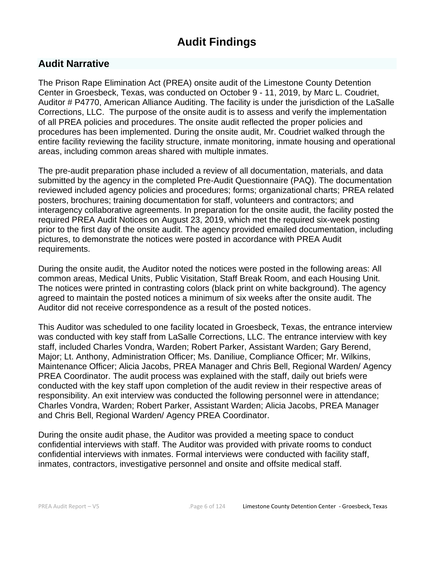# **Audit Findings**

# **Audit Narrative**

The Prison Rape Elimination Act (PREA) onsite audit of the Limestone County Detention Center in Groesbeck, Texas, was conducted on October 9 - 11, 2019, by Marc L. Coudriet, Auditor # P4770, American Alliance Auditing. The facility is under the jurisdiction of the LaSalle Corrections, LLC. The purpose of the onsite audit is to assess and verify the implementation of all PREA policies and procedures. The onsite audit reflected the proper policies and procedures has been implemented. During the onsite audit, Mr. Coudriet walked through the entire facility reviewing the facility structure, inmate monitoring, inmate housing and operational areas, including common areas shared with multiple inmates.

The pre-audit preparation phase included a review of all documentation, materials, and data submitted by the agency in the completed Pre-Audit Questionnaire (PAQ). The documentation reviewed included agency policies and procedures; forms; organizational charts; PREA related posters, brochures; training documentation for staff, volunteers and contractors; and interagency collaborative agreements. In preparation for the onsite audit, the facility posted the required PREA Audit Notices on August 23, 2019, which met the required six-week posting prior to the first day of the onsite audit. The agency provided emailed documentation, including pictures, to demonstrate the notices were posted in accordance with PREA Audit requirements.

During the onsite audit, the Auditor noted the notices were posted in the following areas: All common areas, Medical Units, Public Visitation, Staff Break Room, and each Housing Unit. The notices were printed in contrasting colors (black print on white background). The agency agreed to maintain the posted notices a minimum of six weeks after the onsite audit. The Auditor did not receive correspondence as a result of the posted notices.

This Auditor was scheduled to one facility located in Groesbeck, Texas, the entrance interview was conducted with key staff from LaSalle Corrections, LLC. The entrance interview with key staff, included Charles Vondra, Warden; Robert Parker, Assistant Warden; Gary Berend, Major; Lt. Anthony, Administration Officer; Ms. Daniliue, Compliance Officer; Mr. Wilkins, Maintenance Officer; Alicia Jacobs, PREA Manager and Chris Bell, Regional Warden/ Agency PREA Coordinator. The audit process was explained with the staff, daily out briefs were conducted with the key staff upon completion of the audit review in their respective areas of responsibility. An exit interview was conducted the following personnel were in attendance; Charles Vondra, Warden; Robert Parker, Assistant Warden; Alicia Jacobs, PREA Manager and Chris Bell, Regional Warden/ Agency PREA Coordinator.

During the onsite audit phase, the Auditor was provided a meeting space to conduct confidential interviews with staff. The Auditor was provided with private rooms to conduct confidential interviews with inmates. Formal interviews were conducted with facility staff, inmates, contractors, investigative personnel and onsite and offsite medical staff.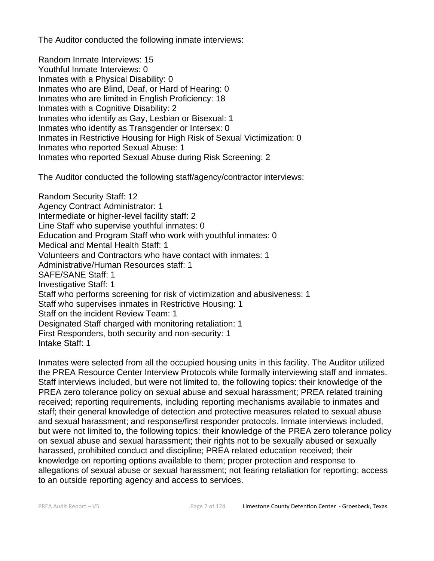The Auditor conducted the following inmate interviews:

Random Inmate Interviews: 15 Youthful Inmate Interviews: 0 Inmates with a Physical Disability: 0 Inmates who are Blind, Deaf, or Hard of Hearing: 0 Inmates who are limited in English Proficiency: 18 Inmates with a Cognitive Disability: 2 Inmates who identify as Gay, Lesbian or Bisexual: 1 Inmates who identify as Transgender or Intersex: 0 Inmates in Restrictive Housing for High Risk of Sexual Victimization: 0 Inmates who reported Sexual Abuse: 1 Inmates who reported Sexual Abuse during Risk Screening: 2

The Auditor conducted the following staff/agency/contractor interviews:

Random Security Staff: 12 Agency Contract Administrator: 1 Intermediate or higher-level facility staff: 2 Line Staff who supervise youthful inmates: 0 Education and Program Staff who work with youthful inmates: 0 Medical and Mental Health Staff: 1 Volunteers and Contractors who have contact with inmates: 1 Administrative/Human Resources staff: 1 SAFE/SANE Staff: 1 Investigative Staff: 1 Staff who performs screening for risk of victimization and abusiveness: 1 Staff who supervises inmates in Restrictive Housing: 1 Staff on the incident Review Team: 1 Designated Staff charged with monitoring retaliation: 1 First Responders, both security and non-security: 1 Intake Staff: 1

Inmates were selected from all the occupied housing units in this facility. The Auditor utilized the PREA Resource Center Interview Protocols while formally interviewing staff and inmates. Staff interviews included, but were not limited to, the following topics: their knowledge of the PREA zero tolerance policy on sexual abuse and sexual harassment; PREA related training received; reporting requirements, including reporting mechanisms available to inmates and staff; their general knowledge of detection and protective measures related to sexual abuse and sexual harassment; and response/first responder protocols. Inmate interviews included, but were not limited to, the following topics: their knowledge of the PREA zero tolerance policy on sexual abuse and sexual harassment; their rights not to be sexually abused or sexually harassed, prohibited conduct and discipline; PREA related education received; their knowledge on reporting options available to them; proper protection and response to allegations of sexual abuse or sexual harassment; not fearing retaliation for reporting; access to an outside reporting agency and access to services.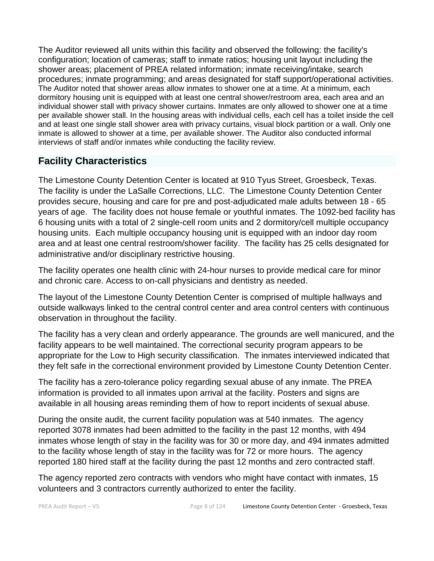The Auditor reviewed all units within this facility and observed the following: the facility's configuration; location of cameras; staff to inmate ratios; housing unit layout including the shower areas; placement of PREA related information; inmate receiving/intake, search procedures; inmate programming; and areas designated for staff support/operational activities. The Auditor noted that shower areas allow inmates to shower one at a time. At a minimum, each dormitory housing unit is equipped with at least one central shower/restroom area, each area and an individual shower stall with privacy shower curtains. Inmates are only allowed to shower one at a time per available shower stall. In the housing areas with individual cells, each cell has a toilet inside the cell and at least one single stall shower area with privacy curtains, visual block partition or a wall. Only one inmate is allowed to shower at a time, per available shower. The Auditor also conducted informal interviews of staff and/or inmates while conducting the facility review.

# **Facility Characteristics**

The Limestone County Detention Center is located at 910 Tyus Street, Groesbeck, Texas. The facility is under the LaSalle Corrections, LLC. The Limestone County Detention Center provides secure, housing and care for pre and post-adjudicated male adults between 18 - 65 years of age. The facility does not house female or youthful inmates. The 1092-bed facility has 6 housing units with a total of 2 single-cell room units and 2 dormitory/cell multiple occupancy housing units. Each multiple occupancy housing unit is equipped with an indoor day room area and at least one central restroom/shower facility. The facility has 25 cells designated for administrative and/or disciplinary restrictive housing.

The facility operates one health clinic with 24-hour nurses to provide medical care for minor and chronic care. Access to on-call physicians and dentistry as needed.

The layout of the Limestone County Detention Center is comprised of multiple hallways and outside walkways linked to the central control center and area control centers with continuous observation in throughout the facility.

The facility has a very clean and orderly appearance. The grounds are well manicured, and the facility appears to be well maintained. The correctional security program appears to be appropriate for the Low to High security classification. The inmates interviewed indicated that they felt safe in the correctional environment provided by Limestone County Detention Center.

The facility has a zero-tolerance policy regarding sexual abuse of any inmate. The PREA information is provided to all inmates upon arrival at the facility. Posters and signs are available in all housing areas reminding them of how to report incidents of sexual abuse.

During the onsite audit, the current facility population was at 540 inmates. The agency reported 3078 inmates had been admitted to the facility in the past 12 months, with 494 inmates whose length of stay in the facility was for 30 or more day, and 494 inmates admitted to the facility whose length of stay in the facility was for 72 or more hours. The agency reported 180 hired staff at the facility during the past 12 months and zero contracted staff.

The agency reported zero contracts with vendors who might have contact with inmates, 15 volunteers and 3 contractors currently authorized to enter the facility.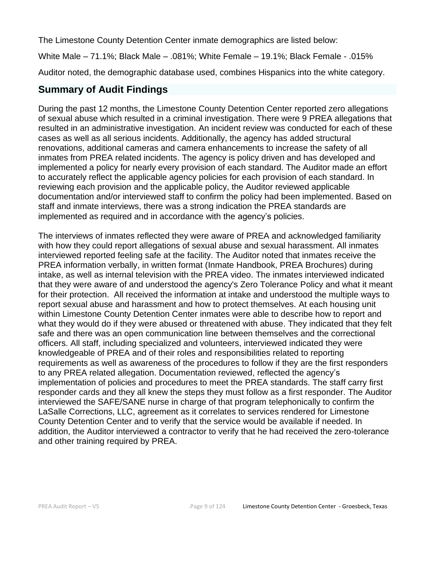The Limestone County Detention Center inmate demographics are listed below:

White Male – 71.1%; Black Male – .081%; White Female – 19.1%; Black Female - .015%

Auditor noted, the demographic database used, combines Hispanics into the white category.

# **Summary of Audit Findings**

During the past 12 months, the Limestone County Detention Center reported zero allegations of sexual abuse which resulted in a criminal investigation. There were 9 PREA allegations that resulted in an administrative investigation. An incident review was conducted for each of these cases as well as all serious incidents. Additionally, the agency has added structural renovations, additional cameras and camera enhancements to increase the safety of all inmates from PREA related incidents. The agency is policy driven and has developed and implemented a policy for nearly every provision of each standard. The Auditor made an effort to accurately reflect the applicable agency policies for each provision of each standard. In reviewing each provision and the applicable policy, the Auditor reviewed applicable documentation and/or interviewed staff to confirm the policy had been implemented. Based on staff and inmate interviews, there was a strong indication the PREA standards are implemented as required and in accordance with the agency's policies.

The interviews of inmates reflected they were aware of PREA and acknowledged familiarity with how they could report allegations of sexual abuse and sexual harassment. All inmates interviewed reported feeling safe at the facility. The Auditor noted that inmates receive the PREA information verbally, in written format (Inmate Handbook, PREA Brochures) during intake, as well as internal television with the PREA video. The inmates interviewed indicated that they were aware of and understood the agency's Zero Tolerance Policy and what it meant for their protection. All received the information at intake and understood the multiple ways to report sexual abuse and harassment and how to protect themselves. At each housing unit within Limestone County Detention Center inmates were able to describe how to report and what they would do if they were abused or threatened with abuse. They indicated that they felt safe and there was an open communication line between themselves and the correctional officers. All staff, including specialized and volunteers, interviewed indicated they were knowledgeable of PREA and of their roles and responsibilities related to reporting requirements as well as awareness of the procedures to follow if they are the first responders to any PREA related allegation. Documentation reviewed, reflected the agency's implementation of policies and procedures to meet the PREA standards. The staff carry first responder cards and they all knew the steps they must follow as a first responder. The Auditor interviewed the SAFE/SANE nurse in charge of that program telephonically to confirm the LaSalle Corrections, LLC, agreement as it correlates to services rendered for Limestone County Detention Center and to verify that the service would be available if needed. In addition, the Auditor interviewed a contractor to verify that he had received the zero-tolerance and other training required by PREA.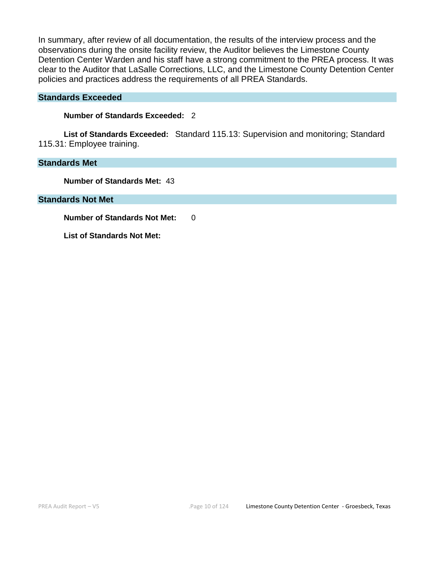In summary, after review of all documentation, the results of the interview process and the observations during the onsite facility review, the Auditor believes the Limestone County Detention Center Warden and his staff have a strong commitment to the PREA process. It was clear to the Auditor that LaSalle Corrections, LLC, and the Limestone County Detention Center policies and practices address the requirements of all PREA Standards.

#### **Standards Exceeded**

**Number of Standards Exceeded:** 2

**List of Standards Exceeded:** Standard 115.13: Supervision and monitoring; Standard 115.31: Employee training.

### **Standards Met**

**Number of Standards Met:** 43

**Standards Not Met**

**Number of Standards Not Met: 0** 

**List of Standards Not Met:**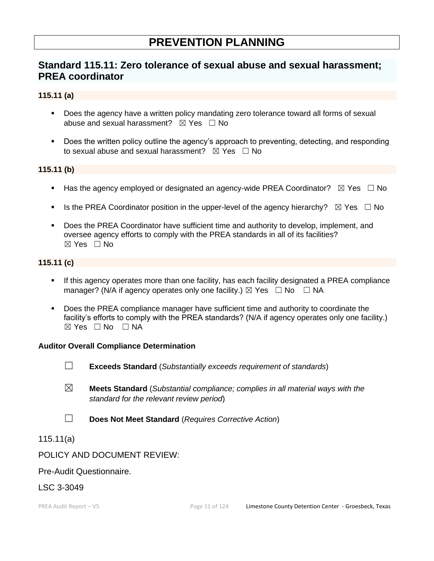# **PREVENTION PLANNING**

# **Standard 115.11: Zero tolerance of sexual abuse and sexual harassment; PREA coordinator**

### **115.11 (a)**

- Does the agency have a written policy mandating zero tolerance toward all forms of sexual abuse and sexual harassment?  $\boxtimes$  Yes  $\Box$  No
- Does the written policy outline the agency's approach to preventing, detecting, and responding to sexual abuse and sexual harassment?  $\boxtimes$  Yes  $\Box$  No

### **115.11 (b)**

- **■** Has the agency employed or designated an agency-wide PREA Coordinator?  $\boxtimes$  Yes  $\Box$  No
- **■** Is the PREA Coordinator position in the upper-level of the agency hierarchy?  $\boxtimes$  Yes  $\Box$  No
- Does the PREA Coordinator have sufficient time and authority to develop, implement, and oversee agency efforts to comply with the PREA standards in all of its facilities? ☒ Yes ☐ No

### **115.11 (c)**

- If this agency operates more than one facility, has each facility designated a PREA compliance manager? (N/A if agency operates only one facility.)  $\boxtimes$  Yes  $\Box$  No  $\Box$  NA
- **•** Does the PREA compliance manager have sufficient time and authority to coordinate the facility's efforts to comply with the PREA standards? (N/A if agency operates only one facility.)  $\boxtimes$  Yes  $\Box$  No  $\Box$  NA

### **Auditor Overall Compliance Determination**

- ☐ **Exceeds Standard** (*Substantially exceeds requirement of standards*)
- ☒ **Meets Standard** (*Substantial compliance; complies in all material ways with the standard for the relevant review period*)
- ☐ **Does Not Meet Standard** (*Requires Corrective Action*)

### 115.11(a)

### POLICY AND DOCUMENT REVIEW:

### Pre-Audit Questionnaire.

### LSC 3-3049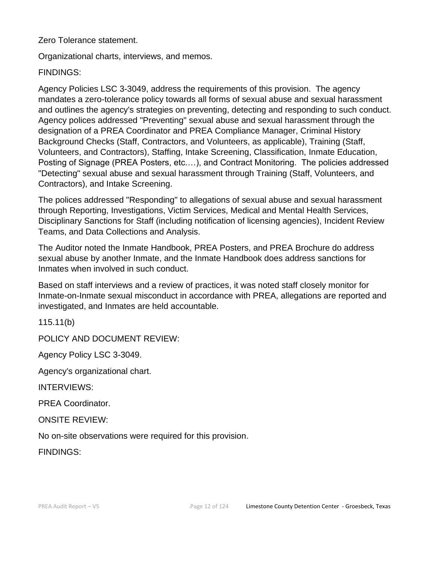Zero Tolerance statement.

Organizational charts, interviews, and memos.

### FINDINGS:

Agency Policies LSC 3-3049, address the requirements of this provision. The agency mandates a zero-tolerance policy towards all forms of sexual abuse and sexual harassment and outlines the agency's strategies on preventing, detecting and responding to such conduct. Agency polices addressed "Preventing" sexual abuse and sexual harassment through the designation of a PREA Coordinator and PREA Compliance Manager, Criminal History Background Checks (Staff, Contractors, and Volunteers, as applicable), Training (Staff, Volunteers, and Contractors), Staffing, Intake Screening, Classification, Inmate Education, Posting of Signage (PREA Posters, etc.…), and Contract Monitoring. The policies addressed "Detecting" sexual abuse and sexual harassment through Training (Staff, Volunteers, and Contractors), and Intake Screening.

The polices addressed "Responding" to allegations of sexual abuse and sexual harassment through Reporting, Investigations, Victim Services, Medical and Mental Health Services, Disciplinary Sanctions for Staff (including notification of licensing agencies), Incident Review Teams, and Data Collections and Analysis.

The Auditor noted the Inmate Handbook, PREA Posters, and PREA Brochure do address sexual abuse by another Inmate, and the Inmate Handbook does address sanctions for Inmates when involved in such conduct.

Based on staff interviews and a review of practices, it was noted staff closely monitor for Inmate-on-Inmate sexual misconduct in accordance with PREA, allegations are reported and investigated, and Inmates are held accountable.

115.11(b)

POLICY AND DOCUMENT REVIEW:

Agency Policy LSC 3-3049.

Agency's organizational chart.

INTERVIEWS:

PREA Coordinator.

ONSITE REVIEW:

No on-site observations were required for this provision.

FINDINGS: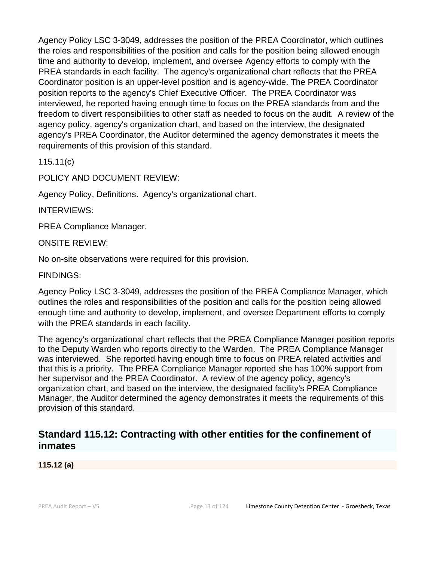Agency Policy LSC 3-3049, addresses the position of the PREA Coordinator, which outlines the roles and responsibilities of the position and calls for the position being allowed enough time and authority to develop, implement, and oversee Agency efforts to comply with the PREA standards in each facility. The agency's organizational chart reflects that the PREA Coordinator position is an upper-level position and is agency-wide. The PREA Coordinator position reports to the agency's Chief Executive Officer. The PREA Coordinator was interviewed, he reported having enough time to focus on the PREA standards from and the freedom to divert responsibilities to other staff as needed to focus on the audit. A review of the agency policy, agency's organization chart, and based on the interview, the designated agency's PREA Coordinator, the Auditor determined the agency demonstrates it meets the requirements of this provision of this standard.

115.11(c)

POLICY AND DOCUMENT REVIEW:

Agency Policy, Definitions. Agency's organizational chart.

INTERVIEWS:

PREA Compliance Manager.

ONSITE REVIEW:

No on-site observations were required for this provision.

FINDINGS:

Agency Policy LSC 3-3049, addresses the position of the PREA Compliance Manager, which outlines the roles and responsibilities of the position and calls for the position being allowed enough time and authority to develop, implement, and oversee Department efforts to comply with the PREA standards in each facility.

The agency's organizational chart reflects that the PREA Compliance Manager position reports to the Deputy Warden who reports directly to the Warden. The PREA Compliance Manager was interviewed. She reported having enough time to focus on PREA related activities and that this is a priority. The PREA Compliance Manager reported she has 100% support from her supervisor and the PREA Coordinator. A review of the agency policy, agency's organization chart, and based on the interview, the designated facility's PREA Compliance Manager, the Auditor determined the agency demonstrates it meets the requirements of this provision of this standard.

# **Standard 115.12: Contracting with other entities for the confinement of inmates**

**115.12 (a)**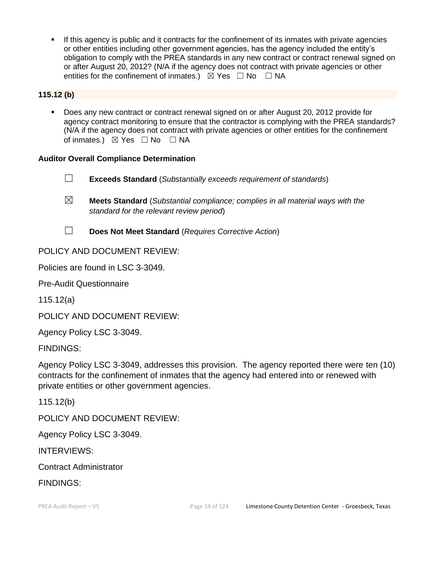**.** If this agency is public and it contracts for the confinement of its inmates with private agencies or other entities including other government agencies, has the agency included the entity's obligation to comply with the PREA standards in any new contract or contract renewal signed on or after August 20, 2012? (N/A if the agency does not contract with private agencies or other entities for the confinement of inmates.)  $\boxtimes$  Yes  $\Box$  No  $\Box$  NA

### **115.12 (b)**

Does any new contract or contract renewal signed on or after August 20, 2012 provide for agency contract monitoring to ensure that the contractor is complying with the PREA standards? (N/A if the agency does not contract with private agencies or other entities for the confinement of inmates.)  $\boxtimes$  Yes □ No □ NA

### **Auditor Overall Compliance Determination**

- ☐ **Exceeds Standard** (*Substantially exceeds requirement of standards*)
- ☒ **Meets Standard** (*Substantial compliance; complies in all material ways with the standard for the relevant review period*)
- ☐ **Does Not Meet Standard** (*Requires Corrective Action*)

### POLICY AND DOCUMENT REVIEW:

Policies are found in LSC 3-3049.

Pre-Audit Questionnaire

115.12(a)

POLICY AND DOCUMENT REVIEW:

Agency Policy LSC 3-3049.

FINDINGS:

Agency Policy LSC 3-3049, addresses this provision. The agency reported there were ten (10) contracts for the confinement of inmates that the agency had entered into or renewed with private entities or other government agencies.

115.12(b)

POLICY AND DOCUMENT REVIEW:

Agency Policy LSC 3-3049.

INTERVIEWS:

Contract Administrator

FINDINGS: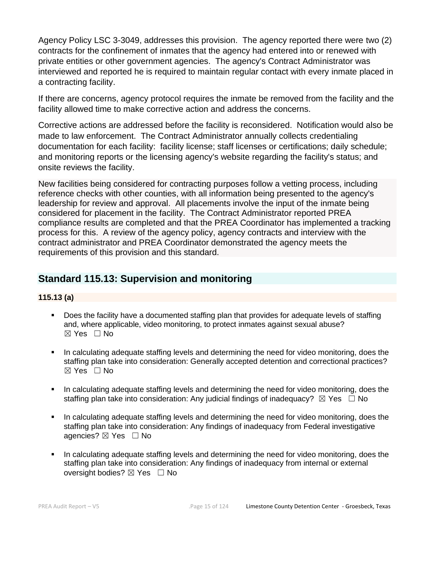Agency Policy LSC 3-3049, addresses this provision. The agency reported there were two (2) contracts for the confinement of inmates that the agency had entered into or renewed with private entities or other government agencies. The agency's Contract Administrator was interviewed and reported he is required to maintain regular contact with every inmate placed in a contracting facility.

If there are concerns, agency protocol requires the inmate be removed from the facility and the facility allowed time to make corrective action and address the concerns.

Corrective actions are addressed before the facility is reconsidered. Notification would also be made to law enforcement. The Contract Administrator annually collects credentialing documentation for each facility: facility license; staff licenses or certifications; daily schedule; and monitoring reports or the licensing agency's website regarding the facility's status; and onsite reviews the facility.

New facilities being considered for contracting purposes follow a vetting process, including reference checks with other counties, with all information being presented to the agency's leadership for review and approval. All placements involve the input of the inmate being considered for placement in the facility. The Contract Administrator reported PREA compliance results are completed and that the PREA Coordinator has implemented a tracking process for this. A review of the agency policy, agency contracts and interview with the contract administrator and PREA Coordinator demonstrated the agency meets the requirements of this provision and this standard.

# **Standard 115.13: Supervision and monitoring**

### **115.13 (a)**

- Does the facility have a documented staffing plan that provides for adequate levels of staffing and, where applicable, video monitoring, to protect inmates against sexual abuse?  $\boxtimes$  Yes  $\Box$  No
- In calculating adequate staffing levels and determining the need for video monitoring, does the staffing plan take into consideration: Generally accepted detention and correctional practices?  $\boxtimes$  Yes  $\Box$  No
- In calculating adequate staffing levels and determining the need for video monitoring, does the staffing plan take into consideration: Any judicial findings of inadequacy?  $\boxtimes$  Yes  $\Box$  No
- In calculating adequate staffing levels and determining the need for video monitoring, does the staffing plan take into consideration: Any findings of inadequacy from Federal investigative agencies? ⊠ Yes □ No
- In calculating adequate staffing levels and determining the need for video monitoring, does the staffing plan take into consideration: Any findings of inadequacy from internal or external oversight bodies? ⊠ Yes □ No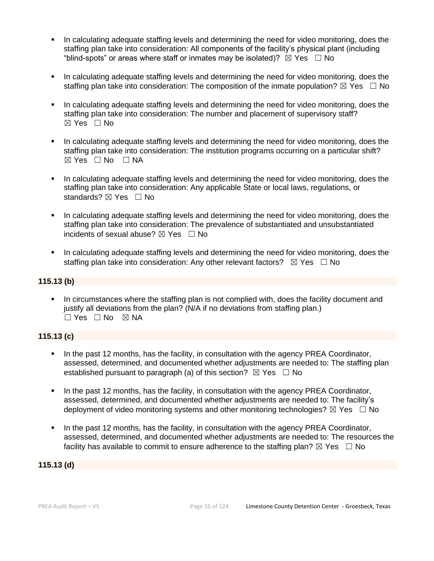- In calculating adequate staffing levels and determining the need for video monitoring, does the staffing plan take into consideration: All components of the facility's physical plant (including "blind-spots" or areas where staff or inmates may be isolated)?  $\boxtimes$  Yes  $\Box$  No
- In calculating adequate staffing levels and determining the need for video monitoring, does the staffing plan take into consideration: The composition of the inmate population?  $\boxtimes$  Yes  $\Box$  No
- In calculating adequate staffing levels and determining the need for video monitoring, does the staffing plan take into consideration: The number and placement of supervisory staff?  $\boxtimes$  Yes  $\Box$  No
- In calculating adequate staffing levels and determining the need for video monitoring, does the staffing plan take into consideration: The institution programs occurring on a particular shift?  $⊠ Yes ⊡ No ⊡ NA$
- In calculating adequate staffing levels and determining the need for video monitoring, does the staffing plan take into consideration: Any applicable State or local laws, regulations, or standards? ⊠ Yes □ No
- In calculating adequate staffing levels and determining the need for video monitoring, does the staffing plan take into consideration: The prevalence of substantiated and unsubstantiated incidents of sexual abuse?  $\boxtimes$  Yes  $\Box$  No
- In calculating adequate staffing levels and determining the need for video monitoring, does the staffing plan take into consideration: Any other relevant factors?  $\boxtimes$  Yes  $\Box$  No

### **115.13 (b)**

▪ In circumstances where the staffing plan is not complied with, does the facility document and justify all deviations from the plan? (N/A if no deviations from staffing plan.) ☐ Yes ☐ No ☒ NA

### **115.13 (c)**

- In the past 12 months, has the facility, in consultation with the agency PREA Coordinator, assessed, determined, and documented whether adjustments are needed to: The staffing plan established pursuant to paragraph (a) of this section?  $\boxtimes$  Yes  $\Box$  No
- In the past 12 months, has the facility, in consultation with the agency PREA Coordinator, assessed, determined, and documented whether adjustments are needed to: The facility's deployment of video monitoring systems and other monitoring technologies?  $\boxtimes$  Yes  $\Box$  No
- In the past 12 months, has the facility, in consultation with the agency PREA Coordinator, assessed, determined, and documented whether adjustments are needed to: The resources the facility has available to commit to ensure adherence to the staffing plan?  $\boxtimes$  Yes  $\Box$  No

#### **115.13 (d)**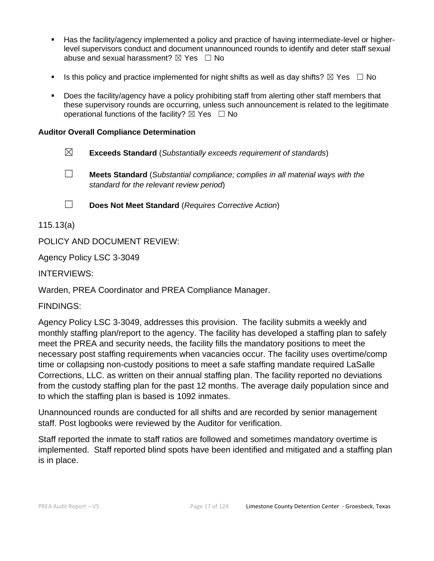- Has the facility/agency implemented a policy and practice of having intermediate-level or higherlevel supervisors conduct and document unannounced rounds to identify and deter staff sexual abuse and sexual harassment?  $\boxtimes$  Yes  $\Box$  No
- Is this policy and practice implemented for night shifts as well as day shifts?  $\boxtimes$  Yes  $\Box$  No
- Does the facility/agency have a policy prohibiting staff from alerting other staff members that these supervisory rounds are occurring, unless such announcement is related to the legitimate operational functions of the facility?  $\boxtimes$  Yes  $\Box$  No

### **Auditor Overall Compliance Determination**

- ☒ **Exceeds Standard** (*Substantially exceeds requirement of standards*)
- ☐ **Meets Standard** (*Substantial compliance; complies in all material ways with the standard for the relevant review period*)
- ☐ **Does Not Meet Standard** (*Requires Corrective Action*)

115.13(a)

POLICY AND DOCUMENT REVIEW:

Agency Policy LSC 3-3049

INTERVIEWS:

Warden, PREA Coordinator and PREA Compliance Manager.

FINDINGS:

Agency Policy LSC 3-3049, addresses this provision. The facility submits a weekly and monthly staffing plan/report to the agency. The facility has developed a staffing plan to safely meet the PREA and security needs, the facility fills the mandatory positions to meet the necessary post staffing requirements when vacancies occur. The facility uses overtime/comp time or collapsing non-custody positions to meet a safe staffing mandate required LaSalle Corrections, LLC. as written on their annual staffing plan. The facility reported no deviations from the custody staffing plan for the past 12 months. The average daily population since and to which the staffing plan is based is 1092 inmates.

Unannounced rounds are conducted for all shifts and are recorded by senior management staff. Post logbooks were reviewed by the Auditor for verification.

Staff reported the inmate to staff ratios are followed and sometimes mandatory overtime is implemented. Staff reported blind spots have been identified and mitigated and a staffing plan is in place.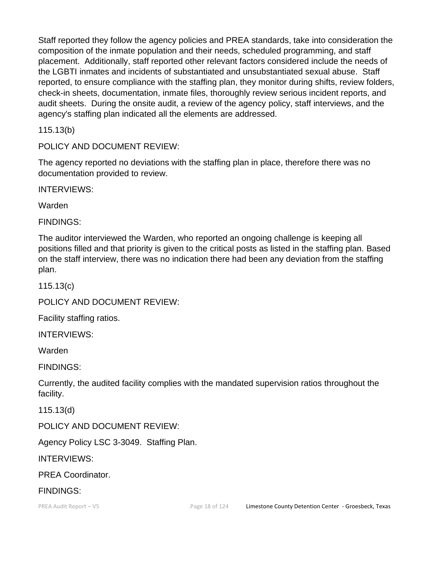Staff reported they follow the agency policies and PREA standards, take into consideration the composition of the inmate population and their needs, scheduled programming, and staff placement. Additionally, staff reported other relevant factors considered include the needs of the LGBTI inmates and incidents of substantiated and unsubstantiated sexual abuse. Staff reported, to ensure compliance with the staffing plan, they monitor during shifts, review folders, check-in sheets, documentation, inmate files, thoroughly review serious incident reports, and audit sheets. During the onsite audit, a review of the agency policy, staff interviews, and the agency's staffing plan indicated all the elements are addressed.

115.13(b)

POLICY AND DOCUMENT REVIEW:

The agency reported no deviations with the staffing plan in place, therefore there was no documentation provided to review.

INTERVIEWS:

Warden

FINDINGS:

The auditor interviewed the Warden, who reported an ongoing challenge is keeping all positions filled and that priority is given to the critical posts as listed in the staffing plan. Based on the staff interview, there was no indication there had been any deviation from the staffing plan.

115.13(c)

POLICY AND DOCUMENT REVIEW:

Facility staffing ratios.

INTERVIEWS:

Warden

FINDINGS:

Currently, the audited facility complies with the mandated supervision ratios throughout the facility.

115.13(d)

POLICY AND DOCUMENT REVIEW:

Agency Policy LSC 3-3049. Staffing Plan.

INTERVIEWS:

PREA Coordinator.

### FINDINGS: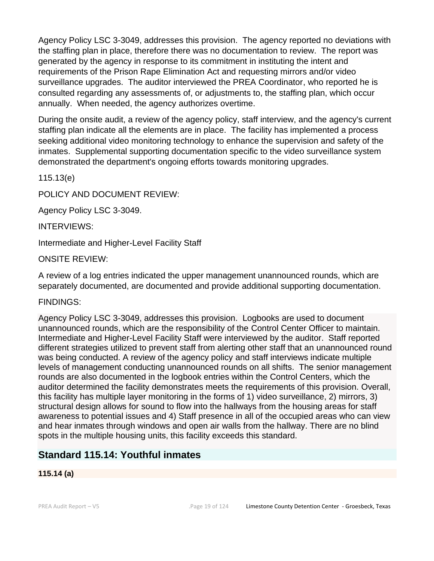Agency Policy LSC 3-3049, addresses this provision. The agency reported no deviations with the staffing plan in place, therefore there was no documentation to review. The report was generated by the agency in response to its commitment in instituting the intent and requirements of the Prison Rape Elimination Act and requesting mirrors and/or video surveillance upgrades. The auditor interviewed the PREA Coordinator, who reported he is consulted regarding any assessments of, or adjustments to, the staffing plan, which occur annually. When needed, the agency authorizes overtime.

During the onsite audit, a review of the agency policy, staff interview, and the agency's current staffing plan indicate all the elements are in place. The facility has implemented a process seeking additional video monitoring technology to enhance the supervision and safety of the inmates. Supplemental supporting documentation specific to the video surveillance system demonstrated the department's ongoing efforts towards monitoring upgrades.

115.13(e)

POLICY AND DOCUMENT REVIEW:

Agency Policy LSC 3-3049.

INTERVIEWS:

Intermediate and Higher-Level Facility Staff

ONSITE REVIEW:

A review of a log entries indicated the upper management unannounced rounds, which are separately documented, are documented and provide additional supporting documentation.

FINDINGS:

Agency Policy LSC 3-3049, addresses this provision. Logbooks are used to document unannounced rounds, which are the responsibility of the Control Center Officer to maintain. Intermediate and Higher-Level Facility Staff were interviewed by the auditor. Staff reported different strategies utilized to prevent staff from alerting other staff that an unannounced round was being conducted. A review of the agency policy and staff interviews indicate multiple levels of management conducting unannounced rounds on all shifts. The senior management rounds are also documented in the logbook entries within the Control Centers, which the auditor determined the facility demonstrates meets the requirements of this provision. Overall, this facility has multiple layer monitoring in the forms of 1) video surveillance, 2) mirrors, 3) structural design allows for sound to flow into the hallways from the housing areas for staff awareness to potential issues and 4) Staff presence in all of the occupied areas who can view and hear inmates through windows and open air walls from the hallway. There are no blind spots in the multiple housing units, this facility exceeds this standard.

# **Standard 115.14: Youthful inmates**

### **115.14 (a)**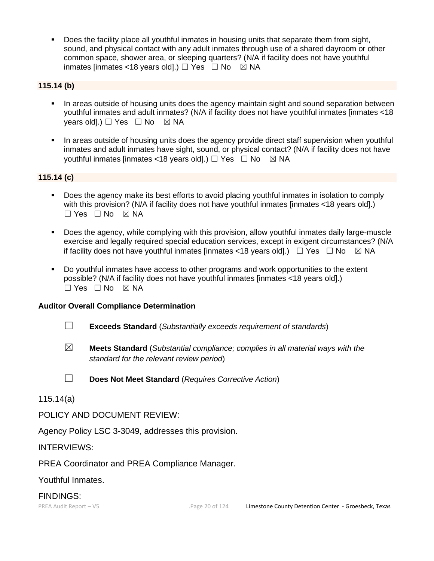**•** Does the facility place all youthful inmates in housing units that separate them from sight, sound, and physical contact with any adult inmates through use of a shared dayroom or other common space, shower area, or sleeping quarters? (N/A if facility does not have youthful inmates [inmates <18 years old].)  $\Box$  Yes  $\Box$  No  $\boxtimes$  NA

### **115.14 (b)**

- **•** In areas outside of housing units does the agency maintain sight and sound separation between youthful inmates and adult inmates? (N/A if facility does not have youthful inmates [inmates <18 vears old].)  $\Box$  Yes  $\Box$  No  $\boxtimes$  NA
- **•** In areas outside of housing units does the agency provide direct staff supervision when youthful inmates and adult inmates have sight, sound, or physical contact? (N/A if facility does not have youthful inmates [inmates <18 years old].)  $\Box$  Yes  $\Box$  No  $\boxtimes$  NA

### **115.14 (c)**

- Does the agency make its best efforts to avoid placing youthful inmates in isolation to comply with this provision? (N/A if facility does not have youthful inmates [inmates <18 years old].)  $\Box$  Yes  $\Box$  No  $\boxtimes$  NA
- Does the agency, while complying with this provision, allow youthful inmates daily large-muscle exercise and legally required special education services, except in exigent circumstances? (N/A if facility does not have youthful inmates [inmates <18 years old].)  $\Box$  Yes  $\Box$  No  $\boxtimes$  NA
- Do youthful inmates have access to other programs and work opportunities to the extent possible? (N/A if facility does not have youthful inmates [inmates <18 years old].)  $\square$  Yes  $\square$  No  $\square$  NA

### **Auditor Overall Compliance Determination**

- ☐ **Exceeds Standard** (*Substantially exceeds requirement of standards*)
- ☒ **Meets Standard** (*Substantial compliance; complies in all material ways with the standard for the relevant review period*)

☐ **Does Not Meet Standard** (*Requires Corrective Action*)

115.14(a)

POLICY AND DOCUMENT REVIEW:

Agency Policy LSC 3-3049, addresses this provision.

INTERVIEWS:

PREA Coordinator and PREA Compliance Manager.

Youthful Inmates.

### FINDINGS: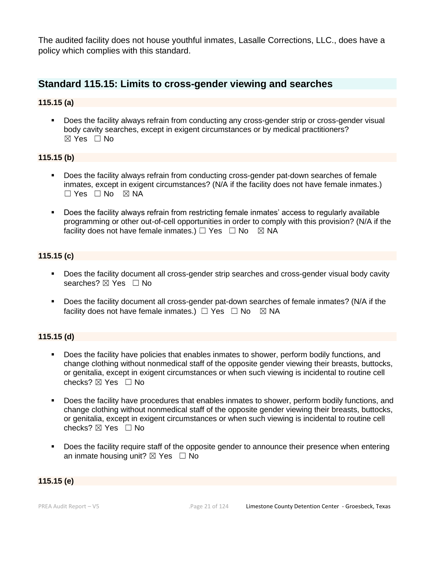The audited facility does not house youthful inmates, Lasalle Corrections, LLC., does have a policy which complies with this standard.

## **Standard 115.15: Limits to cross-gender viewing and searches**

### **115.15 (a)**

▪ Does the facility always refrain from conducting any cross-gender strip or cross-gender visual body cavity searches, except in exigent circumstances or by medical practitioners?  $\boxtimes$  Yes  $\Box$  No

### **115.15 (b)**

- Does the facility always refrain from conducting cross-gender pat-down searches of female inmates, except in exigent circumstances? (N/A if the facility does not have female inmates.)  $\Box$  Yes  $\Box$  No  $\boxtimes$  NA
- Does the facility always refrain from restricting female inmates' access to regularly available programming or other out-of-cell opportunities in order to comply with this provision? (N/A if the facility does not have female inmates.)  $\Box$  Yes  $\Box$  No  $\boxtimes$  NA

#### **115.15 (c)**

- Does the facility document all cross-gender strip searches and cross-gender visual body cavity searches?  $\boxtimes$  Yes  $\Box$  No
- Does the facility document all cross-gender pat-down searches of female inmates? (N/A if the facility does not have female inmates.)  $\Box$  Yes  $\Box$  No  $\boxtimes$  NA

### **115.15 (d)**

- **•** Does the facility have policies that enables inmates to shower, perform bodily functions, and change clothing without nonmedical staff of the opposite gender viewing their breasts, buttocks, or genitalia, except in exigent circumstances or when such viewing is incidental to routine cell checks? ☒ Yes ☐ No
- Does the facility have procedures that enables inmates to shower, perform bodily functions, and change clothing without nonmedical staff of the opposite gender viewing their breasts, buttocks, or genitalia, except in exigent circumstances or when such viewing is incidental to routine cell checks?  $\boxtimes$  Yes  $\Box$  No
- Does the facility require staff of the opposite gender to announce their presence when entering an inmate housing unit?  $\boxtimes$  Yes  $\Box$  No

### **115.15 (e)**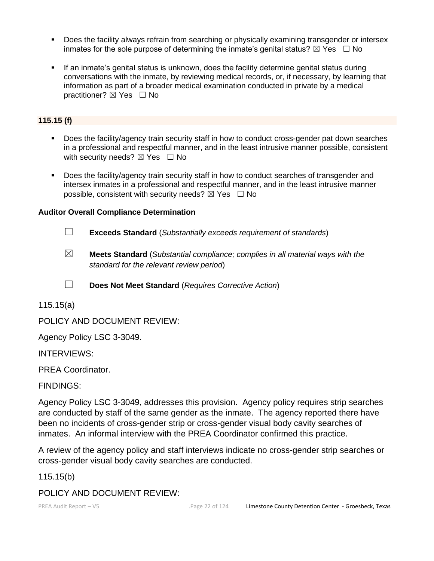- Does the facility always refrain from searching or physically examining transgender or intersex inmates for the sole purpose of determining the inmate's genital status?  $\boxtimes$  Yes  $\Box$  No
- **•** If an inmate's genital status is unknown, does the facility determine genital status during conversations with the inmate, by reviewing medical records, or, if necessary, by learning that information as part of a broader medical examination conducted in private by a medical practitioner? ⊠ Yes □ No

### **115.15 (f)**

- Does the facility/agency train security staff in how to conduct cross-gender pat down searches in a professional and respectful manner, and in the least intrusive manner possible, consistent with security needs?  $\boxtimes$  Yes  $\Box$  No
- **•** Does the facility/agency train security staff in how to conduct searches of transgender and intersex inmates in a professional and respectful manner, and in the least intrusive manner possible, consistent with security needs?  $\boxtimes$  Yes  $\Box$  No

### **Auditor Overall Compliance Determination**

- ☐ **Exceeds Standard** (*Substantially exceeds requirement of standards*)
- ☒ **Meets Standard** (*Substantial compliance; complies in all material ways with the standard for the relevant review period*)
- ☐ **Does Not Meet Standard** (*Requires Corrective Action*)

115.15(a)

POLICY AND DOCUMENT REVIEW:

Agency Policy LSC 3-3049.

INTERVIEWS:

PREA Coordinator.

FINDINGS:

Agency Policy LSC 3-3049, addresses this provision. Agency policy requires strip searches are conducted by staff of the same gender as the inmate. The agency reported there have been no incidents of cross-gender strip or cross-gender visual body cavity searches of inmates. An informal interview with the PREA Coordinator confirmed this practice.

A review of the agency policy and staff interviews indicate no cross-gender strip searches or cross-gender visual body cavity searches are conducted.

#### 115.15(b)

POLICY AND DOCUMENT REVIEW: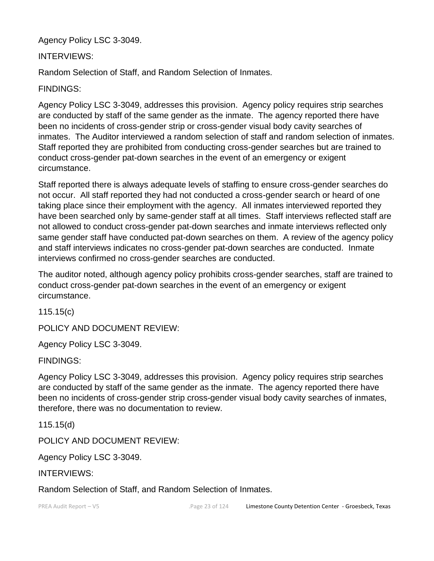Agency Policy LSC 3-3049.

### INTERVIEWS:

Random Selection of Staff, and Random Selection of Inmates.

FINDINGS:

Agency Policy LSC 3-3049, addresses this provision. Agency policy requires strip searches are conducted by staff of the same gender as the inmate. The agency reported there have been no incidents of cross-gender strip or cross-gender visual body cavity searches of inmates. The Auditor interviewed a random selection of staff and random selection of inmates. Staff reported they are prohibited from conducting cross-gender searches but are trained to conduct cross-gender pat-down searches in the event of an emergency or exigent circumstance.

Staff reported there is always adequate levels of staffing to ensure cross-gender searches do not occur. All staff reported they had not conducted a cross-gender search or heard of one taking place since their employment with the agency. All inmates interviewed reported they have been searched only by same-gender staff at all times. Staff interviews reflected staff are not allowed to conduct cross-gender pat-down searches and inmate interviews reflected only same gender staff have conducted pat-down searches on them. A review of the agency policy and staff interviews indicates no cross-gender pat-down searches are conducted. Inmate interviews confirmed no cross-gender searches are conducted.

The auditor noted, although agency policy prohibits cross-gender searches, staff are trained to conduct cross-gender pat-down searches in the event of an emergency or exigent circumstance.

115.15(c)

POLICY AND DOCUMENT REVIEW:

Agency Policy LSC 3-3049.

FINDINGS:

Agency Policy LSC 3-3049, addresses this provision. Agency policy requires strip searches are conducted by staff of the same gender as the inmate. The agency reported there have been no incidents of cross-gender strip cross-gender visual body cavity searches of inmates, therefore, there was no documentation to review.

115.15(d)

POLICY AND DOCUMENT REVIEW:

Agency Policy LSC 3-3049.

INTERVIEWS:

Random Selection of Staff, and Random Selection of Inmates.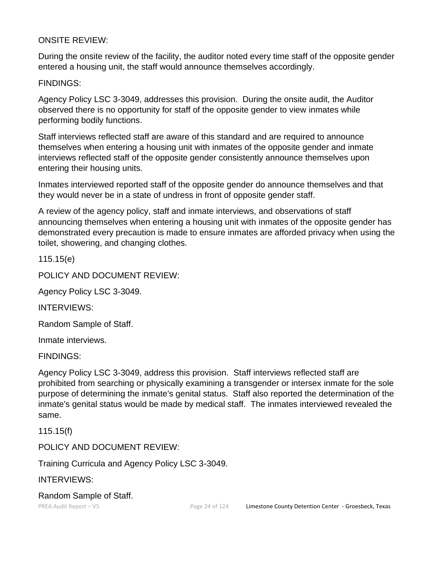### ONSITE REVIEW:

During the onsite review of the facility, the auditor noted every time staff of the opposite gender entered a housing unit, the staff would announce themselves accordingly.

### FINDINGS:

Agency Policy LSC 3-3049, addresses this provision. During the onsite audit, the Auditor observed there is no opportunity for staff of the opposite gender to view inmates while performing bodily functions.

Staff interviews reflected staff are aware of this standard and are required to announce themselves when entering a housing unit with inmates of the opposite gender and inmate interviews reflected staff of the opposite gender consistently announce themselves upon entering their housing units.

Inmates interviewed reported staff of the opposite gender do announce themselves and that they would never be in a state of undress in front of opposite gender staff.

A review of the agency policy, staff and inmate interviews, and observations of staff announcing themselves when entering a housing unit with inmates of the opposite gender has demonstrated every precaution is made to ensure inmates are afforded privacy when using the toilet, showering, and changing clothes.

115.15(e)

POLICY AND DOCUMENT REVIEW:

Agency Policy LSC 3-3049.

INTERVIEWS:

Random Sample of Staff.

Inmate interviews.

FINDINGS:

Agency Policy LSC 3-3049, address this provision. Staff interviews reflected staff are prohibited from searching or physically examining a transgender or intersex inmate for the sole purpose of determining the inmate's genital status. Staff also reported the determination of the inmate's genital status would be made by medical staff. The inmates interviewed revealed the same.

115.15(f)

POLICY AND DOCUMENT REVIEW:

Training Curricula and Agency Policy LSC 3-3049.

INTERVIEWS:

Random Sample of Staff.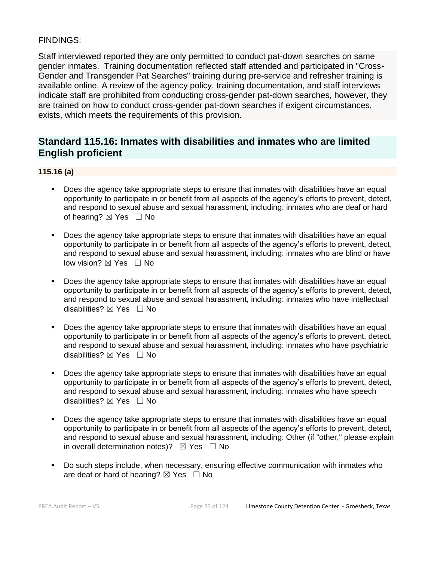### FINDINGS:

Staff interviewed reported they are only permitted to conduct pat-down searches on same gender inmates. Training documentation reflected staff attended and participated in "Cross-Gender and Transgender Pat Searches" training during pre-service and refresher training is available online. A review of the agency policy, training documentation, and staff interviews indicate staff are prohibited from conducting cross-gender pat-down searches, however, they are trained on how to conduct cross-gender pat-down searches if exigent circumstances, exists, which meets the requirements of this provision.

# **Standard 115.16: Inmates with disabilities and inmates who are limited English proficient**

#### **115.16 (a)**

- Does the agency take appropriate steps to ensure that inmates with disabilities have an equal opportunity to participate in or benefit from all aspects of the agency's efforts to prevent, detect, and respond to sexual abuse and sexual harassment, including: inmates who are deaf or hard of hearing?  $\boxtimes$  Yes  $\Box$  No
- Does the agency take appropriate steps to ensure that inmates with disabilities have an equal opportunity to participate in or benefit from all aspects of the agency's efforts to prevent, detect, and respond to sexual abuse and sexual harassment, including: inmates who are blind or have low vision?  $\boxtimes$  Yes  $\Box$  No
- Does the agency take appropriate steps to ensure that inmates with disabilities have an equal opportunity to participate in or benefit from all aspects of the agency's efforts to prevent, detect, and respond to sexual abuse and sexual harassment, including: inmates who have intellectual disabilities? ⊠ Yes □ No
- Does the agency take appropriate steps to ensure that inmates with disabilities have an equal opportunity to participate in or benefit from all aspects of the agency's efforts to prevent, detect, and respond to sexual abuse and sexual harassment, including: inmates who have psychiatric disabilities? ☒ Yes ☐ No
- Does the agency take appropriate steps to ensure that inmates with disabilities have an equal opportunity to participate in or benefit from all aspects of the agency's efforts to prevent, detect, and respond to sexual abuse and sexual harassment, including: inmates who have speech disabilities?  $\boxtimes$  Yes  $\Box$  No
- Does the agency take appropriate steps to ensure that inmates with disabilities have an equal opportunity to participate in or benefit from all aspects of the agency's efforts to prevent, detect, and respond to sexual abuse and sexual harassment, including: Other (if "other," please explain in overall determination notes)?  $\boxtimes$  Yes  $\Box$  No
- Do such steps include, when necessary, ensuring effective communication with inmates who are deaf or hard of hearing?  $\boxtimes$  Yes  $\Box$  No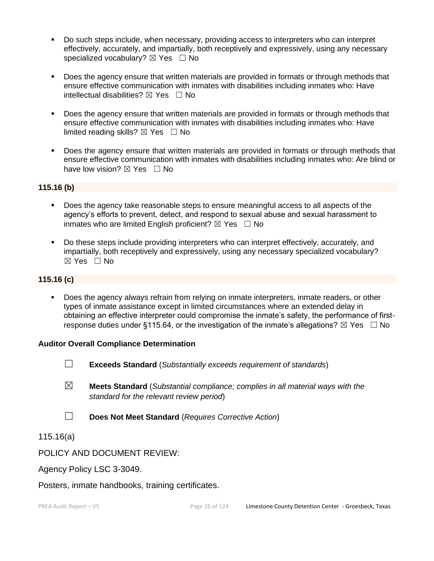- Do such steps include, when necessary, providing access to interpreters who can interpret effectively, accurately, and impartially, both receptively and expressively, using any necessary specialized vocabulary?  $\boxtimes$  Yes  $\Box$  No
- Does the agency ensure that written materials are provided in formats or through methods that ensure effective communication with inmates with disabilities including inmates who: Have intellectual disabilities?  $\boxtimes$  Yes  $\Box$  No
- **•** Does the agency ensure that written materials are provided in formats or through methods that ensure effective communication with inmates with disabilities including inmates who: Have limited reading skills?  $\boxtimes$  Yes  $\Box$  No
- **•** Does the agency ensure that written materials are provided in formats or through methods that ensure effective communication with inmates with disabilities including inmates who: Are blind or have low vision?  $\boxtimes$  Yes  $\Box$  No

### **115.16 (b)**

- Does the agency take reasonable steps to ensure meaningful access to all aspects of the agency's efforts to prevent, detect, and respond to sexual abuse and sexual harassment to inmates who are limited English proficient?  $\boxtimes$  Yes  $\Box$  No
- Do these steps include providing interpreters who can interpret effectively, accurately, and impartially, both receptively and expressively, using any necessary specialized vocabulary? ☒ Yes ☐ No

#### **115.16 (c)**

Does the agency always refrain from relying on inmate interpreters, inmate readers, or other types of inmate assistance except in limited circumstances where an extended delay in obtaining an effective interpreter could compromise the inmate's safety, the performance of firstresponse duties under §115.64, or the investigation of the inmate's allegations?  $\boxtimes$  Yes  $\Box$  No

#### **Auditor Overall Compliance Determination**

- ☐ **Exceeds Standard** (*Substantially exceeds requirement of standards*)
- ☒ **Meets Standard** (*Substantial compliance; complies in all material ways with the standard for the relevant review period*)
- ☐ **Does Not Meet Standard** (*Requires Corrective Action*)

115.16(a)

### POLICY AND DOCUMENT REVIEW:

Agency Policy LSC 3-3049.

Posters, inmate handbooks, training certificates.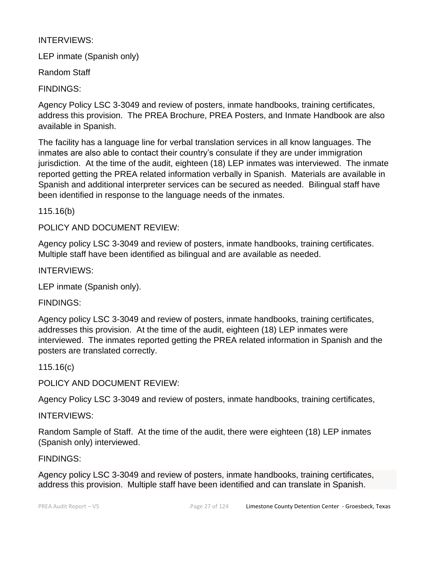### INTERVIEWS:

LEP inmate (Spanish only)

Random Staff

FINDINGS:

Agency Policy LSC 3-3049 and review of posters, inmate handbooks, training certificates, address this provision. The PREA Brochure, PREA Posters, and Inmate Handbook are also available in Spanish.

The facility has a language line for verbal translation services in all know languages. The inmates are also able to contact their country's consulate if they are under immigration jurisdiction. At the time of the audit, eighteen (18) LEP inmates was interviewed. The inmate reported getting the PREA related information verbally in Spanish. Materials are available in Spanish and additional interpreter services can be secured as needed. Bilingual staff have been identified in response to the language needs of the inmates.

115.16(b)

POLICY AND DOCUMENT REVIEW:

Agency policy LSC 3-3049 and review of posters, inmate handbooks, training certificates. Multiple staff have been identified as bilingual and are available as needed.

INTERVIEWS:

LEP inmate (Spanish only).

FINDINGS:

Agency policy LSC 3-3049 and review of posters, inmate handbooks, training certificates, addresses this provision. At the time of the audit, eighteen (18) LEP inmates were interviewed. The inmates reported getting the PREA related information in Spanish and the posters are translated correctly.

115.16(c)

POLICY AND DOCUMENT REVIEW:

Agency Policy LSC 3-3049 and review of posters, inmate handbooks, training certificates,

INTERVIEWS:

Random Sample of Staff. At the time of the audit, there were eighteen (18) LEP inmates (Spanish only) interviewed.

FINDINGS:

Agency policy LSC 3-3049 and review of posters, inmate handbooks, training certificates, address this provision. Multiple staff have been identified and can translate in Spanish.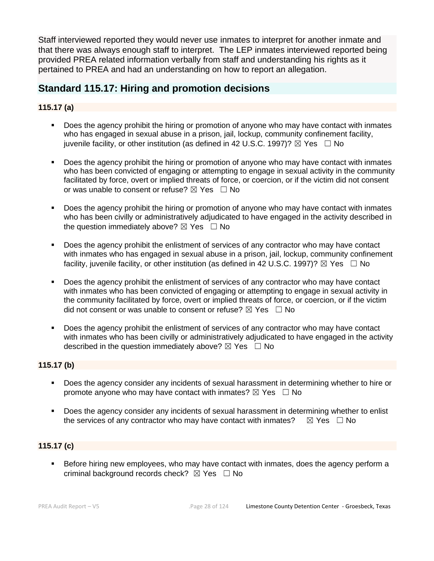Staff interviewed reported they would never use inmates to interpret for another inmate and that there was always enough staff to interpret. The LEP inmates interviewed reported being provided PREA related information verbally from staff and understanding his rights as it pertained to PREA and had an understanding on how to report an allegation.

# **Standard 115.17: Hiring and promotion decisions**

### **115.17 (a)**

- Does the agency prohibit the hiring or promotion of anyone who may have contact with inmates who has engaged in sexual abuse in a prison, jail, lockup, community confinement facility, juvenile facility, or other institution (as defined in 42 U.S.C. 1997)?  $\boxtimes$  Yes  $\Box$  No
- Does the agency prohibit the hiring or promotion of anyone who may have contact with inmates who has been convicted of engaging or attempting to engage in sexual activity in the community facilitated by force, overt or implied threats of force, or coercion, or if the victim did not consent or was unable to consent or refuse?  $\boxtimes$  Yes  $\Box$  No
- Does the agency prohibit the hiring or promotion of anyone who may have contact with inmates who has been civilly or administratively adjudicated to have engaged in the activity described in the question immediately above?  $\boxtimes$  Yes  $\Box$  No
- Does the agency prohibit the enlistment of services of any contractor who may have contact with inmates who has engaged in sexual abuse in a prison, jail, lockup, community confinement facility, juvenile facility, or other institution (as defined in 42 U.S.C. 1997)?  $\boxtimes$  Yes  $\Box$  No
- Does the agency prohibit the enlistment of services of any contractor who may have contact with inmates who has been convicted of engaging or attempting to engage in sexual activity in the community facilitated by force, overt or implied threats of force, or coercion, or if the victim did not consent or was unable to consent or refuse?  $\boxtimes$  Yes  $\Box$  No
- Does the agency prohibit the enlistment of services of any contractor who may have contact with inmates who has been civilly or administratively adjudicated to have engaged in the activity described in the question immediately above?  $\boxtimes$  Yes  $\Box$  No

#### **115.17 (b)**

- Does the agency consider any incidents of sexual harassment in determining whether to hire or promote anyone who may have contact with inmates?  $\boxtimes$  Yes  $\Box$  No
- **•** Does the agency consider any incidents of sexual harassment in determining whether to enlist the services of any contractor who may have contact with inmates?  $\boxtimes$  Yes  $\Box$  No

### **115.17 (c)**

Before hiring new employees, who may have contact with inmates, does the agency perform a criminal background records check?  $\boxtimes$  Yes  $\Box$  No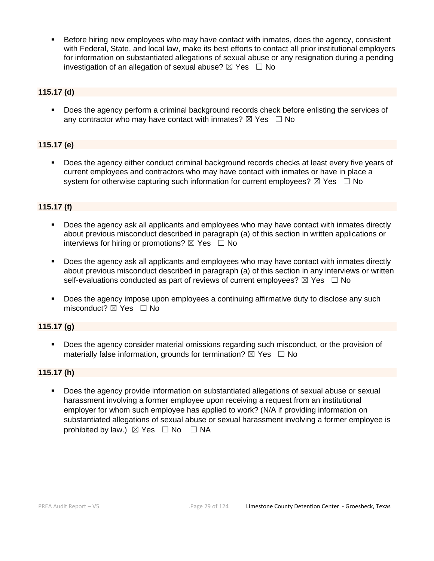Before hiring new employees who may have contact with inmates, does the agency, consistent with Federal, State, and local law, make its best efforts to contact all prior institutional employers for information on substantiated allegations of sexual abuse or any resignation during a pending investigation of an allegation of sexual abuse?  $\boxtimes$  Yes  $\Box$  No

### **115.17 (d)**

▪ Does the agency perform a criminal background records check before enlisting the services of any contractor who may have contact with inmates?  $\boxtimes$  Yes  $\Box$  No

### **115.17 (e)**

Does the agency either conduct criminal background records checks at least every five years of current employees and contractors who may have contact with inmates or have in place a system for otherwise capturing such information for current employees?  $\boxtimes$  Yes  $\Box$  No

### **115.17 (f)**

- Does the agency ask all applicants and employees who may have contact with inmates directly about previous misconduct described in paragraph (a) of this section in written applications or interviews for hiring or promotions?  $\boxtimes$  Yes  $\Box$  No
- Does the agency ask all applicants and employees who may have contact with inmates directly about previous misconduct described in paragraph (a) of this section in any interviews or written self-evaluations conducted as part of reviews of current employees?  $\boxtimes$  Yes  $\Box$  No
- Does the agency impose upon employees a continuing affirmative duty to disclose any such misconduct?  $\boxtimes$  Yes  $\Box$  No

### **115.17 (g)**

▪ Does the agency consider material omissions regarding such misconduct, or the provision of materially false information, grounds for termination?  $\boxtimes$  Yes  $\Box$  No

#### **115.17 (h)**

Does the agency provide information on substantiated allegations of sexual abuse or sexual harassment involving a former employee upon receiving a request from an institutional employer for whom such employee has applied to work? (N/A if providing information on substantiated allegations of sexual abuse or sexual harassment involving a former employee is prohibited by law.)  $\boxtimes$  Yes  $\Box$  No  $\Box$  NA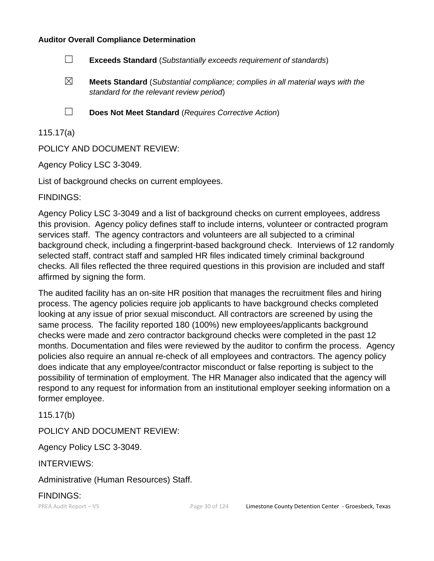#### **Auditor Overall Compliance Determination**

- ☐ **Exceeds Standard** (*Substantially exceeds requirement of standards*)
- ☒ **Meets Standard** (*Substantial compliance; complies in all material ways with the standard for the relevant review period*)
- 
- ☐ **Does Not Meet Standard** (*Requires Corrective Action*)

### 115.17(a)

POLICY AND DOCUMENT REVIEW:

Agency Policy LSC 3-3049.

List of background checks on current employees.

FINDINGS:

Agency Policy LSC 3-3049 and a list of background checks on current employees, address this provision. Agency policy defines staff to include interns, volunteer or contracted program services staff. The agency contractors and volunteers are all subjected to a criminal background check, including a fingerprint-based background check. Interviews of 12 randomly selected staff, contract staff and sampled HR files indicated timely criminal background checks. All files reflected the three required questions in this provision are included and staff affirmed by signing the form.

The audited facility has an on-site HR position that manages the recruitment files and hiring process. The agency policies require job applicants to have background checks completed looking at any issue of prior sexual misconduct. All contractors are screened by using the same process. The facility reported 180 (100%) new employees/applicants background checks were made and zero contractor background checks were completed in the past 12 months. Documentation and files were reviewed by the auditor to confirm the process. Agency policies also require an annual re-check of all employees and contractors. The agency policy does indicate that any employee/contractor misconduct or false reporting is subject to the possibility of termination of employment. The HR Manager also indicated that the agency will respond to any request for information from an institutional employer seeking information on a former employee.

115.17(b)

POLICY AND DOCUMENT REVIEW:

Agency Policy LSC 3-3049.

INTERVIEWS:

Administrative (Human Resources) Staff.

FINDINGS: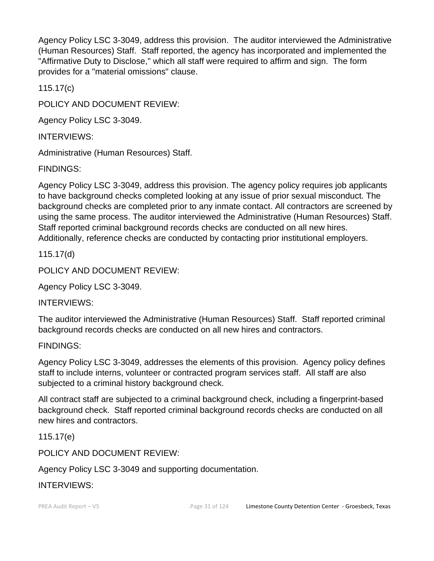Agency Policy LSC 3-3049, address this provision. The auditor interviewed the Administrative (Human Resources) Staff. Staff reported, the agency has incorporated and implemented the "Affirmative Duty to Disclose," which all staff were required to affirm and sign. The form provides for a "material omissions" clause.

115.17(c)

POLICY AND DOCUMENT REVIEW:

Agency Policy LSC 3-3049.

INTERVIEWS:

Administrative (Human Resources) Staff.

FINDINGS:

Agency Policy LSC 3-3049, address this provision. The agency policy requires job applicants to have background checks completed looking at any issue of prior sexual misconduct. The background checks are completed prior to any inmate contact. All contractors are screened by using the same process. The auditor interviewed the Administrative (Human Resources) Staff. Staff reported criminal background records checks are conducted on all new hires. Additionally, reference checks are conducted by contacting prior institutional employers.

115.17(d)

POLICY AND DOCUMENT REVIEW:

Agency Policy LSC 3-3049.

INTERVIEWS:

The auditor interviewed the Administrative (Human Resources) Staff. Staff reported criminal background records checks are conducted on all new hires and contractors.

### FINDINGS:

Agency Policy LSC 3-3049, addresses the elements of this provision. Agency policy defines staff to include interns, volunteer or contracted program services staff. All staff are also subjected to a criminal history background check.

All contract staff are subjected to a criminal background check, including a fingerprint-based background check. Staff reported criminal background records checks are conducted on all new hires and contractors.

115.17(e)

POLICY AND DOCUMENT REVIEW:

Agency Policy LSC 3-3049 and supporting documentation.

INTERVIEWS: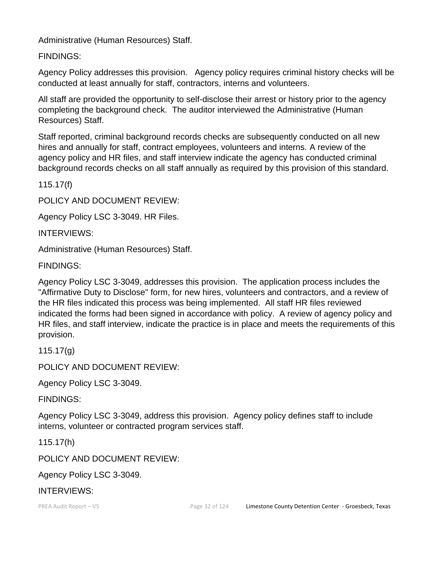Administrative (Human Resources) Staff.

FINDINGS:

Agency Policy addresses this provision. Agency policy requires criminal history checks will be conducted at least annually for staff, contractors, interns and volunteers.

All staff are provided the opportunity to self-disclose their arrest or history prior to the agency completing the background check. The auditor interviewed the Administrative (Human Resources) Staff.

Staff reported, criminal background records checks are subsequently conducted on all new hires and annually for staff, contract employees, volunteers and interns. A review of the agency policy and HR files, and staff interview indicate the agency has conducted criminal background records checks on all staff annually as required by this provision of this standard.

115.17(f)

POLICY AND DOCUMENT REVIEW:

Agency Policy LSC 3-3049. HR Files.

INTERVIEWS:

Administrative (Human Resources) Staff.

FINDINGS:

Agency Policy LSC 3-3049, addresses this provision. The application process includes the "Affirmative Duty to Disclose" form, for new hires, volunteers and contractors, and a review of the HR files indicated this process was being implemented. All staff HR files reviewed indicated the forms had been signed in accordance with policy. A review of agency policy and HR files, and staff interview, indicate the practice is in place and meets the requirements of this provision.

115.17(g)

POLICY AND DOCUMENT REVIEW:

Agency Policy LSC 3-3049.

FINDINGS:

Agency Policy LSC 3-3049, address this provision. Agency policy defines staff to include interns, volunteer or contracted program services staff.

115.17(h)

POLICY AND DOCUMENT REVIEW:

Agency Policy LSC 3-3049.

## INTERVIEWS: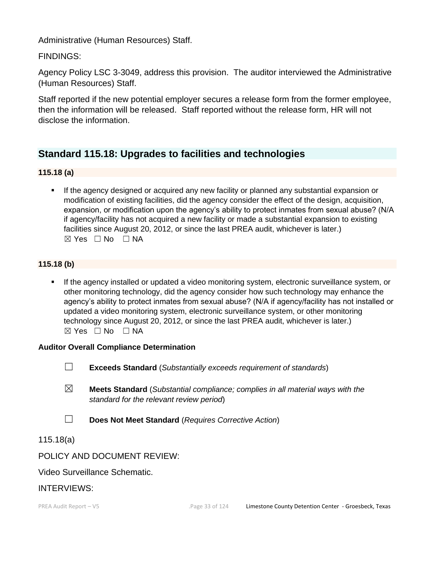Administrative (Human Resources) Staff.

FINDINGS:

Agency Policy LSC 3-3049, address this provision. The auditor interviewed the Administrative (Human Resources) Staff.

Staff reported if the new potential employer secures a release form from the former employee, then the information will be released. Staff reported without the release form, HR will not disclose the information.

# **Standard 115.18: Upgrades to facilities and technologies**

### **115.18 (a)**

If the agency designed or acquired any new facility or planned any substantial expansion or modification of existing facilities, did the agency consider the effect of the design, acquisition, expansion, or modification upon the agency's ability to protect inmates from sexual abuse? (N/A if agency/facility has not acquired a new facility or made a substantial expansion to existing facilities since August 20, 2012, or since the last PREA audit, whichever is later.)  $\boxtimes$  Yes  $\Box$  No  $\Box$  NA

### **115.18 (b)**

**.** If the agency installed or updated a video monitoring system, electronic surveillance system, or other monitoring technology, did the agency consider how such technology may enhance the agency's ability to protect inmates from sexual abuse? (N/A if agency/facility has not installed or updated a video monitoring system, electronic surveillance system, or other monitoring technology since August 20, 2012, or since the last PREA audit, whichever is later.)  $\boxtimes$  Yes  $\Box$  No  $\Box$  NA

### **Auditor Overall Compliance Determination**

- ☐ **Exceeds Standard** (*Substantially exceeds requirement of standards*)
- ☒ **Meets Standard** (*Substantial compliance; complies in all material ways with the standard for the relevant review period*)
- ☐ **Does Not Meet Standard** (*Requires Corrective Action*)

### 115.18(a)

POLICY AND DOCUMENT REVIEW:

### Video Surveillance Schematic.

### INTERVIEWS: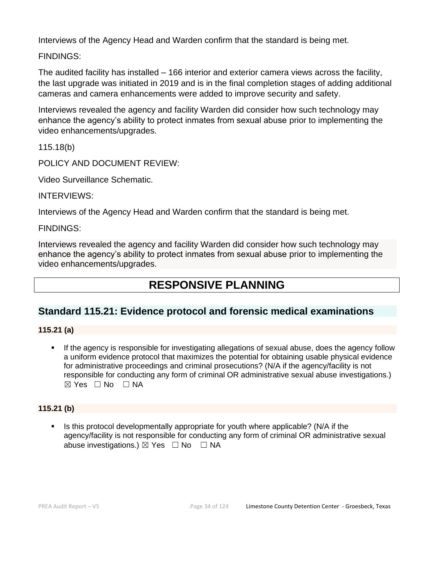Interviews of the Agency Head and Warden confirm that the standard is being met.

FINDINGS:

The audited facility has installed – 166 interior and exterior camera views across the facility, the last upgrade was initiated in 2019 and is in the final completion stages of adding additional cameras and camera enhancements were added to improve security and safety.

Interviews revealed the agency and facility Warden did consider how such technology may enhance the agency's ability to protect inmates from sexual abuse prior to implementing the video enhancements/upgrades.

115.18(b)

POLICY AND DOCUMENT REVIEW:

Video Surveillance Schematic.

INTERVIEWS:

Interviews of the Agency Head and Warden confirm that the standard is being met.

### FINDINGS:

Interviews revealed the agency and facility Warden did consider how such technology may enhance the agency's ability to protect inmates from sexual abuse prior to implementing the video enhancements/upgrades.

# **RESPONSIVE PLANNING**

## **Standard 115.21: Evidence protocol and forensic medical examinations**

### **115.21 (a)**

**.** If the agency is responsible for investigating allegations of sexual abuse, does the agency follow a uniform evidence protocol that maximizes the potential for obtaining usable physical evidence for administrative proceedings and criminal prosecutions? (N/A if the agency/facility is not responsible for conducting any form of criminal OR administrative sexual abuse investigations.)  $\boxtimes$  Yes  $\Box$  No  $\Box$  NA

### **115.21 (b)**

Is this protocol developmentally appropriate for youth where applicable? (N/A if the agency/facility is not responsible for conducting any form of criminal OR administrative sexual abuse investigations.)  $\boxtimes$  Yes  $\Box$  No  $\Box$  NA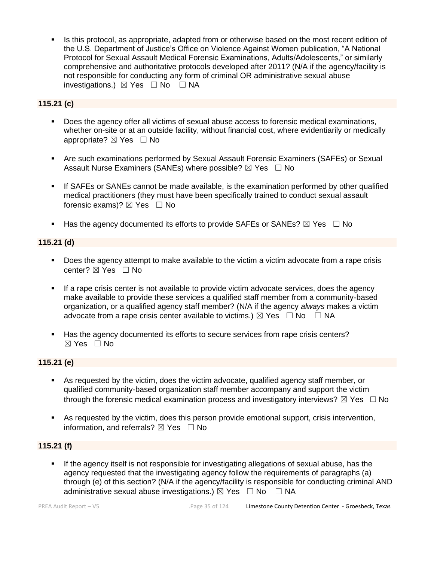Is this protocol, as appropriate, adapted from or otherwise based on the most recent edition of the U.S. Department of Justice's Office on Violence Against Women publication, "A National Protocol for Sexual Assault Medical Forensic Examinations, Adults/Adolescents," or similarly comprehensive and authoritative protocols developed after 2011? (N/A if the agency/facility is not responsible for conducting any form of criminal OR administrative sexual abuse investigations.)  $\boxtimes$  Yes  $\Box$  No  $\Box$  NA

### **115.21 (c)**

- Does the agency offer all victims of sexual abuse access to forensic medical examinations, whether on-site or at an outside facility, without financial cost, where evidentiarily or medically appropriate?  $\boxtimes$  Yes  $\Box$  No
- Are such examinations performed by Sexual Assault Forensic Examiners (SAFEs) or Sexual Assault Nurse Examiners (SANEs) where possible?  $\boxtimes$  Yes  $\Box$  No
- **.** If SAFEs or SANEs cannot be made available, is the examination performed by other qualified medical practitioners (they must have been specifically trained to conduct sexual assault forensic exams)?  $\boxtimes$  Yes  $\Box$  No
- **■** Has the agency documented its efforts to provide SAFEs or SANEs?  $\boxtimes$  Yes  $\Box$  No

### **115.21 (d)**

- Does the agency attempt to make available to the victim a victim advocate from a rape crisis center? ⊠ Yes □ No
- **EXT** If a rape crisis center is not available to provide victim advocate services, does the agency make available to provide these services a qualified staff member from a community-based organization, or a qualified agency staff member? (N/A if the agency *always* makes a victim advocate from a rape crisis center available to victims.)  $\boxtimes$  Yes  $\Box$  No  $\Box$  NA
- Has the agency documented its efforts to secure services from rape crisis centers?  $\boxtimes$  Yes  $\Box$  No

### **115.21 (e)**

- As requested by the victim, does the victim advocate, qualified agency staff member, or qualified community-based organization staff member accompany and support the victim through the forensic medical examination process and investigatory interviews?  $\boxtimes$  Yes  $\Box$  No
- As requested by the victim, does this person provide emotional support, crisis intervention, information, and referrals?  $\boxtimes$  Yes  $\Box$  No

### **115.21 (f)**

If the agency itself is not responsible for investigating allegations of sexual abuse, has the agency requested that the investigating agency follow the requirements of paragraphs (a) through (e) of this section? (N/A if the agency/facility is responsible for conducting criminal AND administrative sexual abuse investigations.)  $\boxtimes$  Yes  $\Box$  No  $\Box$  NA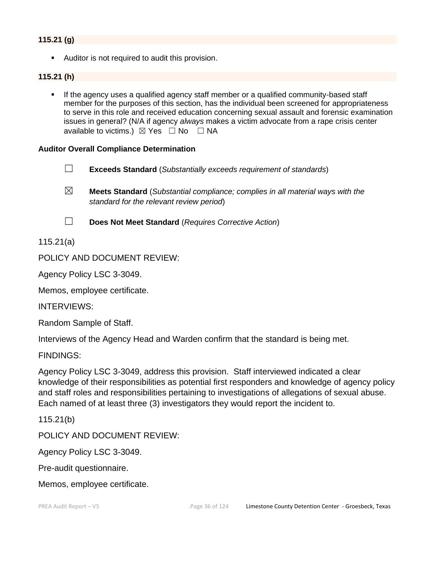### **115.21 (g)**

■ Auditor is not required to audit this provision.

#### **115.21 (h)**

If the agency uses a qualified agency staff member or a qualified community-based staff member for the purposes of this section, has the individual been screened for appropriateness to serve in this role and received education concerning sexual assault and forensic examination issues in general? (N/A if agency *always* makes a victim advocate from a rape crisis center available to victims.)  $\boxtimes$  Yes  $\Box$  No  $\Box$  NA

#### **Auditor Overall Compliance Determination**

- ☐ **Exceeds Standard** (*Substantially exceeds requirement of standards*)
- ☒ **Meets Standard** (*Substantial compliance; complies in all material ways with the standard for the relevant review period*)
- 

☐ **Does Not Meet Standard** (*Requires Corrective Action*)

115.21(a)

POLICY AND DOCUMENT REVIEW:

Agency Policy LSC 3-3049.

Memos, employee certificate.

INTERVIEWS:

Random Sample of Staff.

Interviews of the Agency Head and Warden confirm that the standard is being met.

FINDINGS:

Agency Policy LSC 3-3049, address this provision. Staff interviewed indicated a clear knowledge of their responsibilities as potential first responders and knowledge of agency policy and staff roles and responsibilities pertaining to investigations of allegations of sexual abuse. Each named of at least three (3) investigators they would report the incident to.

115.21(b)

POLICY AND DOCUMENT REVIEW:

Agency Policy LSC 3-3049.

Pre-audit questionnaire.

Memos, employee certificate.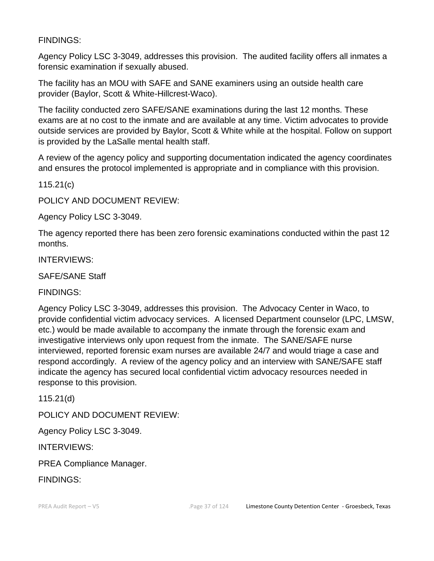FINDINGS:

Agency Policy LSC 3-3049, addresses this provision. The audited facility offers all inmates a forensic examination if sexually abused.

The facility has an MOU with SAFE and SANE examiners using an outside health care provider (Baylor, Scott & White-Hillcrest-Waco).

The facility conducted zero SAFE/SANE examinations during the last 12 months. These exams are at no cost to the inmate and are available at any time. Victim advocates to provide outside services are provided by Baylor, Scott & White while at the hospital. Follow on support is provided by the LaSalle mental health staff.

A review of the agency policy and supporting documentation indicated the agency coordinates and ensures the protocol implemented is appropriate and in compliance with this provision.

115.21(c)

POLICY AND DOCUMENT REVIEW:

Agency Policy LSC 3-3049.

The agency reported there has been zero forensic examinations conducted within the past 12 months.

INTERVIEWS:

SAFE/SANE Staff

FINDINGS:

Agency Policy LSC 3-3049, addresses this provision. The Advocacy Center in Waco, to provide confidential victim advocacy services. A licensed Department counselor (LPC, LMSW, etc.) would be made available to accompany the inmate through the forensic exam and investigative interviews only upon request from the inmate. The SANE/SAFE nurse interviewed, reported forensic exam nurses are available 24/7 and would triage a case and respond accordingly. A review of the agency policy and an interview with SANE/SAFE staff indicate the agency has secured local confidential victim advocacy resources needed in response to this provision.

115.21(d)

POLICY AND DOCUMENT REVIEW:

Agency Policy LSC 3-3049.

INTERVIEWS:

PREA Compliance Manager.

FINDINGS: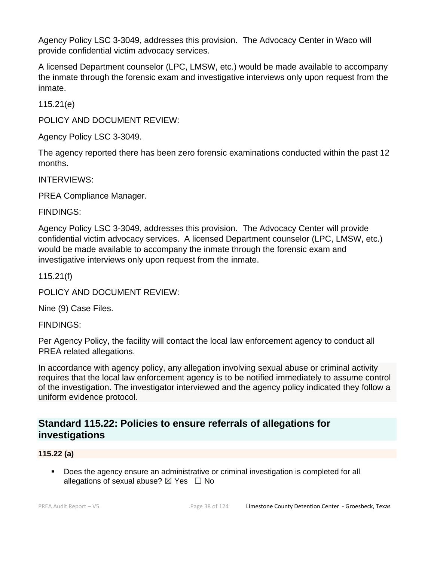Agency Policy LSC 3-3049, addresses this provision. The Advocacy Center in Waco will provide confidential victim advocacy services.

A licensed Department counselor (LPC, LMSW, etc.) would be made available to accompany the inmate through the forensic exam and investigative interviews only upon request from the inmate.

115.21(e)

POLICY AND DOCUMENT REVIEW:

Agency Policy LSC 3-3049.

The agency reported there has been zero forensic examinations conducted within the past 12 months.

INTERVIEWS:

PREA Compliance Manager.

FINDINGS:

Agency Policy LSC 3-3049, addresses this provision. The Advocacy Center will provide confidential victim advocacy services. A licensed Department counselor (LPC, LMSW, etc.) would be made available to accompany the inmate through the forensic exam and investigative interviews only upon request from the inmate.

115.21(f)

POLICY AND DOCUMENT REVIEW:

Nine (9) Case Files.

FINDINGS:

Per Agency Policy, the facility will contact the local law enforcement agency to conduct all PREA related allegations.

In accordance with agency policy, any allegation involving sexual abuse or criminal activity requires that the local law enforcement agency is to be notified immediately to assume control of the investigation. The investigator interviewed and the agency policy indicated they follow a uniform evidence protocol.

## **Standard 115.22: Policies to ensure referrals of allegations for investigations**

## **115.22 (a)**

▪ Does the agency ensure an administrative or criminal investigation is completed for all allegations of sexual abuse?  $\boxtimes$  Yes  $\Box$  No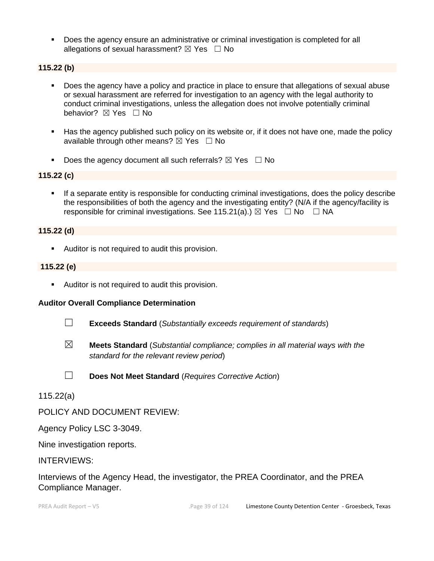▪ Does the agency ensure an administrative or criminal investigation is completed for all allegations of sexual harassment?  $\boxtimes$  Yes  $\Box$  No

#### **115.22 (b)**

- Does the agency have a policy and practice in place to ensure that allegations of sexual abuse or sexual harassment are referred for investigation to an agency with the legal authority to conduct criminal investigations, unless the allegation does not involve potentially criminal behavior? **⊠** Yes □ No
- Has the agency published such policy on its website or, if it does not have one, made the policy available through other means?  $\boxtimes$  Yes  $\Box$  No
- **•** Does the agency document all such referrals?  $\boxtimes$  Yes  $\Box$  No

#### **115.22 (c)**

**•** If a separate entity is responsible for conducting criminal investigations, does the policy describe the responsibilities of both the agency and the investigating entity? (N/A if the agency/facility is responsible for criminal investigations. See 115.21(a).)  $\boxtimes$  Yes  $\Box$  No  $\Box$  NA

#### **115.22 (d)**

■ Auditor is not required to audit this provision.

#### **115.22 (e)**

■ Auditor is not required to audit this provision.

#### **Auditor Overall Compliance Determination**

- ☐ **Exceeds Standard** (*Substantially exceeds requirement of standards*)
- ☒ **Meets Standard** (*Substantial compliance; complies in all material ways with the standard for the relevant review period*)
- ☐ **Does Not Meet Standard** (*Requires Corrective Action*)

### 115.22(a)

POLICY AND DOCUMENT REVIEW:

Agency Policy LSC 3-3049.

Nine investigation reports.

#### INTERVIEWS:

Interviews of the Agency Head, the investigator, the PREA Coordinator, and the PREA Compliance Manager.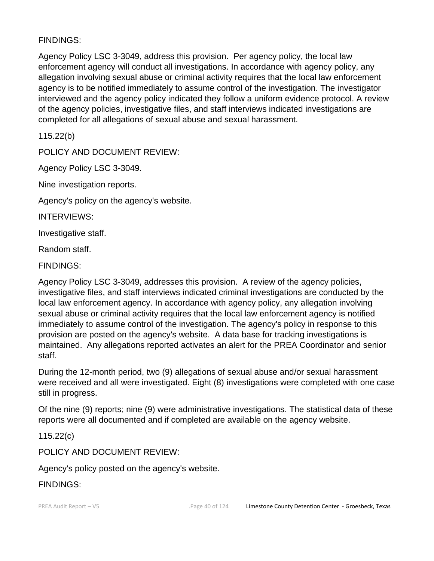## FINDINGS:

Agency Policy LSC 3-3049, address this provision. Per agency policy, the local law enforcement agency will conduct all investigations. In accordance with agency policy, any allegation involving sexual abuse or criminal activity requires that the local law enforcement agency is to be notified immediately to assume control of the investigation. The investigator interviewed and the agency policy indicated they follow a uniform evidence protocol. A review of the agency policies, investigative files, and staff interviews indicated investigations are completed for all allegations of sexual abuse and sexual harassment.

115.22(b)

POLICY AND DOCUMENT REVIEW:

Agency Policy LSC 3-3049.

Nine investigation reports.

Agency's policy on the agency's website.

INTERVIEWS:

Investigative staff.

Random staff.

FINDINGS:

Agency Policy LSC 3-3049, addresses this provision. A review of the agency policies, investigative files, and staff interviews indicated criminal investigations are conducted by the local law enforcement agency. In accordance with agency policy, any allegation involving sexual abuse or criminal activity requires that the local law enforcement agency is notified immediately to assume control of the investigation. The agency's policy in response to this provision are posted on the agency's website. A data base for tracking investigations is maintained. Any allegations reported activates an alert for the PREA Coordinator and senior staff.

During the 12-month period, two (9) allegations of sexual abuse and/or sexual harassment were received and all were investigated. Eight (8) investigations were completed with one case still in progress.

Of the nine (9) reports; nine (9) were administrative investigations. The statistical data of these reports were all documented and if completed are available on the agency website.

115.22(c)

POLICY AND DOCUMENT REVIEW:

Agency's policy posted on the agency's website.

FINDINGS: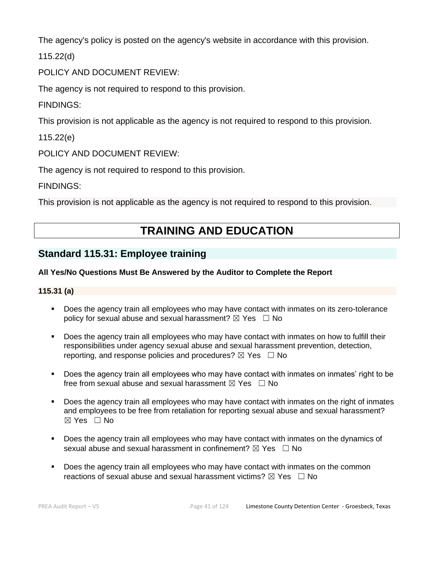The agency's policy is posted on the agency's website in accordance with this provision.

115.22(d)

POLICY AND DOCUMENT REVIEW:

The agency is not required to respond to this provision.

FINDINGS:

This provision is not applicable as the agency is not required to respond to this provision.

115.22(e)

POLICY AND DOCUMENT REVIEW:

The agency is not required to respond to this provision.

FINDINGS:

This provision is not applicable as the agency is not required to respond to this provision.

# **TRAINING AND EDUCATION**

## **Standard 115.31: Employee training**

### **All Yes/No Questions Must Be Answered by the Auditor to Complete the Report**

### **115.31 (a)**

- Does the agency train all employees who may have contact with inmates on its zero-tolerance policy for sexual abuse and sexual harassment?  $\boxtimes$  Yes  $\Box$  No
- **•** Does the agency train all employees who may have contact with inmates on how to fulfill their responsibilities under agency sexual abuse and sexual harassment prevention, detection, reporting, and response policies and procedures?  $\boxtimes$  Yes  $\Box$  No
- Does the agency train all employees who may have contact with inmates on inmates' right to be free from sexual abuse and sexual harassment  $\boxtimes$  Yes  $\Box$  No
- Does the agency train all employees who may have contact with inmates on the right of inmates and employees to be free from retaliation for reporting sexual abuse and sexual harassment? ☒ Yes ☐ No
- Does the agency train all employees who may have contact with inmates on the dynamics of sexual abuse and sexual harassment in confinement?  $\boxtimes$  Yes  $\Box$  No
- **•** Does the agency train all employees who may have contact with inmates on the common reactions of sexual abuse and sexual harassment victims?  $\boxtimes$  Yes  $\Box$  No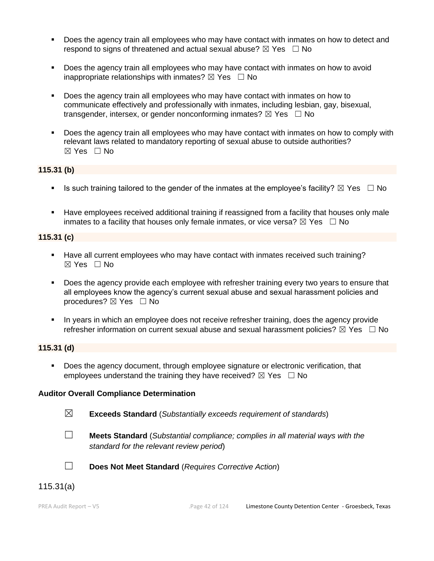- **Does the agency train all employees who may have contact with inmates on how to detect and** respond to signs of threatened and actual sexual abuse?  $\boxtimes$  Yes  $\Box$  No
- Does the agency train all employees who may have contact with inmates on how to avoid inappropriate relationships with inmates?  $\boxtimes$  Yes  $\Box$  No
- Does the agency train all employees who may have contact with inmates on how to communicate effectively and professionally with inmates, including lesbian, gay, bisexual, transgender, intersex, or gender nonconforming inmates?  $\boxtimes$  Yes  $\Box$  No
- Does the agency train all employees who may have contact with inmates on how to comply with relevant laws related to mandatory reporting of sexual abuse to outside authorities? ☒ Yes ☐ No

### **115.31 (b)**

- **■** Is such training tailored to the gender of the inmates at the employee's facility?  $\boxtimes$  Yes  $\Box$  No
- **EXECT** Have employees received additional training if reassigned from a facility that houses only male inmates to a facility that houses only female inmates, or vice versa?  $\boxtimes$  Yes  $\Box$  No

## **115.31 (c)**

- Have all current employees who may have contact with inmates received such training?  $\boxtimes$  Yes  $\Box$  No
- Does the agency provide each employee with refresher training every two years to ensure that all employees know the agency's current sexual abuse and sexual harassment policies and procedures?  $\boxtimes$  Yes  $\Box$  No
- In years in which an employee does not receive refresher training, does the agency provide refresher information on current sexual abuse and sexual harassment policies?  $\boxtimes$  Yes  $\Box$  No

### **115.31 (d)**

▪ Does the agency document, through employee signature or electronic verification, that employees understand the training they have received?  $\boxtimes$  Yes  $\Box$  No

## **Auditor Overall Compliance Determination**

- 
- ☒ **Exceeds Standard** (*Substantially exceeds requirement of standards*)
- 
- ☐ **Meets Standard** (*Substantial compliance; complies in all material ways with the standard for the relevant review period*)



☐ **Does Not Meet Standard** (*Requires Corrective Action*)

## 115.31(a)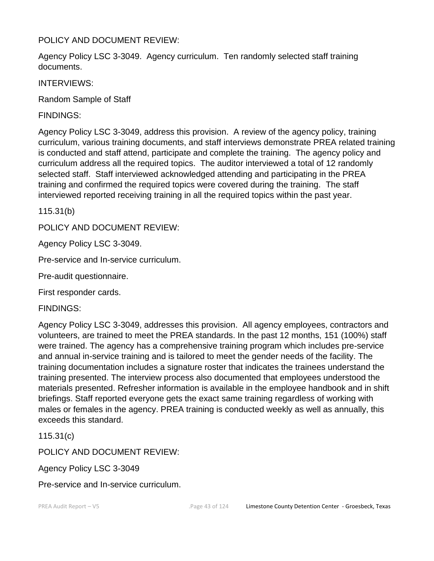## POLICY AND DOCUMENT REVIEW:

Agency Policy LSC 3-3049. Agency curriculum. Ten randomly selected staff training documents.

INTERVIEWS:

Random Sample of Staff

FINDINGS:

Agency Policy LSC 3-3049, address this provision. A review of the agency policy, training curriculum, various training documents, and staff interviews demonstrate PREA related training is conducted and staff attend, participate and complete the training. The agency policy and curriculum address all the required topics. The auditor interviewed a total of 12 randomly selected staff. Staff interviewed acknowledged attending and participating in the PREA training and confirmed the required topics were covered during the training. The staff interviewed reported receiving training in all the required topics within the past year.

115.31(b)

POLICY AND DOCUMENT REVIEW:

Agency Policy LSC 3-3049.

Pre-service and In-service curriculum.

Pre-audit questionnaire.

First responder cards.

FINDINGS:

Agency Policy LSC 3-3049, addresses this provision. All agency employees, contractors and volunteers, are trained to meet the PREA standards. In the past 12 months, 151 (100%) staff were trained. The agency has a comprehensive training program which includes pre-service and annual in-service training and is tailored to meet the gender needs of the facility. The training documentation includes a signature roster that indicates the trainees understand the training presented. The interview process also documented that employees understood the materials presented. Refresher information is available in the employee handbook and in shift briefings. Staff reported everyone gets the exact same training regardless of working with males or females in the agency. PREA training is conducted weekly as well as annually, this exceeds this standard.

115.31(c)

POLICY AND DOCUMENT REVIEW:

Agency Policy LSC 3-3049

Pre-service and In-service curriculum.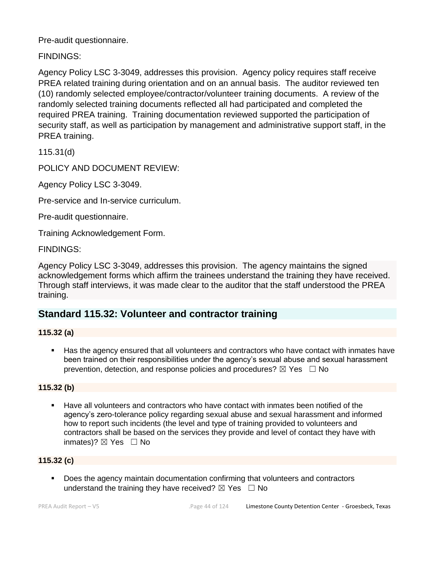Pre-audit questionnaire.

FINDINGS:

Agency Policy LSC 3-3049, addresses this provision. Agency policy requires staff receive PREA related training during orientation and on an annual basis. The auditor reviewed ten (10) randomly selected employee/contractor/volunteer training documents. A review of the randomly selected training documents reflected all had participated and completed the required PREA training. Training documentation reviewed supported the participation of security staff, as well as participation by management and administrative support staff, in the PREA training.

115.31(d)

POLICY AND DOCUMENT REVIEW:

Agency Policy LSC 3-3049.

Pre-service and In-service curriculum.

Pre-audit questionnaire.

Training Acknowledgement Form.

FINDINGS:

Agency Policy LSC 3-3049, addresses this provision. The agency maintains the signed acknowledgement forms which affirm the trainees understand the training they have received. Through staff interviews, it was made clear to the auditor that the staff understood the PREA training.

## **Standard 115.32: Volunteer and contractor training**

## **115.32 (a)**

■ Has the agency ensured that all volunteers and contractors who have contact with inmates have been trained on their responsibilities under the agency's sexual abuse and sexual harassment prevention, detection, and response policies and procedures?  $\boxtimes$  Yes  $\Box$  No

## **115.32 (b)**

Have all volunteers and contractors who have contact with inmates been notified of the agency's zero-tolerance policy regarding sexual abuse and sexual harassment and informed how to report such incidents (the level and type of training provided to volunteers and contractors shall be based on the services they provide and level of contact they have with inmates)?  $\boxtimes$  Yes  $\Box$  No

## **115.32 (c)**

Does the agency maintain documentation confirming that volunteers and contractors understand the training they have received?  $\boxtimes$  Yes  $\Box$  No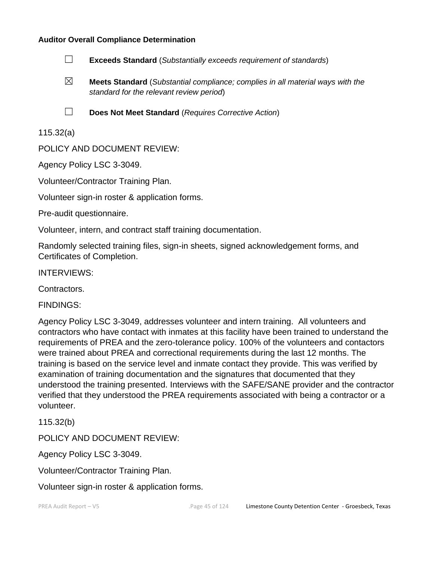#### **Auditor Overall Compliance Determination**

- ☐ **Exceeds Standard** (*Substantially exceeds requirement of standards*)
- ☒ **Meets Standard** (*Substantial compliance; complies in all material ways with the standard for the relevant review period*)
- ☐ **Does Not Meet Standard** (*Requires Corrective Action*)

115.32(a)

POLICY AND DOCUMENT REVIEW:

Agency Policy LSC 3-3049.

Volunteer/Contractor Training Plan.

Volunteer sign-in roster & application forms.

Pre-audit questionnaire.

Volunteer, intern, and contract staff training documentation.

Randomly selected training files, sign-in sheets, signed acknowledgement forms, and Certificates of Completion.

INTERVIEWS:

Contractors.

FINDINGS:

Agency Policy LSC 3-3049, addresses volunteer and intern training. All volunteers and contractors who have contact with inmates at this facility have been trained to understand the requirements of PREA and the zero-tolerance policy. 100% of the volunteers and contactors were trained about PREA and correctional requirements during the last 12 months. The training is based on the service level and inmate contact they provide. This was verified by examination of training documentation and the signatures that documented that they understood the training presented. Interviews with the SAFE/SANE provider and the contractor verified that they understood the PREA requirements associated with being a contractor or a volunteer.

115.32(b)

POLICY AND DOCUMENT REVIEW:

Agency Policy LSC 3-3049.

Volunteer/Contractor Training Plan.

Volunteer sign-in roster & application forms.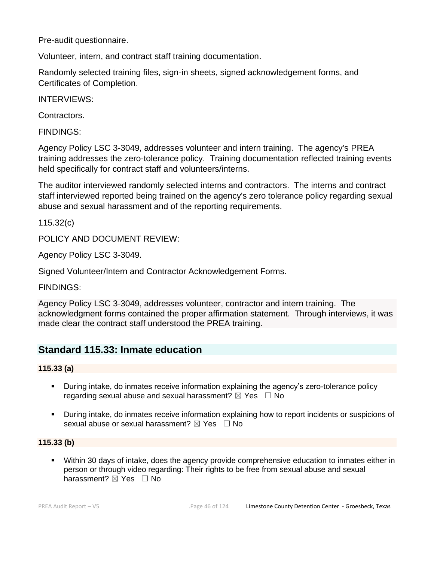Pre-audit questionnaire.

Volunteer, intern, and contract staff training documentation.

Randomly selected training files, sign-in sheets, signed acknowledgement forms, and Certificates of Completion.

INTERVIEWS:

Contractors.

FINDINGS:

Agency Policy LSC 3-3049, addresses volunteer and intern training. The agency's PREA training addresses the zero-tolerance policy. Training documentation reflected training events held specifically for contract staff and volunteers/interns.

The auditor interviewed randomly selected interns and contractors. The interns and contract staff interviewed reported being trained on the agency's zero tolerance policy regarding sexual abuse and sexual harassment and of the reporting requirements.

115.32(c)

POLICY AND DOCUMENT REVIEW:

Agency Policy LSC 3-3049.

Signed Volunteer/Intern and Contractor Acknowledgement Forms.

FINDINGS:

Agency Policy LSC 3-3049, addresses volunteer, contractor and intern training. The acknowledgment forms contained the proper affirmation statement. Through interviews, it was made clear the contract staff understood the PREA training.

## **Standard 115.33: Inmate education**

**115.33 (a)**

- **•** During intake, do inmates receive information explaining the agency's zero-tolerance policy regarding sexual abuse and sexual harassment?  $\boxtimes$  Yes  $\Box$  No
- During intake, do inmates receive information explaining how to report incidents or suspicions of sexual abuse or sexual harassment?  $\boxtimes$  Yes  $\Box$  No

## **115.33 (b)**

■ Within 30 days of intake, does the agency provide comprehensive education to inmates either in person or through video regarding: Their rights to be free from sexual abuse and sexual harassment? ⊠ Yes □ No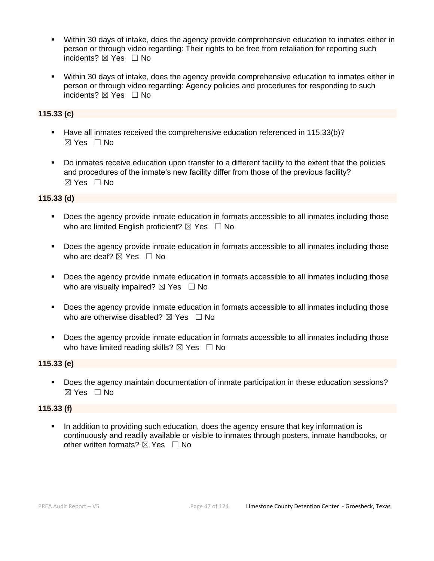- Within 30 days of intake, does the agency provide comprehensive education to inmates either in person or through video regarding: Their rights to be free from retaliation for reporting such incidents? ⊠ Yes □ No
- Within 30 days of intake, does the agency provide comprehensive education to inmates either in person or through video regarding: Agency policies and procedures for responding to such incidents? ⊠ Yes □ No

#### **115.33 (c)**

- Have all inmates received the comprehensive education referenced in 115.33(b)?  $\boxtimes$  Yes  $\Box$  No
- Do inmates receive education upon transfer to a different facility to the extent that the policies and procedures of the inmate's new facility differ from those of the previous facility? ☒ Yes ☐ No

#### **115.33 (d)**

- Does the agency provide inmate education in formats accessible to all inmates including those who are limited English proficient?  $\boxtimes$  Yes  $\Box$  No
- Does the agency provide inmate education in formats accessible to all inmates including those who are deaf?  $\boxtimes$  Yes  $\Box$  No
- Does the agency provide inmate education in formats accessible to all inmates including those who are visually impaired?  $\boxtimes$  Yes  $\Box$  No
- Does the agency provide inmate education in formats accessible to all inmates including those who are otherwise disabled?  $\boxtimes$  Yes  $\Box$  No
- Does the agency provide inmate education in formats accessible to all inmates including those who have limited reading skills?  $\boxtimes$  Yes  $\Box$  No

### **115.33 (e)**

▪ Does the agency maintain documentation of inmate participation in these education sessions? ☒ Yes ☐ No

#### **115.33 (f)**

In addition to providing such education, does the agency ensure that key information is continuously and readily available or visible to inmates through posters, inmate handbooks, or other written formats?  $\boxtimes$  Yes  $\Box$  No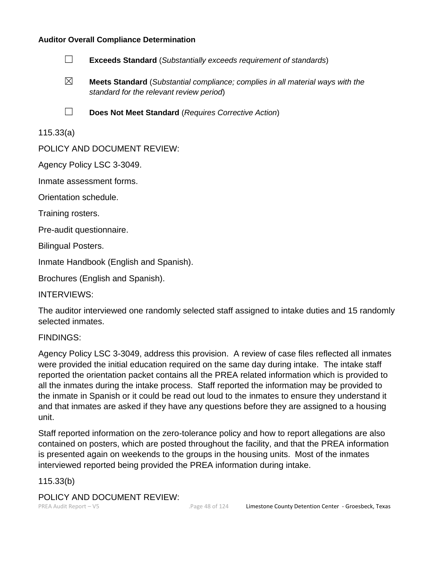### **Auditor Overall Compliance Determination**



- ☒ **Meets Standard** (*Substantial compliance; complies in all material ways with the standard for the relevant review period*)
- ☐ **Does Not Meet Standard** (*Requires Corrective Action*)

## 115.33(a)

POLICY AND DOCUMENT REVIEW:

Agency Policy LSC 3-3049.

Inmate assessment forms.

Orientation schedule.

Training rosters.

Pre-audit questionnaire.

Bilingual Posters.

Inmate Handbook (English and Spanish).

Brochures (English and Spanish).

INTERVIEWS:

The auditor interviewed one randomly selected staff assigned to intake duties and 15 randomly selected inmates.

FINDINGS:

Agency Policy LSC 3-3049, address this provision. A review of case files reflected all inmates were provided the initial education required on the same day during intake. The intake staff reported the orientation packet contains all the PREA related information which is provided to all the inmates during the intake process. Staff reported the information may be provided to the inmate in Spanish or it could be read out loud to the inmates to ensure they understand it and that inmates are asked if they have any questions before they are assigned to a housing unit.

Staff reported information on the zero-tolerance policy and how to report allegations are also contained on posters, which are posted throughout the facility, and that the PREA information is presented again on weekends to the groups in the housing units. Most of the inmates interviewed reported being provided the PREA information during intake.

### 115.33(b)

POLICY AND DOCUMENT REVIEW: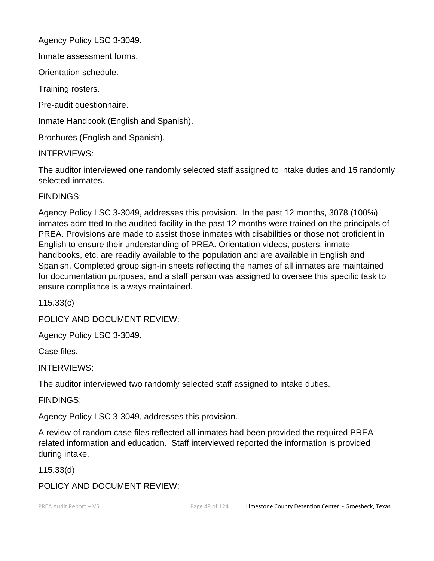Agency Policy LSC 3-3049.

Inmate assessment forms.

Orientation schedule.

Training rosters.

Pre-audit questionnaire.

Inmate Handbook (English and Spanish).

Brochures (English and Spanish).

INTERVIEWS:

The auditor interviewed one randomly selected staff assigned to intake duties and 15 randomly selected inmates.

## FINDINGS:

Agency Policy LSC 3-3049, addresses this provision. In the past 12 months, 3078 (100%) inmates admitted to the audited facility in the past 12 months were trained on the principals of PREA. Provisions are made to assist those inmates with disabilities or those not proficient in English to ensure their understanding of PREA. Orientation videos, posters, inmate handbooks, etc. are readily available to the population and are available in English and Spanish. Completed group sign-in sheets reflecting the names of all inmates are maintained for documentation purposes, and a staff person was assigned to oversee this specific task to ensure compliance is always maintained.

115.33(c)

POLICY AND DOCUMENT REVIEW:

Agency Policy LSC 3-3049.

Case files.

INTERVIEWS:

The auditor interviewed two randomly selected staff assigned to intake duties.

FINDINGS:

Agency Policy LSC 3-3049, addresses this provision.

A review of random case files reflected all inmates had been provided the required PREA related information and education. Staff interviewed reported the information is provided during intake.

115.33(d)

POLICY AND DOCUMENT REVIEW: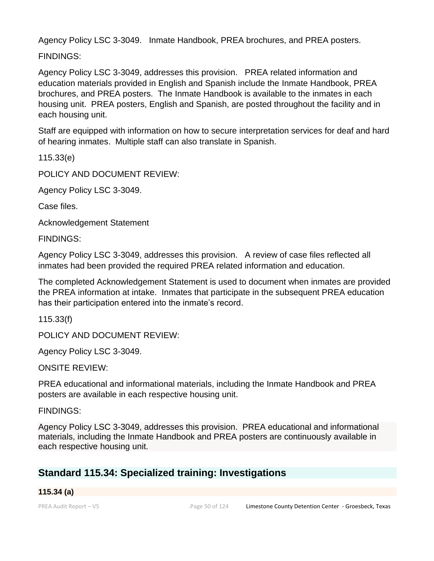Agency Policy LSC 3-3049. Inmate Handbook, PREA brochures, and PREA posters.

FINDINGS:

Agency Policy LSC 3-3049, addresses this provision. PREA related information and education materials provided in English and Spanish include the Inmate Handbook, PREA brochures, and PREA posters. The Inmate Handbook is available to the inmates in each housing unit. PREA posters, English and Spanish, are posted throughout the facility and in each housing unit.

Staff are equipped with information on how to secure interpretation services for deaf and hard of hearing inmates. Multiple staff can also translate in Spanish.

115.33(e)

POLICY AND DOCUMENT REVIEW:

Agency Policy LSC 3-3049.

Case files.

Acknowledgement Statement

FINDINGS:

Agency Policy LSC 3-3049, addresses this provision. A review of case files reflected all inmates had been provided the required PREA related information and education.

The completed Acknowledgement Statement is used to document when inmates are provided the PREA information at intake. Inmates that participate in the subsequent PREA education has their participation entered into the inmate's record.

115.33(f)

POLICY AND DOCUMENT REVIEW:

Agency Policy LSC 3-3049.

ONSITE REVIEW:

PREA educational and informational materials, including the Inmate Handbook and PREA posters are available in each respective housing unit.

FINDINGS:

Agency Policy LSC 3-3049, addresses this provision. PREA educational and informational materials, including the Inmate Handbook and PREA posters are continuously available in each respective housing unit.

## **Standard 115.34: Specialized training: Investigations**

## **115.34 (a)**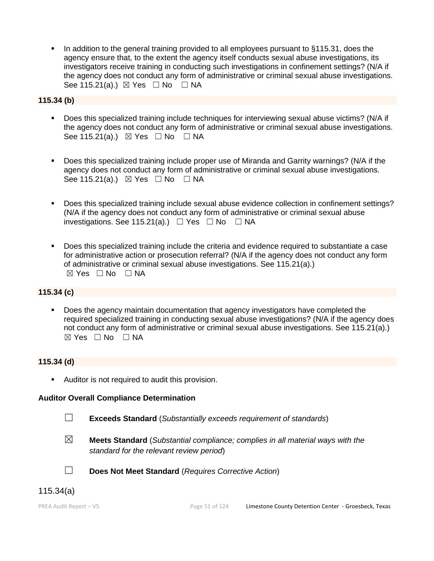In addition to the general training provided to all employees pursuant to §115.31, does the agency ensure that, to the extent the agency itself conducts sexual abuse investigations, its investigators receive training in conducting such investigations in confinement settings? (N/A if the agency does not conduct any form of administrative or criminal sexual abuse investigations. See 115.21(a).)  $\boxtimes$  Yes  $\Box$  No  $\Box$  NA

**115.34 (b)**

- Does this specialized training include techniques for interviewing sexual abuse victims? (N/A if the agency does not conduct any form of administrative or criminal sexual abuse investigations. See 115.21(a).) ⊠ Yes □ No □ NA
- Does this specialized training include proper use of Miranda and Garrity warnings? (N/A if the agency does not conduct any form of administrative or criminal sexual abuse investigations. See 115.21(a).)  $\boxtimes$  Yes  $\Box$  No  $\Box$  NA
- Does this specialized training include sexual abuse evidence collection in confinement settings? (N/A if the agency does not conduct any form of administrative or criminal sexual abuse investigations. See 115.21(a).)  $\Box$  Yes  $\Box$  No  $\Box$  NA
- Does this specialized training include the criteria and evidence required to substantiate a case for administrative action or prosecution referral? (N/A if the agency does not conduct any form of administrative or criminal sexual abuse investigations. See 115.21(a).)  $\boxtimes$  Yes  $\Box$  No  $\Box$  NA

### **115.34 (c)**

**•** Does the agency maintain documentation that agency investigators have completed the required specialized training in conducting sexual abuse investigations? (N/A if the agency does not conduct any form of administrative or criminal sexual abuse investigations. See 115.21(a).)  $\boxtimes$  Yes  $\Box$  No  $\Box$  NA

### **115.34 (d)**

■ Auditor is not required to audit this provision.

#### **Auditor Overall Compliance Determination**

- 
- ☐ **Exceeds Standard** (*Substantially exceeds requirement of standards*)
- ☒ **Meets Standard** (*Substantial compliance; complies in all material ways with the standard for the relevant review period*)
- ☐ **Does Not Meet Standard** (*Requires Corrective Action*)

## 115.34(a)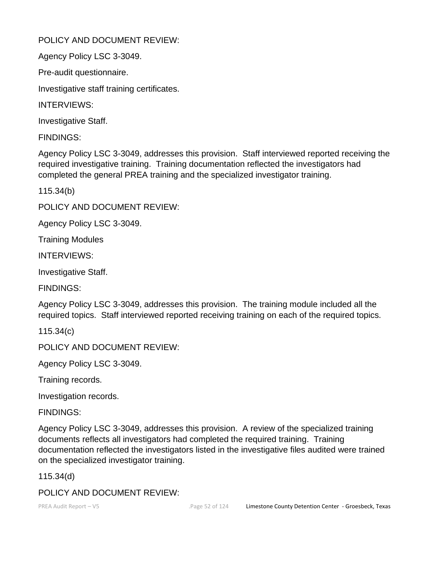## POLICY AND DOCUMENT REVIEW:

Agency Policy LSC 3-3049.

Pre-audit questionnaire.

Investigative staff training certificates.

INTERVIEWS:

Investigative Staff.

FINDINGS:

Agency Policy LSC 3-3049, addresses this provision. Staff interviewed reported receiving the required investigative training. Training documentation reflected the investigators had completed the general PREA training and the specialized investigator training.

115.34(b)

POLICY AND DOCUMENT REVIEW:

Agency Policy LSC 3-3049.

Training Modules

INTERVIEWS:

Investigative Staff.

FINDINGS:

Agency Policy LSC 3-3049, addresses this provision. The training module included all the required topics. Staff interviewed reported receiving training on each of the required topics.

115.34(c)

POLICY AND DOCUMENT REVIEW:

Agency Policy LSC 3-3049.

Training records.

Investigation records.

FINDINGS:

Agency Policy LSC 3-3049, addresses this provision. A review of the specialized training documents reflects all investigators had completed the required training. Training documentation reflected the investigators listed in the investigative files audited were trained on the specialized investigator training.

115.34(d)

## POLICY AND DOCUMENT REVIEW: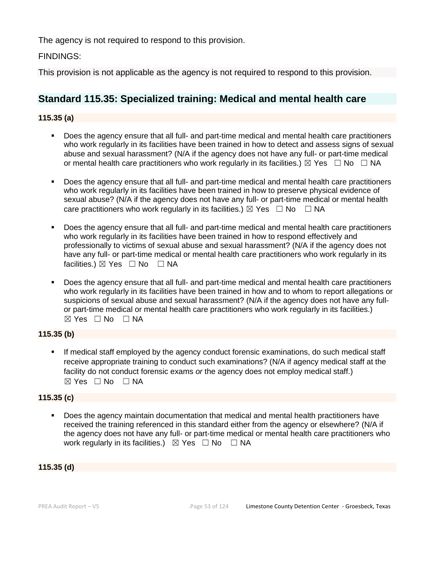The agency is not required to respond to this provision.

## FINDINGS:

This provision is not applicable as the agency is not required to respond to this provision.

## **Standard 115.35: Specialized training: Medical and mental health care**

### **115.35 (a)**

- Does the agency ensure that all full- and part-time medical and mental health care practitioners who work regularly in its facilities have been trained in how to detect and assess signs of sexual abuse and sexual harassment? (N/A if the agency does not have any full- or part-time medical or mental health care practitioners who work regularly in its facilities.)  $\boxtimes$  Yes  $\Box$  No  $\Box$  NA
- Does the agency ensure that all full- and part-time medical and mental health care practitioners who work regularly in its facilities have been trained in how to preserve physical evidence of sexual abuse? (N/A if the agency does not have any full- or part-time medical or mental health care practitioners who work regularly in its facilities.)  $\boxtimes$  Yes  $\Box$  No  $\Box$  NA
- Does the agency ensure that all full- and part-time medical and mental health care practitioners who work regularly in its facilities have been trained in how to respond effectively and professionally to victims of sexual abuse and sexual harassment? (N/A if the agency does not have any full- or part-time medical or mental health care practitioners who work regularly in its facilities.) ⊠ Yes □ No □ NA
- Does the agency ensure that all full- and part-time medical and mental health care practitioners who work regularly in its facilities have been trained in how and to whom to report allegations or suspicions of sexual abuse and sexual harassment? (N/A if the agency does not have any fullor part-time medical or mental health care practitioners who work regularly in its facilities.) ☒ Yes ☐ No ☐ NA

### **115.35 (b)**

**.** If medical staff employed by the agency conduct forensic examinations, do such medical staff receive appropriate training to conduct such examinations? (N/A if agency medical staff at the facility do not conduct forensic exams *or* the agency does not employ medical staff.)  $\boxtimes$  Yes  $\Box$  No  $\Box$  NA

#### **115.35 (c)**

Does the agency maintain documentation that medical and mental health practitioners have received the training referenced in this standard either from the agency or elsewhere? (N/A if the agency does not have any full- or part-time medical or mental health care practitioners who work regularly in its facilities.)  $\boxtimes$  Yes  $\Box$  No  $\Box$  NA

#### **115.35 (d)**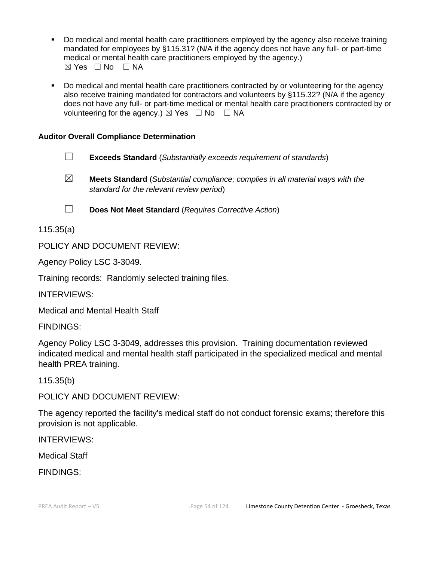- Do medical and mental health care practitioners employed by the agency also receive training mandated for employees by §115.31? (N/A if the agency does not have any full- or part-time medical or mental health care practitioners employed by the agency.)  $⊠ Yes ⊡ No ⊡ NA$
- Do medical and mental health care practitioners contracted by or volunteering for the agency also receive training mandated for contractors and volunteers by §115.32? (N/A if the agency does not have any full- or part-time medical or mental health care practitioners contracted by or volunteering for the agency.)  $\boxtimes$  Yes  $\Box$  No  $\Box$  NA

## **Auditor Overall Compliance Determination**

- ☐ **Exceeds Standard** (*Substantially exceeds requirement of standards*)
- ☒ **Meets Standard** (*Substantial compliance; complies in all material ways with the standard for the relevant review period*)

☐ **Does Not Meet Standard** (*Requires Corrective Action*)

115.35(a)

POLICY AND DOCUMENT REVIEW:

Agency Policy LSC 3-3049.

Training records: Randomly selected training files.

INTERVIEWS:

Medical and Mental Health Staff

FINDINGS:

Agency Policy LSC 3-3049, addresses this provision. Training documentation reviewed indicated medical and mental health staff participated in the specialized medical and mental health PREA training.

115.35(b)

POLICY AND DOCUMENT REVIEW:

The agency reported the facility's medical staff do not conduct forensic exams; therefore this provision is not applicable.

INTERVIEWS:

Medical Staff

FINDINGS: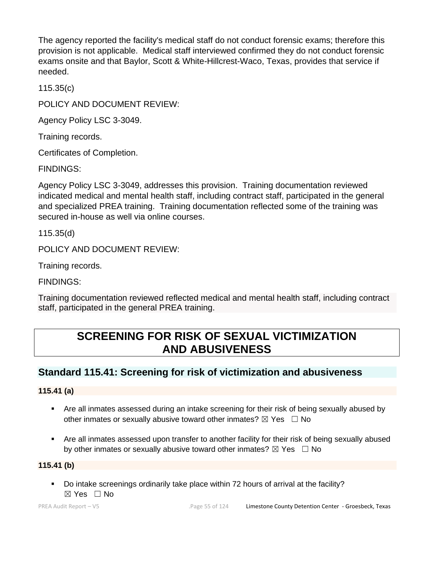The agency reported the facility's medical staff do not conduct forensic exams; therefore this provision is not applicable. Medical staff interviewed confirmed they do not conduct forensic exams onsite and that Baylor, Scott & White-Hillcrest-Waco, Texas, provides that service if needed.

115.35(c)

POLICY AND DOCUMENT REVIEW:

Agency Policy LSC 3-3049.

Training records.

Certificates of Completion.

FINDINGS:

Agency Policy LSC 3-3049, addresses this provision. Training documentation reviewed indicated medical and mental health staff, including contract staff, participated in the general and specialized PREA training. Training documentation reflected some of the training was secured in-house as well via online courses.

115.35(d)

POLICY AND DOCUMENT REVIEW:

Training records.

FINDINGS:

Training documentation reviewed reflected medical and mental health staff, including contract staff, participated in the general PREA training.

# **SCREENING FOR RISK OF SEXUAL VICTIMIZATION AND ABUSIVENESS**

## **Standard 115.41: Screening for risk of victimization and abusiveness**

## **115.41 (a)**

- Are all inmates assessed during an intake screening for their risk of being sexually abused by other inmates or sexually abusive toward other inmates?  $\boxtimes$  Yes  $\Box$  No
- Are all inmates assessed upon transfer to another facility for their risk of being sexually abused by other inmates or sexually abusive toward other inmates?  $\boxtimes$  Yes  $\Box$  No

## **115.41 (b)**

▪ Do intake screenings ordinarily take place within 72 hours of arrival at the facility? ☒ Yes ☐ No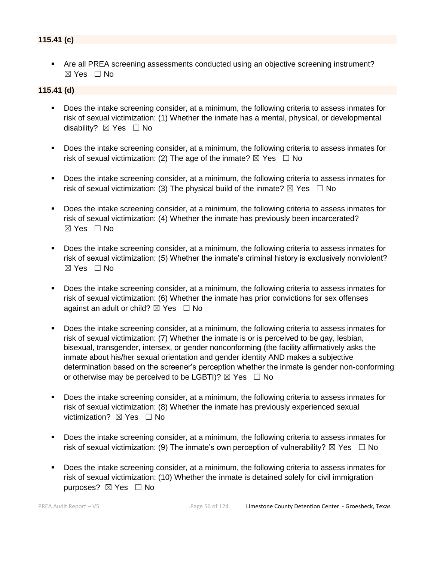## **115.41 (c)**

■ Are all PREA screening assessments conducted using an objective screening instrument? ☒ Yes ☐ No

#### **115.41 (d)**

- Does the intake screening consider, at a minimum, the following criteria to assess inmates for risk of sexual victimization: (1) Whether the inmate has a mental, physical, or developmental disability? ⊠ Yes □ No
- Does the intake screening consider, at a minimum, the following criteria to assess inmates for risk of sexual victimization: (2) The age of the inmate?  $\boxtimes$  Yes  $\Box$  No
- Does the intake screening consider, at a minimum, the following criteria to assess inmates for risk of sexual victimization: (3) The physical build of the inmate?  $\boxtimes$  Yes  $\Box$  No
- Does the intake screening consider, at a minimum, the following criteria to assess inmates for risk of sexual victimization: (4) Whether the inmate has previously been incarcerated?  $\boxtimes$  Yes  $\Box$  No
- Does the intake screening consider, at a minimum, the following criteria to assess inmates for risk of sexual victimization: (5) Whether the inmate's criminal history is exclusively nonviolent?  $\boxtimes$  Yes  $\Box$  No
- Does the intake screening consider, at a minimum, the following criteria to assess inmates for risk of sexual victimization: (6) Whether the inmate has prior convictions for sex offenses against an adult or child?  $\boxtimes$  Yes  $\Box$  No
- Does the intake screening consider, at a minimum, the following criteria to assess inmates for risk of sexual victimization: (7) Whether the inmate is or is perceived to be gay, lesbian, bisexual, transgender, intersex, or gender nonconforming (the facility affirmatively asks the inmate about his/her sexual orientation and gender identity AND makes a subjective determination based on the screener's perception whether the inmate is gender non-conforming or otherwise may be perceived to be LGBTI)?  $\boxtimes$  Yes  $\Box$  No
- Does the intake screening consider, at a minimum, the following criteria to assess inmates for risk of sexual victimization: (8) Whether the inmate has previously experienced sexual victimization? **⊠** Yes □ No
- Does the intake screening consider, at a minimum, the following criteria to assess inmates for risk of sexual victimization: (9) The inmate's own perception of vulnerability?  $\boxtimes$  Yes  $\Box$  No
- Does the intake screening consider, at a minimum, the following criteria to assess inmates for risk of sexual victimization: (10) Whether the inmate is detained solely for civil immigration purposes? ⊠ Yes □ No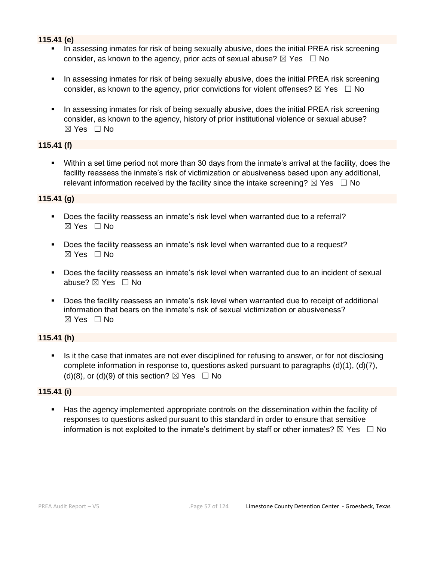## **115.41 (e)**

- In assessing inmates for risk of being sexually abusive, does the initial PREA risk screening consider, as known to the agency, prior acts of sexual abuse?  $\boxtimes$  Yes  $\Box$  No
- **•** In assessing inmates for risk of being sexually abusive, does the initial PREA risk screening consider, as known to the agency, prior convictions for violent offenses?  $\boxtimes$  Yes  $\Box$  No
- **•** In assessing inmates for risk of being sexually abusive, does the initial PREA risk screening consider, as known to the agency, history of prior institutional violence or sexual abuse? ☒ Yes ☐ No

### **115.41 (f)**

Within a set time period not more than 30 days from the inmate's arrival at the facility, does the facility reassess the inmate's risk of victimization or abusiveness based upon any additional, relevant information received by the facility since the intake screening?  $\boxtimes$  Yes  $\Box$  No

## **115.41 (g)**

- Does the facility reassess an inmate's risk level when warranted due to a referral? ☒ Yes ☐ No
- Does the facility reassess an inmate's risk level when warranted due to a request?  $\boxtimes$  Yes  $\Box$  No
- Does the facility reassess an inmate's risk level when warranted due to an incident of sexual abuse?  $⊠$  Yes  $□$  No
- Does the facility reassess an inmate's risk level when warranted due to receipt of additional information that bears on the inmate's risk of sexual victimization or abusiveness?  $\boxtimes$  Yes  $\Box$  No

## **115.41 (h)**

Is it the case that inmates are not ever disciplined for refusing to answer, or for not disclosing complete information in response to, questions asked pursuant to paragraphs  $(d)(1)$ ,  $(d)(7)$ , (d)(8), or (d)(9) of this section?  $\boxtimes$  Yes  $\Box$  No

### **115.41 (i)**

Has the agency implemented appropriate controls on the dissemination within the facility of responses to questions asked pursuant to this standard in order to ensure that sensitive information is not exploited to the inmate's detriment by staff or other inmates?  $\boxtimes$  Yes  $\Box$  No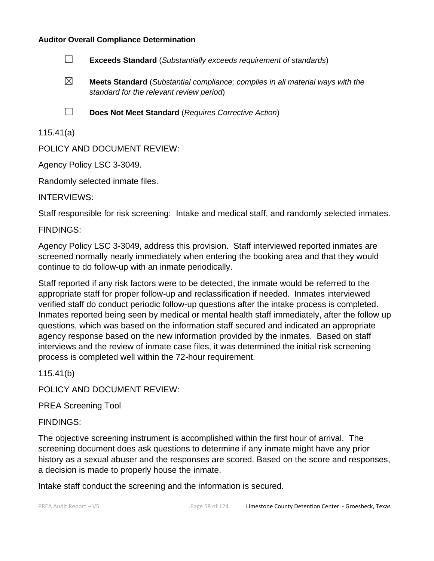#### **Auditor Overall Compliance Determination**



- ☒ **Meets Standard** (*Substantial compliance; complies in all material ways with the standard for the relevant review period*)
- 
- ☐ **Does Not Meet Standard** (*Requires Corrective Action*)

## 115.41(a)

POLICY AND DOCUMENT REVIEW:

Agency Policy LSC 3-3049.

Randomly selected inmate files.

INTERVIEWS:

Staff responsible for risk screening: Intake and medical staff, and randomly selected inmates.

FINDINGS:

Agency Policy LSC 3-3049, address this provision. Staff interviewed reported inmates are screened normally nearly immediately when entering the booking area and that they would continue to do follow-up with an inmate periodically.

Staff reported if any risk factors were to be detected, the inmate would be referred to the appropriate staff for proper follow-up and reclassification if needed. Inmates interviewed verified staff do conduct periodic follow-up questions after the intake process is completed. Inmates reported being seen by medical or mental health staff immediately, after the follow up questions, which was based on the information staff secured and indicated an appropriate agency response based on the new information provided by the inmates. Based on staff interviews and the review of inmate case files, it was determined the initial risk screening process is completed well within the 72-hour requirement.

115.41(b)

POLICY AND DOCUMENT REVIEW:

PREA Screening Tool

FINDINGS:

The objective screening instrument is accomplished within the first hour of arrival. The screening document does ask questions to determine if any inmate might have any prior history as a sexual abuser and the responses are scored. Based on the score and responses, a decision is made to properly house the inmate.

Intake staff conduct the screening and the information is secured.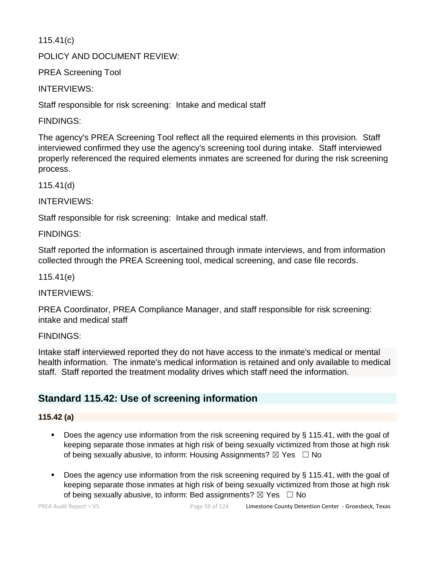115.41(c)

POLICY AND DOCUMENT REVIEW:

PREA Screening Tool

INTERVIEWS:

Staff responsible for risk screening: Intake and medical staff

FINDINGS:

The agency's PREA Screening Tool reflect all the required elements in this provision. Staff interviewed confirmed they use the agency's screening tool during intake. Staff interviewed properly referenced the required elements inmates are screened for during the risk screening process.

115.41(d)

INTERVIEWS:

Staff responsible for risk screening: Intake and medical staff.

FINDINGS:

Staff reported the information is ascertained through inmate interviews, and from information collected through the PREA Screening tool, medical screening, and case file records.

115.41(e)

INTERVIEWS:

PREA Coordinator, PREA Compliance Manager, and staff responsible for risk screening: intake and medical staff

FINDINGS:

Intake staff interviewed reported they do not have access to the inmate's medical or mental health information. The inmate's medical information is retained and only available to medical staff. Staff reported the treatment modality drives which staff need the information.

# **Standard 115.42: Use of screening information**

## **115.42 (a)**

- **•** Does the agency use information from the risk screening required by  $\S$  115.41, with the goal of keeping separate those inmates at high risk of being sexually victimized from those at high risk of being sexually abusive, to inform: Housing Assignments?  $\boxtimes$  Yes  $\Box$  No
- Does the agency use information from the risk screening required by § 115.41, with the goal of keeping separate those inmates at high risk of being sexually victimized from those at high risk of being sexually abusive, to inform: Bed assignments?  $\boxtimes$  Yes  $\Box$  No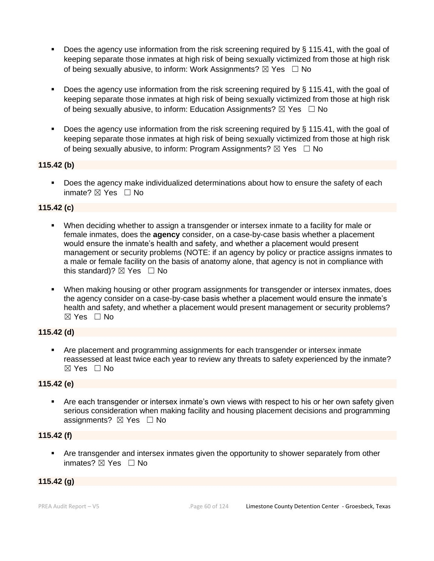- Does the agency use information from the risk screening required by  $\S$  115.41, with the goal of keeping separate those inmates at high risk of being sexually victimized from those at high risk of being sexually abusive, to inform: Work Assignments?  $\boxtimes$  Yes  $\Box$  No
- Does the agency use information from the risk screening required by § 115.41, with the goal of keeping separate those inmates at high risk of being sexually victimized from those at high risk of being sexually abusive, to inform: Education Assignments?  $\boxtimes$  Yes  $\Box$  No
- Does the agency use information from the risk screening required by § 115.41, with the goal of keeping separate those inmates at high risk of being sexually victimized from those at high risk of being sexually abusive, to inform: Program Assignments?  $\boxtimes$  Yes  $\Box$  No

## **115.42 (b)**

■ Does the agency make individualized determinations about how to ensure the safety of each inmate? ☒ Yes ☐ No

#### **115.42 (c)**

- When deciding whether to assign a transgender or intersex inmate to a facility for male or female inmates, does the **agency** consider, on a case-by-case basis whether a placement would ensure the inmate's health and safety, and whether a placement would present management or security problems (NOTE: if an agency by policy or practice assigns inmates to a male or female facility on the basis of anatomy alone, that agency is not in compliance with this standard)?  $\boxtimes$  Yes  $\Box$  No
- When making housing or other program assignments for transgender or intersex inmates, does the agency consider on a case-by-case basis whether a placement would ensure the inmate's health and safety, and whether a placement would present management or security problems?  $\boxtimes$  Yes  $\Box$  No

### **115.42 (d)**

▪ Are placement and programming assignments for each transgender or intersex inmate reassessed at least twice each year to review any threats to safety experienced by the inmate?  $\boxtimes$  Yes  $\Box$  No

### **115.42 (e)**

Are each transgender or intersex inmate's own views with respect to his or her own safety given serious consideration when making facility and housing placement decisions and programming assignments?  $\boxtimes$  Yes  $\Box$  No

#### **115.42 (f)**

Are transgender and intersex inmates given the opportunity to shower separately from other inmates? ⊠ Yes □ No

## **115.42 (g)**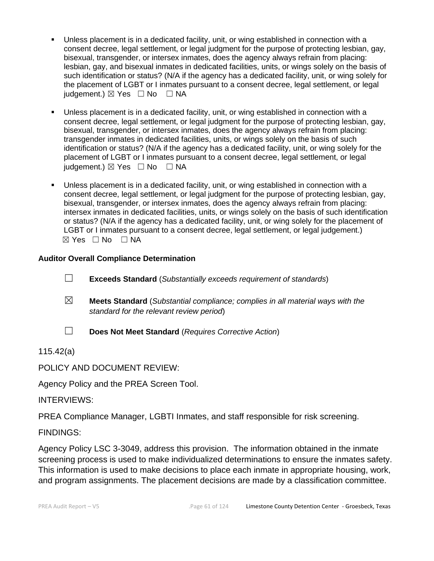- Unless placement is in a dedicated facility, unit, or wing established in connection with a consent decree, legal settlement, or legal judgment for the purpose of protecting lesbian, gay, bisexual, transgender, or intersex inmates, does the agency always refrain from placing: lesbian, gay, and bisexual inmates in dedicated facilities, units, or wings solely on the basis of such identification or status? (N/A if the agency has a dedicated facility, unit, or wing solely for the placement of LGBT or I inmates pursuant to a consent decree, legal settlement, or legal judgement.)  $\boxtimes$  Yes  $\Box$  No  $\Box$  NA
- Unless placement is in a dedicated facility, unit, or wing established in connection with a consent decree, legal settlement, or legal judgment for the purpose of protecting lesbian, gay, bisexual, transgender, or intersex inmates, does the agency always refrain from placing: transgender inmates in dedicated facilities, units, or wings solely on the basis of such identification or status? (N/A if the agency has a dedicated facility, unit, or wing solely for the placement of LGBT or I inmates pursuant to a consent decree, legal settlement, or legal  $judgement.$ )  $\boxtimes$  Yes  $\Box$  No  $\Box$  NA
- Unless placement is in a dedicated facility, unit, or wing established in connection with a consent decree, legal settlement, or legal judgment for the purpose of protecting lesbian, gay, bisexual, transgender, or intersex inmates, does the agency always refrain from placing: intersex inmates in dedicated facilities, units, or wings solely on the basis of such identification or status? (N/A if the agency has a dedicated facility, unit, or wing solely for the placement of LGBT or I inmates pursuant to a consent decree, legal settlement, or legal judgement.)  $\boxtimes$  Yes  $\Box$  No  $\Box$  NA

## **Auditor Overall Compliance Determination**

- ☐ **Exceeds Standard** (*Substantially exceeds requirement of standards*)
- ☒ **Meets Standard** (*Substantial compliance; complies in all material ways with the standard for the relevant review period*)
- 

☐ **Does Not Meet Standard** (*Requires Corrective Action*)

115.42(a)

POLICY AND DOCUMENT REVIEW:

Agency Policy and the PREA Screen Tool.

INTERVIEWS:

PREA Compliance Manager, LGBTI Inmates, and staff responsible for risk screening.

FINDINGS:

Agency Policy LSC 3-3049, address this provision. The information obtained in the inmate screening process is used to make individualized determinations to ensure the inmates safety. This information is used to make decisions to place each inmate in appropriate housing, work, and program assignments. The placement decisions are made by a classification committee.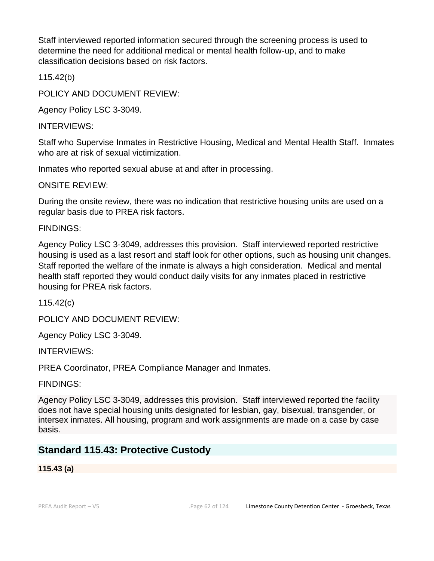Staff interviewed reported information secured through the screening process is used to determine the need for additional medical or mental health follow-up, and to make classification decisions based on risk factors.

115.42(b)

POLICY AND DOCUMENT REVIEW:

Agency Policy LSC 3-3049.

INTERVIEWS:

Staff who Supervise Inmates in Restrictive Housing, Medical and Mental Health Staff. Inmates who are at risk of sexual victimization.

Inmates who reported sexual abuse at and after in processing.

ONSITE REVIEW:

During the onsite review, there was no indication that restrictive housing units are used on a regular basis due to PREA risk factors.

FINDINGS:

Agency Policy LSC 3-3049, addresses this provision. Staff interviewed reported restrictive housing is used as a last resort and staff look for other options, such as housing unit changes. Staff reported the welfare of the inmate is always a high consideration. Medical and mental health staff reported they would conduct daily visits for any inmates placed in restrictive housing for PREA risk factors.

115.42(c)

POLICY AND DOCUMENT REVIEW:

Agency Policy LSC 3-3049.

INTERVIEWS:

PREA Coordinator, PREA Compliance Manager and Inmates.

FINDINGS:

Agency Policy LSC 3-3049, addresses this provision. Staff interviewed reported the facility does not have special housing units designated for lesbian, gay, bisexual, transgender, or intersex inmates. All housing, program and work assignments are made on a case by case basis.

## **Standard 115.43: Protective Custody**

**115.43 (a)**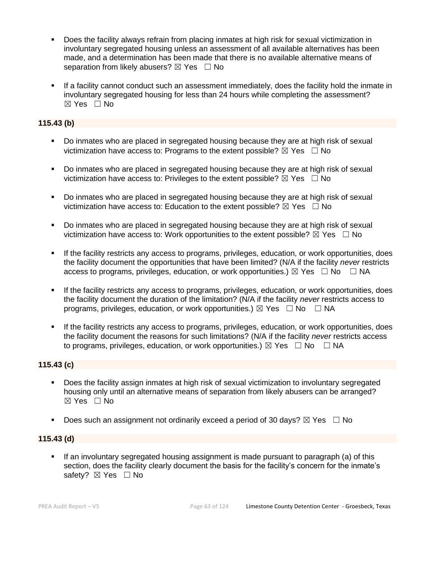- Does the facility always refrain from placing inmates at high risk for sexual victimization in involuntary segregated housing unless an assessment of all available alternatives has been made, and a determination has been made that there is no available alternative means of separation from likely abusers?  $\boxtimes$  Yes  $\Box$  No
- If a facility cannot conduct such an assessment immediately, does the facility hold the inmate in involuntary segregated housing for less than 24 hours while completing the assessment?  $\boxtimes$  Yes  $\Box$  No

## **115.43 (b)**

- Do inmates who are placed in segregated housing because they are at high risk of sexual victimization have access to: Programs to the extent possible?  $\boxtimes$  Yes  $\Box$  No
- Do inmates who are placed in segregated housing because they are at high risk of sexual victimization have access to: Privileges to the extent possible?  $\boxtimes$  Yes  $\Box$  No
- Do inmates who are placed in segregated housing because they are at high risk of sexual victimization have access to: Education to the extent possible?  $\boxtimes$  Yes  $\Box$  No
- Do inmates who are placed in segregated housing because they are at high risk of sexual victimization have access to: Work opportunities to the extent possible?  $\boxtimes$  Yes  $\Box$  No
- If the facility restricts any access to programs, privileges, education, or work opportunities, does the facility document the opportunities that have been limited? (N/A if the facility *never* restricts access to programs, privileges, education, or work opportunities.)  $\boxtimes$  Yes  $\Box$  No  $\Box$  NA
- If the facility restricts any access to programs, privileges, education, or work opportunities, does the facility document the duration of the limitation? (N/A if the facility *never* restricts access to programs, privileges, education, or work opportunities.)  $\boxtimes$  Yes  $\Box$  No  $\Box$  NA
- If the facility restricts any access to programs, privileges, education, or work opportunities, does the facility document the reasons for such limitations? (N/A if the facility *never* restricts access to programs, privileges, education, or work opportunities.)  $\boxtimes$  Yes  $\Box$  No  $\Box$  NA

### **115.43 (c)**

- Does the facility assign inmates at high risk of sexual victimization to involuntary segregated housing only until an alternative means of separation from likely abusers can be arranged?  $\boxtimes$  Yes  $\Box$  No
- **•** Does such an assignment not ordinarily exceed a period of 30 days?  $\boxtimes$  Yes  $\Box$  No

### **115.43 (d)**

**•** If an involuntary segregated housing assignment is made pursuant to paragraph (a) of this section, does the facility clearly document the basis for the facility's concern for the inmate's safety? ⊠ Yes □ No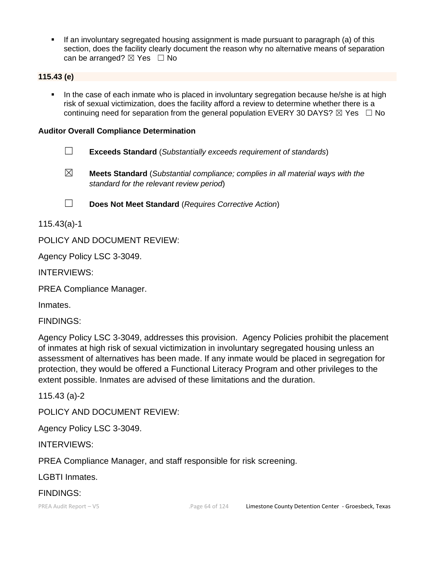▪ If an involuntary segregated housing assignment is made pursuant to paragraph (a) of this section, does the facility clearly document the reason why no alternative means of separation can be arranged?  $\boxtimes$  Yes  $\Box$  No

## **115.43 (e)**

**•** In the case of each inmate who is placed in involuntary segregation because he/she is at high risk of sexual victimization, does the facility afford a review to determine whether there is a continuing need for separation from the general population EVERY 30 DAYS?  $\boxtimes$  Yes  $\Box$  No

#### **Auditor Overall Compliance Determination**

- ☐ **Exceeds Standard** (*Substantially exceeds requirement of standards*)
- 
- ☒ **Meets Standard** (*Substantial compliance; complies in all material ways with the standard for the relevant review period*)
- ☐ **Does Not Meet Standard** (*Requires Corrective Action*)

115.43(a)-1

POLICY AND DOCUMENT REVIEW:

Agency Policy LSC 3-3049.

INTERVIEWS:

PREA Compliance Manager.

Inmates.

FINDINGS:

Agency Policy LSC 3-3049, addresses this provision. Agency Policies prohibit the placement of inmates at high risk of sexual victimization in involuntary segregated housing unless an assessment of alternatives has been made. If any inmate would be placed in segregation for protection, they would be offered a Functional Literacy Program and other privileges to the extent possible. Inmates are advised of these limitations and the duration.

115.43 (a)-2

POLICY AND DOCUMENT REVIEW:

Agency Policy LSC 3-3049.

INTERVIEWS:

PREA Compliance Manager, and staff responsible for risk screening.

LGBTI Inmates.

### FINDINGS: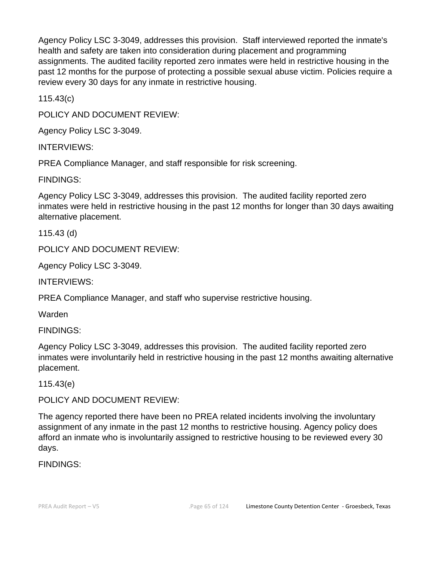Agency Policy LSC 3-3049, addresses this provision. Staff interviewed reported the inmate's health and safety are taken into consideration during placement and programming assignments. The audited facility reported zero inmates were held in restrictive housing in the past 12 months for the purpose of protecting a possible sexual abuse victim. Policies require a review every 30 days for any inmate in restrictive housing.

115.43(c)

POLICY AND DOCUMENT REVIEW:

Agency Policy LSC 3-3049.

INTERVIEWS:

PREA Compliance Manager, and staff responsible for risk screening.

FINDINGS:

Agency Policy LSC 3-3049, addresses this provision. The audited facility reported zero inmates were held in restrictive housing in the past 12 months for longer than 30 days awaiting alternative placement.

115.43 (d)

POLICY AND DOCUMENT REVIEW:

Agency Policy LSC 3-3049.

INTERVIEWS:

PREA Compliance Manager, and staff who supervise restrictive housing.

Warden

FINDINGS:

Agency Policy LSC 3-3049, addresses this provision. The audited facility reported zero inmates were involuntarily held in restrictive housing in the past 12 months awaiting alternative placement.

115.43(e)

POLICY AND DOCUMENT REVIEW:

The agency reported there have been no PREA related incidents involving the involuntary assignment of any inmate in the past 12 months to restrictive housing. Agency policy does afford an inmate who is involuntarily assigned to restrictive housing to be reviewed every 30 days.

FINDINGS: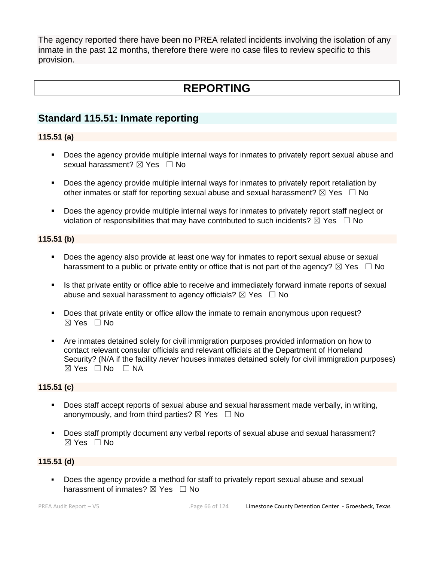The agency reported there have been no PREA related incidents involving the isolation of any inmate in the past 12 months, therefore there were no case files to review specific to this provision.

# **REPORTING**

## **Standard 115.51: Inmate reporting**

## **115.51 (a)**

- Does the agency provide multiple internal ways for inmates to privately report sexual abuse and sexual harassment?  $\boxtimes$  Yes  $\Box$  No
- Does the agency provide multiple internal ways for inmates to privately report retaliation by other inmates or staff for reporting sexual abuse and sexual harassment?  $\boxtimes$  Yes  $\Box$  No
- Does the agency provide multiple internal ways for inmates to privately report staff neglect or violation of responsibilities that may have contributed to such incidents?  $\boxtimes$  Yes  $\Box$  No

## **115.51 (b)**

- Does the agency also provide at least one way for inmates to report sexual abuse or sexual harassment to a public or private entity or office that is not part of the agency?  $\boxtimes$  Yes  $\Box$  No
- **.** Is that private entity or office able to receive and immediately forward inmate reports of sexual abuse and sexual harassment to agency officials?  $\boxtimes$  Yes  $\Box$  No
- Does that private entity or office allow the inmate to remain anonymous upon request?  $\boxtimes$  Yes  $\Box$  No
- Are inmates detained solely for civil immigration purposes provided information on how to contact relevant consular officials and relevant officials at the Department of Homeland Security? (N/A if the facility *never* houses inmates detained solely for civil immigration purposes)  $\boxtimes$  Yes  $\Box$  No  $\Box$  NA

### **115.51 (c)**

- Does staff accept reports of sexual abuse and sexual harassment made verbally, in writing, anonymously, and from third parties?  $\boxtimes$  Yes  $\Box$  No
- Does staff promptly document any verbal reports of sexual abuse and sexual harassment?  $\boxtimes$  Yes  $\Box$  No

## **115.51 (d)**

Does the agency provide a method for staff to privately report sexual abuse and sexual harassment of inmates?  $\boxtimes$  Yes  $\Box$  No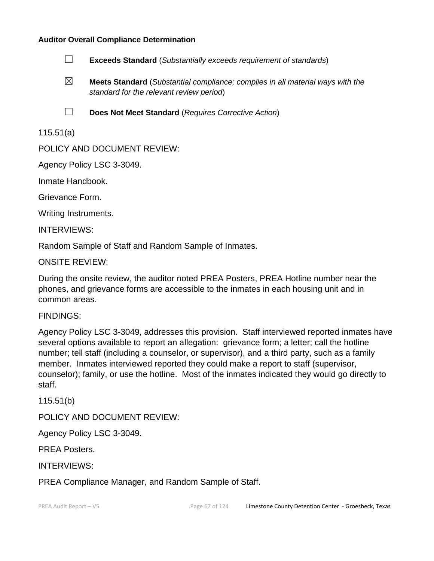#### **Auditor Overall Compliance Determination**



- ☒ **Meets Standard** (*Substantial compliance; complies in all material ways with the standard for the relevant review period*)
- ☐ **Does Not Meet Standard** (*Requires Corrective Action*)

115.51(a)

POLICY AND DOCUMENT REVIEW:

Agency Policy LSC 3-3049.

Inmate Handbook.

Grievance Form.

Writing Instruments.

INTERVIEWS:

Random Sample of Staff and Random Sample of Inmates.

ONSITE REVIEW:

During the onsite review, the auditor noted PREA Posters, PREA Hotline number near the phones, and grievance forms are accessible to the inmates in each housing unit and in common areas.

#### FINDINGS:

Agency Policy LSC 3-3049, addresses this provision. Staff interviewed reported inmates have several options available to report an allegation: grievance form; a letter; call the hotline number; tell staff (including a counselor, or supervisor), and a third party, such as a family member. Inmates interviewed reported they could make a report to staff (supervisor, counselor); family, or use the hotline. Most of the inmates indicated they would go directly to staff.

115.51(b)

POLICY AND DOCUMENT REVIEW:

Agency Policy LSC 3-3049.

PREA Posters.

INTERVIEWS:

PREA Compliance Manager, and Random Sample of Staff.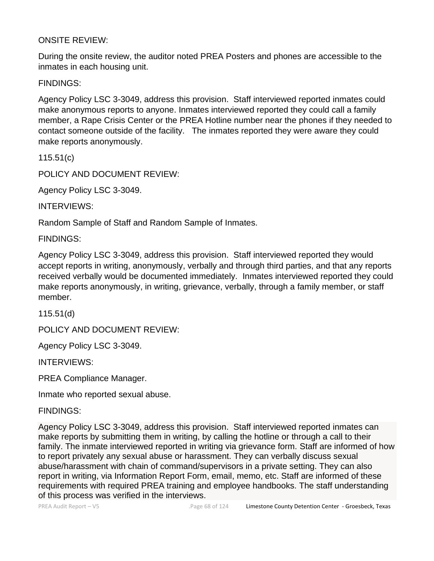## ONSITE REVIEW:

During the onsite review, the auditor noted PREA Posters and phones are accessible to the inmates in each housing unit.

FINDINGS:

Agency Policy LSC 3-3049, address this provision. Staff interviewed reported inmates could make anonymous reports to anyone. Inmates interviewed reported they could call a family member, a Rape Crisis Center or the PREA Hotline number near the phones if they needed to contact someone outside of the facility. The inmates reported they were aware they could make reports anonymously.

115.51(c)

POLICY AND DOCUMENT REVIEW:

Agency Policy LSC 3-3049.

INTERVIEWS:

Random Sample of Staff and Random Sample of Inmates.

FINDINGS:

Agency Policy LSC 3-3049, address this provision. Staff interviewed reported they would accept reports in writing, anonymously, verbally and through third parties, and that any reports received verbally would be documented immediately. Inmates interviewed reported they could make reports anonymously, in writing, grievance, verbally, through a family member, or staff member.

115.51(d)

POLICY AND DOCUMENT REVIEW:

Agency Policy LSC 3-3049.

INTERVIEWS:

PREA Compliance Manager.

Inmate who reported sexual abuse.

FINDINGS:

Agency Policy LSC 3-3049, address this provision. Staff interviewed reported inmates can make reports by submitting them in writing, by calling the hotline or through a call to their family. The inmate interviewed reported in writing via grievance form. Staff are informed of how to report privately any sexual abuse or harassment. They can verbally discuss sexual abuse/harassment with chain of command/supervisors in a private setting. They can also report in writing, via Information Report Form, email, memo, etc. Staff are informed of these requirements with required PREA training and employee handbooks. The staff understanding of this process was verified in the interviews.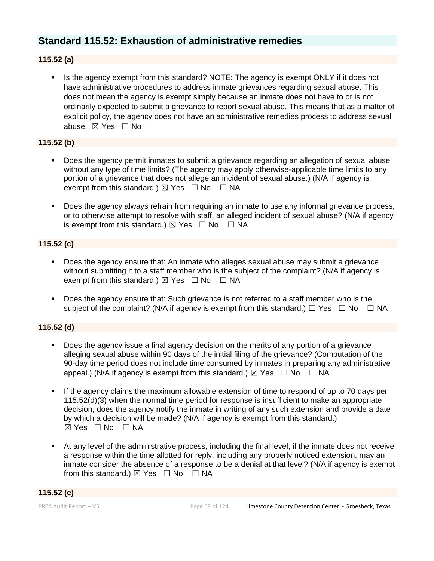## **Standard 115.52: Exhaustion of administrative remedies**

## **115.52 (a)**

Is the agency exempt from this standard? NOTE: The agency is exempt ONLY if it does not have administrative procedures to address inmate grievances regarding sexual abuse. This does not mean the agency is exempt simply because an inmate does not have to or is not ordinarily expected to submit a grievance to report sexual abuse. This means that as a matter of explicit policy, the agency does not have an administrative remedies process to address sexual abuse. ☒ Yes ☐ No

## **115.52 (b)**

- Does the agency permit inmates to submit a grievance regarding an allegation of sexual abuse without any type of time limits? (The agency may apply otherwise-applicable time limits to any portion of a grievance that does not allege an incident of sexual abuse.) (N/A if agency is exempt from this standard.)  $\boxtimes$  Yes  $\Box$  No  $\Box$  NA
- Does the agency always refrain from requiring an inmate to use any informal grievance process, or to otherwise attempt to resolve with staff, an alleged incident of sexual abuse? (N/A if agency is exempt from this standard.)  $\boxtimes$  Yes  $\Box$  No  $\Box$  NA

## **115.52 (c)**

- Does the agency ensure that: An inmate who alleges sexual abuse may submit a grievance without submitting it to a staff member who is the subject of the complaint? (N/A if agency is exempt from this standard.)  $\boxtimes$  Yes  $\Box$  No  $\Box$  NA
- Does the agency ensure that: Such grievance is not referred to a staff member who is the subject of the complaint? (N/A if agency is exempt from this standard.)  $\Box$  Yes  $\Box$  No  $\Box$  NA

## **115.52 (d)**

- Does the agency issue a final agency decision on the merits of any portion of a grievance alleging sexual abuse within 90 days of the initial filing of the grievance? (Computation of the 90-day time period does not include time consumed by inmates in preparing any administrative appeal.) (N/A if agency is exempt from this standard.)  $\boxtimes$  Yes  $\Box$  No  $\Box$  NA
- If the agency claims the maximum allowable extension of time to respond of up to 70 days per 115.52(d)(3) when the normal time period for response is insufficient to make an appropriate decision, does the agency notify the inmate in writing of any such extension and provide a date by which a decision will be made? (N/A if agency is exempt from this standard.)  $\boxtimes$  Yes  $\Box$  No  $\Box$  NA
- At any level of the administrative process, including the final level, if the inmate does not receive a response within the time allotted for reply, including any properly noticed extension, may an inmate consider the absence of a response to be a denial at that level? (N/A if agency is exempt from this standard.)  $\boxtimes$  Yes  $\Box$  No  $\Box$  NA

### **115.52 (e)**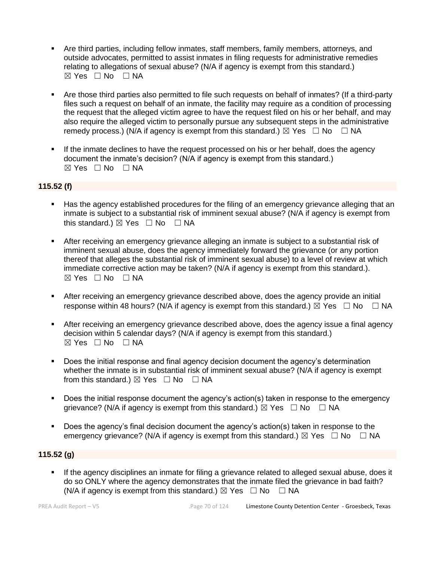- Are third parties, including fellow inmates, staff members, family members, attorneys, and outside advocates, permitted to assist inmates in filing requests for administrative remedies relating to allegations of sexual abuse? (N/A if agency is exempt from this standard.)  $\boxtimes$  Yes  $\Box$  No  $\Box$  NA
- Are those third parties also permitted to file such requests on behalf of inmates? (If a third-party files such a request on behalf of an inmate, the facility may require as a condition of processing the request that the alleged victim agree to have the request filed on his or her behalf, and may also require the alleged victim to personally pursue any subsequent steps in the administrative remedy process.) (N/A if agency is exempt from this standard.)  $\boxtimes$  Yes  $\Box$  No  $\Box$  NA
- If the inmate declines to have the request processed on his or her behalf, does the agency document the inmate's decision? (N/A if agency is exempt from this standard.)  $\boxtimes$  Yes  $\Box$  No  $\Box$  NA

### **115.52 (f)**

- Has the agency established procedures for the filing of an emergency grievance alleging that an inmate is subject to a substantial risk of imminent sexual abuse? (N/A if agency is exempt from this standard.)  $\boxtimes$  Yes  $\Box$  No  $\Box$  NA
- After receiving an emergency grievance alleging an inmate is subject to a substantial risk of imminent sexual abuse, does the agency immediately forward the grievance (or any portion thereof that alleges the substantial risk of imminent sexual abuse) to a level of review at which immediate corrective action may be taken? (N/A if agency is exempt from this standard.).  $⊠ Yes ⊡ No ⊡ NA$
- **EXECT** After receiving an emergency grievance described above, does the agency provide an initial response within 48 hours? (N/A if agency is exempt from this standard.)  $\boxtimes$  Yes  $\Box$  No  $\Box$  NA
- After receiving an emergency grievance described above, does the agency issue a final agency decision within 5 calendar days? (N/A if agency is exempt from this standard.)  $\boxtimes$  Yes  $\Box$  No  $\Box$  NA
- Does the initial response and final agency decision document the agency's determination whether the inmate is in substantial risk of imminent sexual abuse? (N/A if agency is exempt from this standard.)  $\boxtimes$  Yes  $\Box$  No  $\Box$  NA
- Does the initial response document the agency's action(s) taken in response to the emergency grievance? (N/A if agency is exempt from this standard.)  $\boxtimes$  Yes  $\Box$  No  $\Box$  NA
- Does the agency's final decision document the agency's action(s) taken in response to the emergency grievance? (N/A if agency is exempt from this standard.)  $\boxtimes$  Yes  $\Box$  No  $\Box$  NA

### **115.52 (g)**

**.** If the agency disciplines an inmate for filing a grievance related to alleged sexual abuse, does it do so ONLY where the agency demonstrates that the inmate filed the grievance in bad faith? (N/A if agency is exempt from this standard.)  $\boxtimes$  Yes  $\Box$  No  $\Box$  NA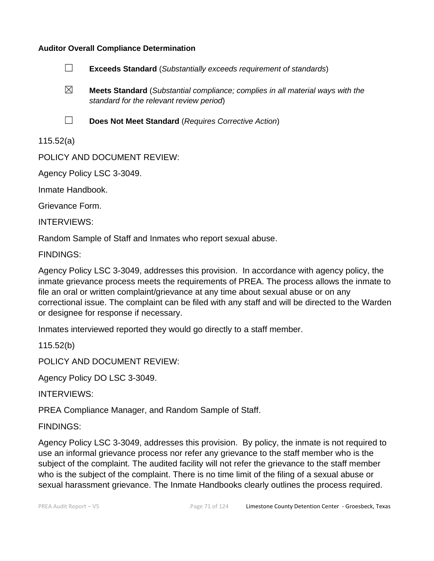## **Auditor Overall Compliance Determination**



☒ **Meets Standard** (*Substantial compliance; complies in all material ways with the standard for the relevant review period*)

☐ **Does Not Meet Standard** (*Requires Corrective Action*)

115.52(a)

POLICY AND DOCUMENT REVIEW:

Agency Policy LSC 3-3049.

Inmate Handbook.

Grievance Form.

INTERVIEWS:

Random Sample of Staff and Inmates who report sexual abuse.

FINDINGS:

Agency Policy LSC 3-3049, addresses this provision. In accordance with agency policy, the inmate grievance process meets the requirements of PREA. The process allows the inmate to file an oral or written complaint/grievance at any time about sexual abuse or on any correctional issue. The complaint can be filed with any staff and will be directed to the Warden or designee for response if necessary.

Inmates interviewed reported they would go directly to a staff member.

115.52(b)

POLICY AND DOCUMENT REVIEW:

Agency Policy DO LSC 3-3049.

INTERVIEWS:

PREA Compliance Manager, and Random Sample of Staff.

FINDINGS:

Agency Policy LSC 3-3049, addresses this provision. By policy, the inmate is not required to use an informal grievance process nor refer any grievance to the staff member who is the subject of the complaint. The audited facility will not refer the grievance to the staff member who is the subject of the complaint. There is no time limit of the filing of a sexual abuse or sexual harassment grievance. The Inmate Handbooks clearly outlines the process required.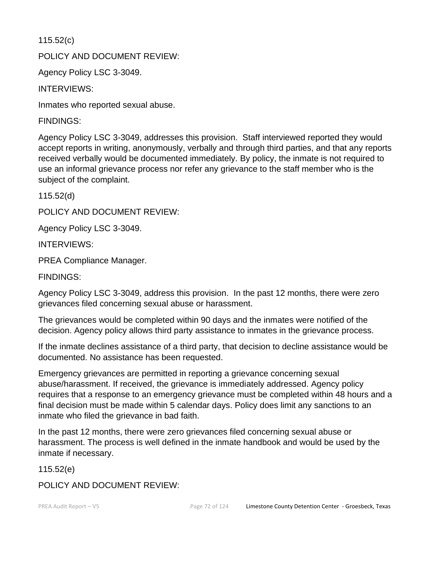115.52(c)

POLICY AND DOCUMENT REVIEW:

Agency Policy LSC 3-3049.

INTERVIEWS:

Inmates who reported sexual abuse.

FINDINGS:

Agency Policy LSC 3-3049, addresses this provision. Staff interviewed reported they would accept reports in writing, anonymously, verbally and through third parties, and that any reports received verbally would be documented immediately. By policy, the inmate is not required to use an informal grievance process nor refer any grievance to the staff member who is the subject of the complaint.

115.52(d)

POLICY AND DOCUMENT REVIEW:

Agency Policy LSC 3-3049.

INTERVIEWS:

PREA Compliance Manager.

FINDINGS:

Agency Policy LSC 3-3049, address this provision. In the past 12 months, there were zero grievances filed concerning sexual abuse or harassment.

The grievances would be completed within 90 days and the inmates were notified of the decision. Agency policy allows third party assistance to inmates in the grievance process.

If the inmate declines assistance of a third party, that decision to decline assistance would be documented. No assistance has been requested.

Emergency grievances are permitted in reporting a grievance concerning sexual abuse/harassment. If received, the grievance is immediately addressed. Agency policy requires that a response to an emergency grievance must be completed within 48 hours and a final decision must be made within 5 calendar days. Policy does limit any sanctions to an inmate who filed the grievance in bad faith.

In the past 12 months, there were zero grievances filed concerning sexual abuse or harassment. The process is well defined in the inmate handbook and would be used by the inmate if necessary.

115.52(e)

POLICY AND DOCUMENT REVIEW: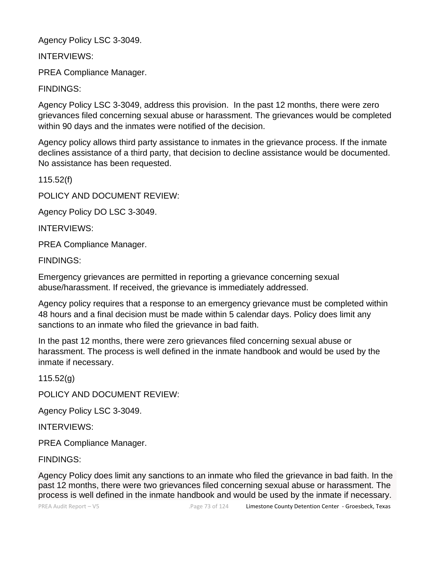Agency Policy LSC 3-3049.

INTERVIEWS:

PREA Compliance Manager.

FINDINGS:

Agency Policy LSC 3-3049, address this provision. In the past 12 months, there were zero grievances filed concerning sexual abuse or harassment. The grievances would be completed within 90 days and the inmates were notified of the decision.

Agency policy allows third party assistance to inmates in the grievance process. If the inmate declines assistance of a third party, that decision to decline assistance would be documented. No assistance has been requested.

115.52(f)

POLICY AND DOCUMENT REVIEW:

Agency Policy DO LSC 3-3049.

INTERVIEWS:

PREA Compliance Manager.

FINDINGS:

Emergency grievances are permitted in reporting a grievance concerning sexual abuse/harassment. If received, the grievance is immediately addressed.

Agency policy requires that a response to an emergency grievance must be completed within 48 hours and a final decision must be made within 5 calendar days. Policy does limit any sanctions to an inmate who filed the grievance in bad faith.

In the past 12 months, there were zero grievances filed concerning sexual abuse or harassment. The process is well defined in the inmate handbook and would be used by the inmate if necessary.

115.52(g)

POLICY AND DOCUMENT REVIEW:

Agency Policy LSC 3-3049.

INTERVIEWS:

PREA Compliance Manager.

FINDINGS:

Agency Policy does limit any sanctions to an inmate who filed the grievance in bad faith. In the past 12 months, there were two grievances filed concerning sexual abuse or harassment. The process is well defined in the inmate handbook and would be used by the inmate if necessary.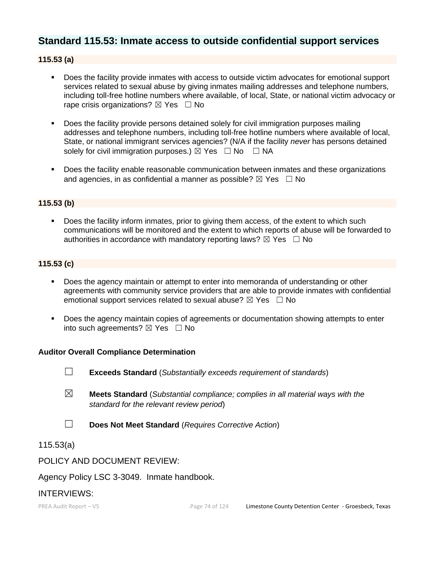# **Standard 115.53: Inmate access to outside confidential support services**

# **115.53 (a)**

- Does the facility provide inmates with access to outside victim advocates for emotional support services related to sexual abuse by giving inmates mailing addresses and telephone numbers, including toll-free hotline numbers where available, of local, State, or national victim advocacy or rape crisis organizations?  $\boxtimes$  Yes  $\Box$  No
- Does the facility provide persons detained solely for civil immigration purposes mailing addresses and telephone numbers, including toll-free hotline numbers where available of local, State, or national immigrant services agencies? (N/A if the facility *never* has persons detained solely for civil immigration purposes.)  $\boxtimes$  Yes  $\Box$  No  $\Box$  NA
- Does the facility enable reasonable communication between inmates and these organizations and agencies, in as confidential a manner as possible?  $\boxtimes$  Yes  $\Box$  No

#### **115.53 (b)**

■ Does the facility inform inmates, prior to giving them access, of the extent to which such communications will be monitored and the extent to which reports of abuse will be forwarded to authorities in accordance with mandatory reporting laws?  $\boxtimes$  Yes  $\Box$  No

#### **115.53 (c)**

- Does the agency maintain or attempt to enter into memoranda of understanding or other agreements with community service providers that are able to provide inmates with confidential emotional support services related to sexual abuse?  $\boxtimes$  Yes  $\Box$  No
- Does the agency maintain copies of agreements or documentation showing attempts to enter into such agreements?  $\boxtimes$  Yes  $\Box$  No

#### **Auditor Overall Compliance Determination**

- ☐ **Exceeds Standard** (*Substantially exceeds requirement of standards*)
- ☒ **Meets Standard** (*Substantial compliance; complies in all material ways with the standard for the relevant review period*)
- ☐ **Does Not Meet Standard** (*Requires Corrective Action*)

115.53(a)

#### POLICY AND DOCUMENT REVIEW:

Agency Policy LSC 3-3049. Inmate handbook.

#### INTERVIEWS: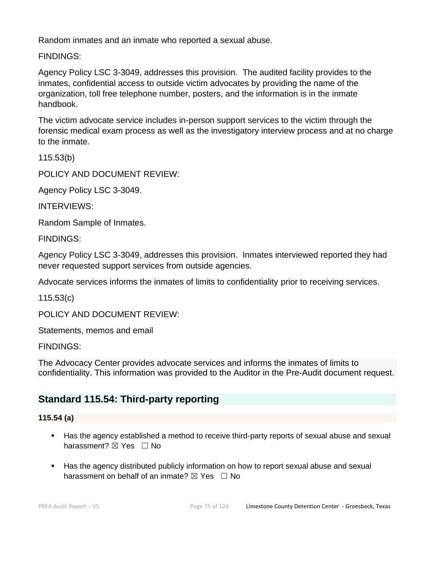Random inmates and an inmate who reported a sexual abuse.

FINDINGS:

Agency Policy LSC 3-3049, addresses this provision. The audited facility provides to the inmates, confidential access to outside victim advocates by providing the name of the organization, toll free telephone number, posters, and the information is in the inmate handbook.

The victim advocate service includes in-person support services to the victim through the forensic medical exam process as well as the investigatory interview process and at no charge to the inmate.

115.53(b)

POLICY AND DOCUMENT REVIEW:

Agency Policy LSC 3-3049.

INTERVIEWS:

Random Sample of Inmates.

FINDINGS:

Agency Policy LSC 3-3049, addresses this provision. Inmates interviewed reported they had never requested support services from outside agencies.

Advocate services informs the inmates of limits to confidentiality prior to receiving services.

115.53(c)

POLICY AND DOCUMENT REVIEW:

Statements, memos and email

FINDINGS:

The Advocacy Center provides advocate services and informs the inmates of limits to confidentiality. This information was provided to the Auditor in the Pre-Audit document request.

# **Standard 115.54: Third-party reporting**

### **115.54 (a)**

- Has the agency established a method to receive third-party reports of sexual abuse and sexual harassment? **⊠** Yes □ No
- Has the agency distributed publicly information on how to report sexual abuse and sexual harassment on behalf of an inmate?  $\boxtimes$  Yes  $\Box$  No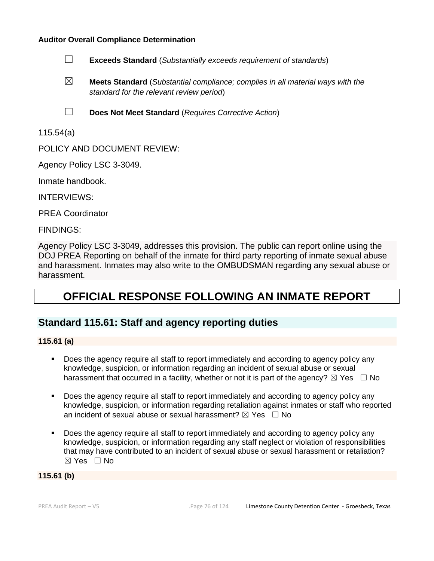- ☐ **Exceeds Standard** (*Substantially exceeds requirement of standards*)
- ☒ **Meets Standard** (*Substantial compliance; complies in all material ways with the standard for the relevant review period*)
- ☐ **Does Not Meet Standard** (*Requires Corrective Action*)

115.54(a)

POLICY AND DOCUMENT REVIEW:

Agency Policy LSC 3-3049.

Inmate handbook.

INTERVIEWS:

PREA Coordinator

FINDINGS:

Agency Policy LSC 3-3049, addresses this provision. The public can report online using the DOJ PREA Reporting on behalf of the inmate for third party reporting of inmate sexual abuse and harassment. Inmates may also write to the OMBUDSMAN regarding any sexual abuse or harassment.

# **OFFICIAL RESPONSE FOLLOWING AN INMATE REPORT**

# **Standard 115.61: Staff and agency reporting duties**

#### **115.61 (a)**

- Does the agency require all staff to report immediately and according to agency policy any knowledge, suspicion, or information regarding an incident of sexual abuse or sexual harassment that occurred in a facility, whether or not it is part of the agency?  $\boxtimes$  Yes  $\Box$  No
- Does the agency require all staff to report immediately and according to agency policy any knowledge, suspicion, or information regarding retaliation against inmates or staff who reported an incident of sexual abuse or sexual harassment?  $\boxtimes$  Yes  $\Box$  No
- Does the agency require all staff to report immediately and according to agency policy any knowledge, suspicion, or information regarding any staff neglect or violation of responsibilities that may have contributed to an incident of sexual abuse or sexual harassment or retaliation? ☒ Yes ☐ No

#### **115.61 (b)**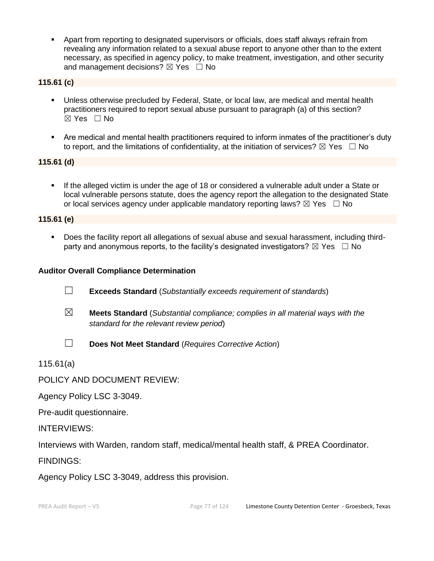▪ Apart from reporting to designated supervisors or officials, does staff always refrain from revealing any information related to a sexual abuse report to anyone other than to the extent necessary, as specified in agency policy, to make treatment, investigation, and other security and management decisions?  $\boxtimes$  Yes  $\Box$  No

### **115.61 (c)**

- Unless otherwise precluded by Federal, State, or local law, are medical and mental health practitioners required to report sexual abuse pursuant to paragraph (a) of this section? ☒ Yes ☐ No
- Are medical and mental health practitioners required to inform inmates of the practitioner's duty to report, and the limitations of confidentiality, at the initiation of services?  $\boxtimes$  Yes  $\Box$  No

### **115.61 (d)**

▪ If the alleged victim is under the age of 18 or considered a vulnerable adult under a State or local vulnerable persons statute, does the agency report the allegation to the designated State or local services agency under applicable mandatory reporting laws?  $\boxtimes$  Yes  $\Box$  No

#### **115.61 (e)**

▪ Does the facility report all allegations of sexual abuse and sexual harassment, including thirdparty and anonymous reports, to the facility's designated investigators?  $\boxtimes$  Yes  $\Box$  No

#### **Auditor Overall Compliance Determination**

- ☐ **Exceeds Standard** (*Substantially exceeds requirement of standards*)
- ☒ **Meets Standard** (*Substantial compliance; complies in all material ways with the standard for the relevant review period*)
- ☐ **Does Not Meet Standard** (*Requires Corrective Action*)

115.61(a)

POLICY AND DOCUMENT REVIEW:

Agency Policy LSC 3-3049.

Pre-audit questionnaire.

INTERVIEWS:

Interviews with Warden, random staff, medical/mental health staff, & PREA Coordinator.

FINDINGS:

Agency Policy LSC 3-3049, address this provision.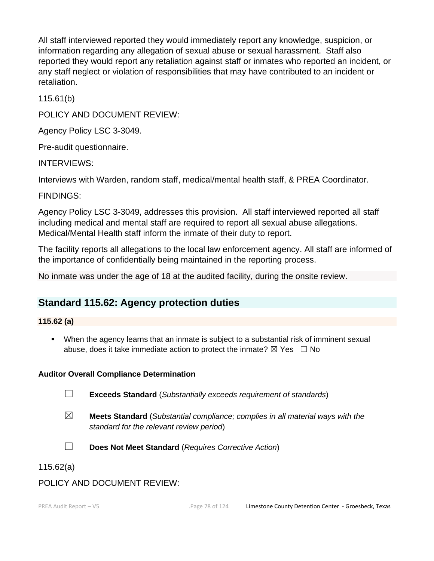All staff interviewed reported they would immediately report any knowledge, suspicion, or information regarding any allegation of sexual abuse or sexual harassment. Staff also reported they would report any retaliation against staff or inmates who reported an incident, or any staff neglect or violation of responsibilities that may have contributed to an incident or retaliation.

115.61(b)

POLICY AND DOCUMENT REVIEW:

Agency Policy LSC 3-3049.

Pre-audit questionnaire.

INTERVIEWS:

Interviews with Warden, random staff, medical/mental health staff, & PREA Coordinator.

FINDINGS:

Agency Policy LSC 3-3049, addresses this provision. All staff interviewed reported all staff including medical and mental staff are required to report all sexual abuse allegations. Medical/Mental Health staff inform the inmate of their duty to report.

The facility reports all allegations to the local law enforcement agency. All staff are informed of the importance of confidentially being maintained in the reporting process.

No inmate was under the age of 18 at the audited facility, during the onsite review.

# **Standard 115.62: Agency protection duties**

# **115.62 (a)**

▪ When the agency learns that an inmate is subject to a substantial risk of imminent sexual abuse, does it take immediate action to protect the inmate?  $\boxtimes$  Yes  $\Box$  No

# **Auditor Overall Compliance Determination**

- ☐ **Exceeds Standard** (*Substantially exceeds requirement of standards*)
- ☒ **Meets Standard** (*Substantial compliance; complies in all material ways with the standard for the relevant review period*)
- ☐ **Does Not Meet Standard** (*Requires Corrective Action*)
- 115.62(a)

# POLICY AND DOCUMENT REVIEW: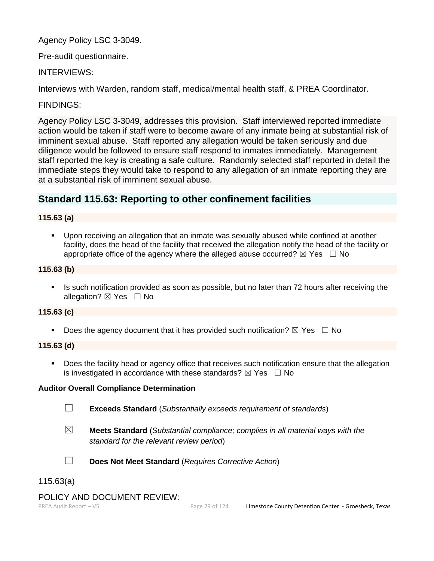Agency Policy LSC 3-3049.

Pre-audit questionnaire.

INTERVIEWS:

Interviews with Warden, random staff, medical/mental health staff, & PREA Coordinator.

FINDINGS:

Agency Policy LSC 3-3049, addresses this provision. Staff interviewed reported immediate action would be taken if staff were to become aware of any inmate being at substantial risk of imminent sexual abuse. Staff reported any allegation would be taken seriously and due diligence would be followed to ensure staff respond to inmates immediately. Management staff reported the key is creating a safe culture. Randomly selected staff reported in detail the immediate steps they would take to respond to any allegation of an inmate reporting they are at a substantial risk of imminent sexual abuse.

# **Standard 115.63: Reporting to other confinement facilities**

## **115.63 (a)**

▪ Upon receiving an allegation that an inmate was sexually abused while confined at another facility, does the head of the facility that received the allegation notify the head of the facility or appropriate office of the agency where the alleged abuse occurred?  $\boxtimes$  Yes  $\Box$  No

# **115.63 (b)**

**.** Is such notification provided as soon as possible, but no later than 72 hours after receiving the allegation? **⊠** Yes □ No

#### **115.63 (c)**

**•** Does the agency document that it has provided such notification?  $\boxtimes$  Yes  $\Box$  No

#### **115.63 (d)**

**•** Does the facility head or agency office that receives such notification ensure that the allegation is investigated in accordance with these standards?  $\boxtimes$  Yes  $\Box$  No

#### **Auditor Overall Compliance Determination**

☐ **Exceeds Standard** (*Substantially exceeds requirement of standards*)

☒ **Meets Standard** (*Substantial compliance; complies in all material ways with the standard for the relevant review period*)



- ☐ **Does Not Meet Standard** (*Requires Corrective Action*)
- 115.63(a)

### POLICY AND DOCUMENT REVIEW: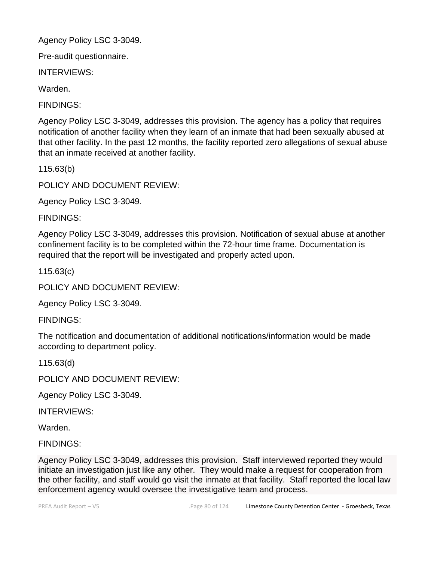Agency Policy LSC 3-3049.

Pre-audit questionnaire.

INTERVIEWS:

Warden.

FINDINGS:

Agency Policy LSC 3-3049, addresses this provision. The agency has a policy that requires notification of another facility when they learn of an inmate that had been sexually abused at that other facility. In the past 12 months, the facility reported zero allegations of sexual abuse that an inmate received at another facility.

115.63(b)

POLICY AND DOCUMENT REVIEW:

Agency Policy LSC 3-3049.

FINDINGS:

Agency Policy LSC 3-3049, addresses this provision. Notification of sexual abuse at another confinement facility is to be completed within the 72-hour time frame. Documentation is required that the report will be investigated and properly acted upon.

115.63(c)

POLICY AND DOCUMENT REVIEW:

Agency Policy LSC 3-3049.

FINDINGS:

The notification and documentation of additional notifications/information would be made according to department policy.

115.63(d)

POLICY AND DOCUMENT REVIEW:

Agency Policy LSC 3-3049.

INTERVIEWS:

Warden.

FINDINGS:

Agency Policy LSC 3-3049, addresses this provision. Staff interviewed reported they would initiate an investigation just like any other. They would make a request for cooperation from the other facility, and staff would go visit the inmate at that facility. Staff reported the local law enforcement agency would oversee the investigative team and process.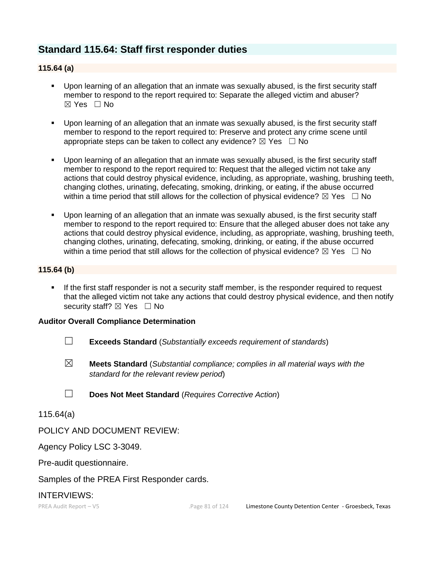# **Standard 115.64: Staff first responder duties**

## **115.64 (a)**

- Upon learning of an allegation that an inmate was sexually abused, is the first security staff member to respond to the report required to: Separate the alleged victim and abuser? ☒ Yes ☐ No
- Upon learning of an allegation that an inmate was sexually abused, is the first security staff member to respond to the report required to: Preserve and protect any crime scene until appropriate steps can be taken to collect any evidence?  $\boxtimes$  Yes  $\Box$  No
- Upon learning of an allegation that an inmate was sexually abused, is the first security staff member to respond to the report required to: Request that the alleged victim not take any actions that could destroy physical evidence, including, as appropriate, washing, brushing teeth, changing clothes, urinating, defecating, smoking, drinking, or eating, if the abuse occurred within a time period that still allows for the collection of physical evidence?  $\boxtimes$  Yes  $\Box$  No
- Upon learning of an allegation that an inmate was sexually abused, is the first security staff member to respond to the report required to: Ensure that the alleged abuser does not take any actions that could destroy physical evidence, including, as appropriate, washing, brushing teeth, changing clothes, urinating, defecating, smoking, drinking, or eating, if the abuse occurred within a time period that still allows for the collection of physical evidence?  $\boxtimes$  Yes  $\Box$  No

#### **115.64 (b)**

**.** If the first staff responder is not a security staff member, is the responder required to request that the alleged victim not take any actions that could destroy physical evidence, and then notify security staff?  $\boxtimes$  Yes  $\Box$  No

#### **Auditor Overall Compliance Determination**

- ☐ **Exceeds Standard** (*Substantially exceeds requirement of standards*)
- ☒ **Meets Standard** (*Substantial compliance; complies in all material ways with the standard for the relevant review period*)
- ☐ **Does Not Meet Standard** (*Requires Corrective Action*)

#### 115.64(a)

POLICY AND DOCUMENT REVIEW:

Agency Policy LSC 3-3049.

Pre-audit questionnaire.

Samples of the PREA First Responder cards.

# INTERVIEWS: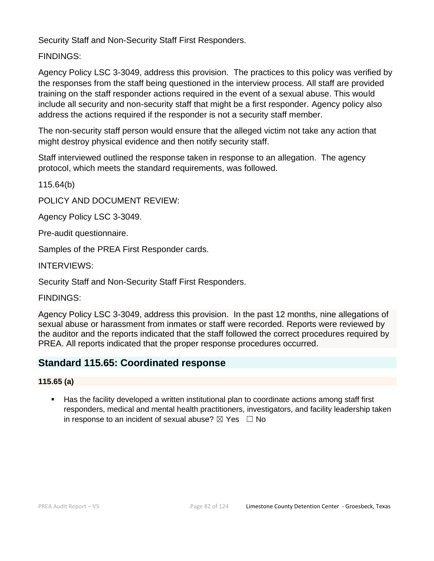Security Staff and Non-Security Staff First Responders.

FINDINGS:

Agency Policy LSC 3-3049, address this provision. The practices to this policy was verified by the responses from the staff being questioned in the interview process. All staff are provided training on the staff responder actions required in the event of a sexual abuse. This would include all security and non-security staff that might be a first responder. Agency policy also address the actions required if the responder is not a security staff member.

The non-security staff person would ensure that the alleged victim not take any action that might destroy physical evidence and then notify security staff.

Staff interviewed outlined the response taken in response to an allegation. The agency protocol, which meets the standard requirements, was followed.

115.64(b)

POLICY AND DOCUMENT REVIEW:

Agency Policy LSC 3-3049.

Pre-audit questionnaire.

Samples of the PREA First Responder cards.

INTERVIEWS:

Security Staff and Non-Security Staff First Responders.

FINDINGS:

Agency Policy LSC 3-3049, address this provision. In the past 12 months, nine allegations of sexual abuse or harassment from inmates or staff were recorded. Reports were reviewed by the auditor and the reports indicated that the staff followed the correct procedures required by PREA. All reports indicated that the proper response procedures occurred.

# **Standard 115.65: Coordinated response**

# **115.65 (a)**

Has the facility developed a written institutional plan to coordinate actions among staff first responders, medical and mental health practitioners, investigators, and facility leadership taken in response to an incident of sexual abuse?  $\boxtimes$  Yes  $\Box$  No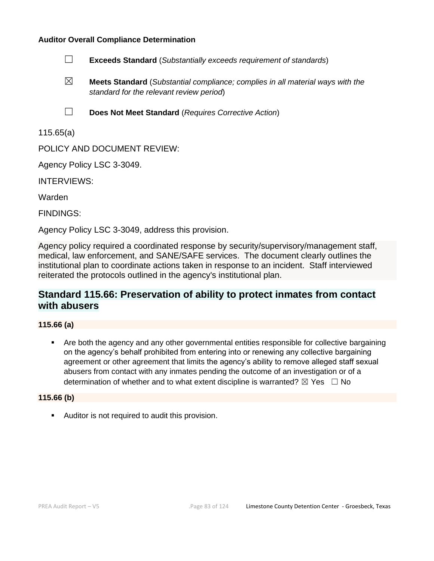

- ☒ **Meets Standard** (*Substantial compliance; complies in all material ways with the standard for the relevant review period*)
- ☐ **Does Not Meet Standard** (*Requires Corrective Action*)

115.65(a)

POLICY AND DOCUMENT REVIEW:

Agency Policy LSC 3-3049.

INTERVIEWS:

Warden

FINDINGS:

Agency Policy LSC 3-3049, address this provision.

Agency policy required a coordinated response by security/supervisory/management staff, medical, law enforcement, and SANE/SAFE services. The document clearly outlines the institutional plan to coordinate actions taken in response to an incident. Staff interviewed reiterated the protocols outlined in the agency's institutional plan.

# **Standard 115.66: Preservation of ability to protect inmates from contact with abusers**

### **115.66 (a)**

Are both the agency and any other governmental entities responsible for collective bargaining on the agency's behalf prohibited from entering into or renewing any collective bargaining agreement or other agreement that limits the agency's ability to remove alleged staff sexual abusers from contact with any inmates pending the outcome of an investigation or of a determination of whether and to what extent discipline is warranted?  $\boxtimes$  Yes  $\Box$  No

#### **115.66 (b)**

■ Auditor is not required to audit this provision.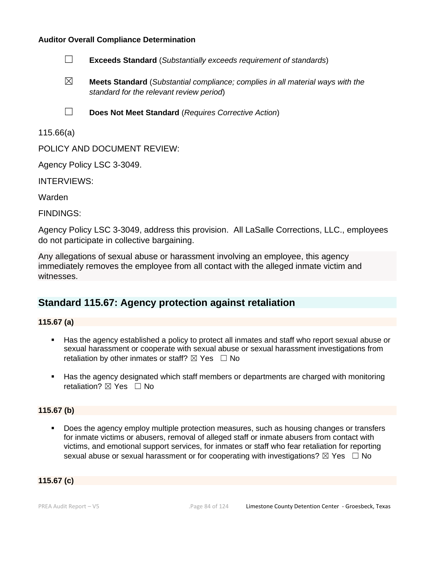- ☐ **Exceeds Standard** (*Substantially exceeds requirement of standards*)
- ☒ **Meets Standard** (*Substantial compliance; complies in all material ways with the standard for the relevant review period*)
- ☐ **Does Not Meet Standard** (*Requires Corrective Action*)

115.66(a)

POLICY AND DOCUMENT REVIEW:

Agency Policy LSC 3-3049.

INTERVIEWS:

Warden

FINDINGS:

Agency Policy LSC 3-3049, address this provision. All LaSalle Corrections, LLC., employees do not participate in collective bargaining.

Any allegations of sexual abuse or harassment involving an employee, this agency immediately removes the employee from all contact with the alleged inmate victim and witnesses.

# **Standard 115.67: Agency protection against retaliation**

#### **115.67 (a)**

- Has the agency established a policy to protect all inmates and staff who report sexual abuse or sexual harassment or cooperate with sexual abuse or sexual harassment investigations from retaliation by other inmates or staff?  $\boxtimes$  Yes  $\Box$  No
- Has the agency designated which staff members or departments are charged with monitoring retaliation? ⊠ Yes □ No

## **115.67 (b)**

■ Does the agency employ multiple protection measures, such as housing changes or transfers for inmate victims or abusers, removal of alleged staff or inmate abusers from contact with victims, and emotional support services, for inmates or staff who fear retaliation for reporting sexual abuse or sexual harassment or for cooperating with investigations?  $\boxtimes$  Yes  $\Box$  No

#### **115.67 (c)**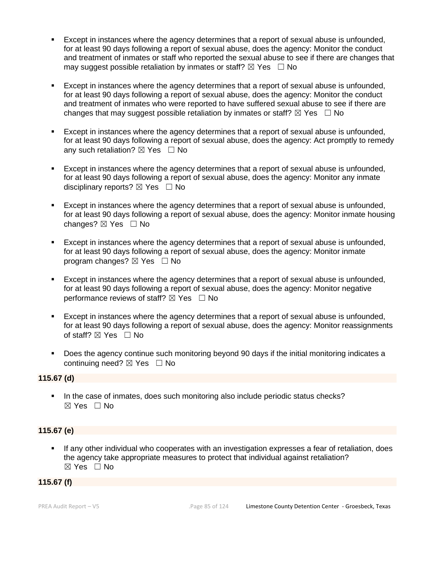- Except in instances where the agency determines that a report of sexual abuse is unfounded, for at least 90 days following a report of sexual abuse, does the agency: Monitor the conduct and treatment of inmates or staff who reported the sexual abuse to see if there are changes that may suggest possible retaliation by inmates or staff?  $\boxtimes$  Yes  $\Box$  No
- Except in instances where the agency determines that a report of sexual abuse is unfounded, for at least 90 days following a report of sexual abuse, does the agency: Monitor the conduct and treatment of inmates who were reported to have suffered sexual abuse to see if there are changes that may suggest possible retaliation by inmates or staff?  $\boxtimes$  Yes  $\Box$  No
- Except in instances where the agency determines that a report of sexual abuse is unfounded, for at least 90 days following a report of sexual abuse, does the agency: Act promptly to remedy any such retaliation?  $\boxtimes$  Yes  $\Box$  No
- Except in instances where the agency determines that a report of sexual abuse is unfounded, for at least 90 days following a report of sexual abuse, does the agency: Monitor any inmate disciplinary reports?  $\boxtimes$  Yes  $\Box$  No
- Except in instances where the agency determines that a report of sexual abuse is unfounded, for at least 90 days following a report of sexual abuse, does the agency: Monitor inmate housing changes?  $\boxtimes$  Yes  $\Box$  No
- Except in instances where the agency determines that a report of sexual abuse is unfounded, for at least 90 days following a report of sexual abuse, does the agency: Monitor inmate program changes?  $\boxtimes$  Yes  $\Box$  No
- Except in instances where the agency determines that a report of sexual abuse is unfounded, for at least 90 days following a report of sexual abuse, does the agency: Monitor negative performance reviews of staff?  $\boxtimes$  Yes  $\Box$  No
- Except in instances where the agency determines that a report of sexual abuse is unfounded, for at least 90 days following a report of sexual abuse, does the agency: Monitor reassignments of staff?  $\boxtimes$  Yes  $\Box$  No
- Does the agency continue such monitoring beyond 90 days if the initial monitoring indicates a continuing need?  $\boxtimes$  Yes  $\Box$  No

#### **115.67 (d)**

■ In the case of inmates, does such monitoring also include periodic status checks? ☒ Yes ☐ No

#### **115.67 (e)**

If any other individual who cooperates with an investigation expresses a fear of retaliation, does the agency take appropriate measures to protect that individual against retaliation? ☒ Yes ☐ No

#### **115.67 (f)**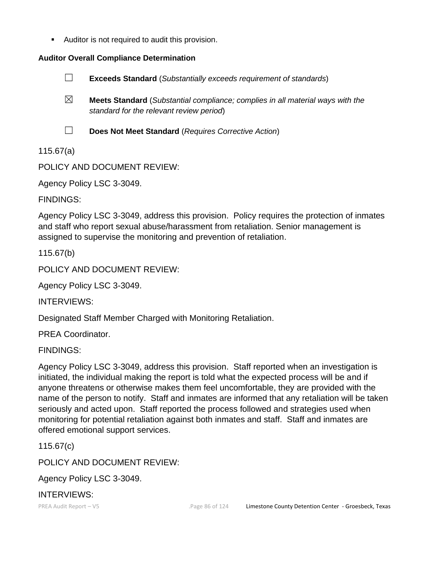■ Auditor is not required to audit this provision.

## **Auditor Overall Compliance Determination**



☒ **Meets Standard** (*Substantial compliance; complies in all material ways with the standard for the relevant review period*)

☐ **Does Not Meet Standard** (*Requires Corrective Action*)

115.67(a)

POLICY AND DOCUMENT REVIEW:

Agency Policy LSC 3-3049.

FINDINGS:

Agency Policy LSC 3-3049, address this provision. Policy requires the protection of inmates and staff who report sexual abuse/harassment from retaliation. Senior management is assigned to supervise the monitoring and prevention of retaliation.

115.67(b)

POLICY AND DOCUMENT REVIEW:

Agency Policy LSC 3-3049.

INTERVIEWS:

Designated Staff Member Charged with Monitoring Retaliation.

PREA Coordinator.

FINDINGS:

Agency Policy LSC 3-3049, address this provision. Staff reported when an investigation is initiated, the individual making the report is told what the expected process will be and if anyone threatens or otherwise makes them feel uncomfortable, they are provided with the name of the person to notify. Staff and inmates are informed that any retaliation will be taken seriously and acted upon. Staff reported the process followed and strategies used when monitoring for potential retaliation against both inmates and staff. Staff and inmates are offered emotional support services.

115.67(c)

POLICY AND DOCUMENT REVIEW:

Agency Policy LSC 3-3049.

INTERVIEWS: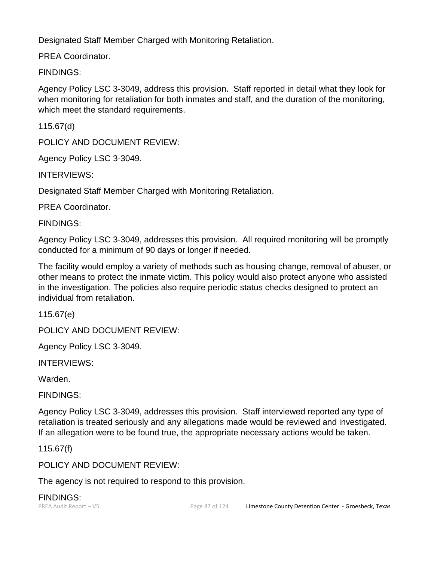Designated Staff Member Charged with Monitoring Retaliation.

PREA Coordinator.

FINDINGS:

Agency Policy LSC 3-3049, address this provision. Staff reported in detail what they look for when monitoring for retaliation for both inmates and staff, and the duration of the monitoring, which meet the standard requirements.

115.67(d)

POLICY AND DOCUMENT REVIEW:

Agency Policy LSC 3-3049.

INTERVIEWS:

Designated Staff Member Charged with Monitoring Retaliation.

PREA Coordinator.

FINDINGS:

Agency Policy LSC 3-3049, addresses this provision. All required monitoring will be promptly conducted for a minimum of 90 days or longer if needed.

The facility would employ a variety of methods such as housing change, removal of abuser, or other means to protect the inmate victim. This policy would also protect anyone who assisted in the investigation. The policies also require periodic status checks designed to protect an individual from retaliation.

115.67(e)

POLICY AND DOCUMENT REVIEW:

Agency Policy LSC 3-3049.

INTERVIEWS:

Warden.

FINDINGS:

Agency Policy LSC 3-3049, addresses this provision. Staff interviewed reported any type of retaliation is treated seriously and any allegations made would be reviewed and investigated. If an allegation were to be found true, the appropriate necessary actions would be taken.

115.67(f)

POLICY AND DOCUMENT REVIEW:

The agency is not required to respond to this provision.

FINDINGS: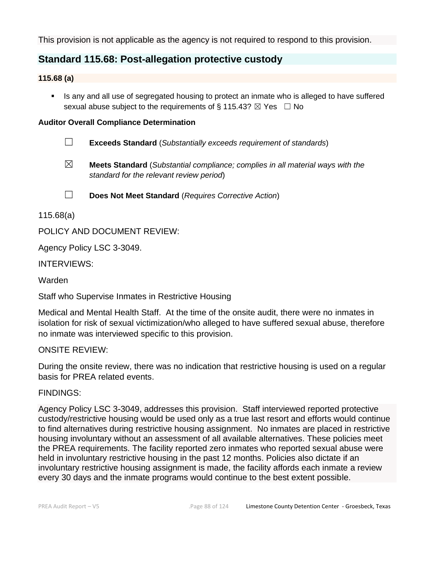This provision is not applicable as the agency is not required to respond to this provision.

# **Standard 115.68: Post-allegation protective custody**

### **115.68 (a)**

**EXT** Is any and all use of segregated housing to protect an inmate who is alleged to have suffered sexual abuse subject to the requirements of § 115.43?  $\boxtimes$  Yes  $\Box$  No

### **Auditor Overall Compliance Determination**

- ☐ **Exceeds Standard** (*Substantially exceeds requirement of standards*)
- ☒ **Meets Standard** (*Substantial compliance; complies in all material ways with the standard for the relevant review period*)

☐ **Does Not Meet Standard** (*Requires Corrective Action*)

115.68(a)

POLICY AND DOCUMENT REVIEW:

Agency Policy LSC 3-3049.

INTERVIEWS:

Warden

Staff who Supervise Inmates in Restrictive Housing

Medical and Mental Health Staff. At the time of the onsite audit, there were no inmates in isolation for risk of sexual victimization/who alleged to have suffered sexual abuse, therefore no inmate was interviewed specific to this provision.

# ONSITE REVIEW:

During the onsite review, there was no indication that restrictive housing is used on a regular basis for PREA related events.

#### FINDINGS:

Agency Policy LSC 3-3049, addresses this provision. Staff interviewed reported protective custody/restrictive housing would be used only as a true last resort and efforts would continue to find alternatives during restrictive housing assignment. No inmates are placed in restrictive housing involuntary without an assessment of all available alternatives. These policies meet the PREA requirements. The facility reported zero inmates who reported sexual abuse were held in involuntary restrictive housing in the past 12 months. Policies also dictate if an involuntary restrictive housing assignment is made, the facility affords each inmate a review every 30 days and the inmate programs would continue to the best extent possible.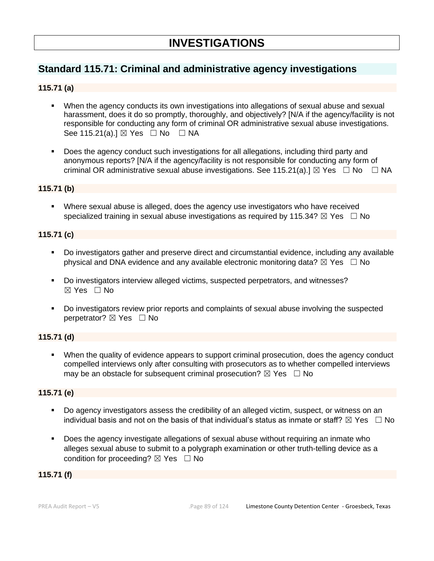# **Standard 115.71: Criminal and administrative agency investigations**

## **115.71 (a)**

- When the agency conducts its own investigations into allegations of sexual abuse and sexual harassment, does it do so promptly, thoroughly, and objectively? [N/A if the agency/facility is not responsible for conducting any form of criminal OR administrative sexual abuse investigations. See 115.21(a).]  $\boxtimes$  Yes  $\Box$  No  $\Box$  NA
- Does the agency conduct such investigations for all allegations, including third party and anonymous reports? [N/A if the agency/facility is not responsible for conducting any form of criminal OR administrative sexual abuse investigations. See 115.21(a).]  $\boxtimes$  Yes  $\Box$  No  $\Box$  NA

#### **115.71 (b)**

**EXECT** Where sexual abuse is alleged, does the agency use investigators who have received specialized training in sexual abuse investigations as required by 115.34?  $\boxtimes$  Yes  $\Box$  No

### **115.71 (c)**

- Do investigators gather and preserve direct and circumstantial evidence, including any available physical and DNA evidence and any available electronic monitoring data?  $\boxtimes$  Yes  $\Box$  No
- Do investigators interview alleged victims, suspected perpetrators, and witnesses? ☒ Yes ☐ No
- Do investigators review prior reports and complaints of sexual abuse involving the suspected perpetrator? ⊠ Yes □ No

### **115.71 (d)**

When the quality of evidence appears to support criminal prosecution, does the agency conduct compelled interviews only after consulting with prosecutors as to whether compelled interviews may be an obstacle for subsequent criminal prosecution?  $\boxtimes$  Yes  $\Box$  No

#### **115.71 (e)**

- Do agency investigators assess the credibility of an alleged victim, suspect, or witness on an individual basis and not on the basis of that individual's status as inmate or staff?  $\boxtimes$  Yes  $\;\;\Box$  No
- Does the agency investigate allegations of sexual abuse without requiring an inmate who alleges sexual abuse to submit to a polygraph examination or other truth-telling device as a condition for proceeding?  $\boxtimes$  Yes  $\Box$  No

#### **115.71 (f)**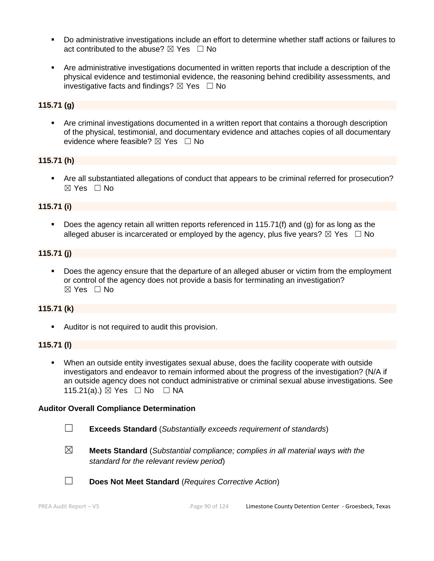- Do administrative investigations include an effort to determine whether staff actions or failures to act contributed to the abuse?  $\boxtimes$  Yes  $\Box$  No
- Are administrative investigations documented in written reports that include a description of the physical evidence and testimonial evidence, the reasoning behind credibility assessments, and investigative facts and findings?  $\boxtimes$  Yes  $\Box$  No

## **115.71 (g)**

■ Are criminal investigations documented in a written report that contains a thorough description of the physical, testimonial, and documentary evidence and attaches copies of all documentary evidence where feasible?  $\boxtimes$  Yes  $\Box$  No

#### **115.71 (h)**

■ Are all substantiated allegations of conduct that appears to be criminal referred for prosecution? ☒ Yes ☐ No

#### **115.71 (i)**

Does the agency retain all written reports referenced in 115.71(f) and (g) for as long as the alleged abuser is incarcerated or employed by the agency, plus five years?  $\boxtimes$  Yes  $\Box$  No

#### **115.71 (j)**

▪ Does the agency ensure that the departure of an alleged abuser or victim from the employment or control of the agency does not provide a basis for terminating an investigation? ☒ Yes ☐ No

#### **115.71 (k)**

**E** Auditor is not required to audit this provision.

#### **115.71 (l)**

▪ When an outside entity investigates sexual abuse, does the facility cooperate with outside investigators and endeavor to remain informed about the progress of the investigation? (N/A if an outside agency does not conduct administrative or criminal sexual abuse investigations. See 115.21(a).) ⊠ Yes □ No □ NA

#### **Auditor Overall Compliance Determination**

- ☐ **Exceeds Standard** (*Substantially exceeds requirement of standards*)
- ☒ **Meets Standard** (*Substantial compliance; complies in all material ways with the standard for the relevant review period*)
- 
- ☐ **Does Not Meet Standard** (*Requires Corrective Action*)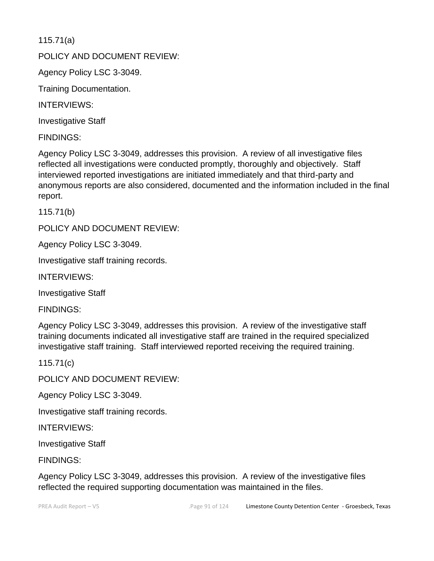115.71(a)

POLICY AND DOCUMENT REVIEW:

Agency Policy LSC 3-3049.

Training Documentation.

INTERVIEWS:

Investigative Staff

FINDINGS:

Agency Policy LSC 3-3049, addresses this provision. A review of all investigative files reflected all investigations were conducted promptly, thoroughly and objectively. Staff interviewed reported investigations are initiated immediately and that third-party and anonymous reports are also considered, documented and the information included in the final report.

115.71(b)

POLICY AND DOCUMENT REVIEW:

Agency Policy LSC 3-3049.

Investigative staff training records.

INTERVIEWS:

Investigative Staff

FINDINGS:

Agency Policy LSC 3-3049, addresses this provision. A review of the investigative staff training documents indicated all investigative staff are trained in the required specialized investigative staff training. Staff interviewed reported receiving the required training.

115.71(c)

POLICY AND DOCUMENT REVIEW:

Agency Policy LSC 3-3049.

Investigative staff training records.

INTERVIEWS:

Investigative Staff

FINDINGS:

Agency Policy LSC 3-3049, addresses this provision. A review of the investigative files reflected the required supporting documentation was maintained in the files.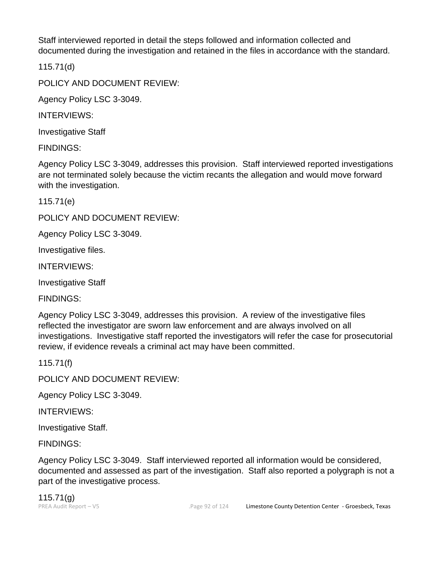Staff interviewed reported in detail the steps followed and information collected and documented during the investigation and retained in the files in accordance with the standard.

115.71(d)

POLICY AND DOCUMENT REVIEW:

Agency Policy LSC 3-3049.

INTERVIEWS:

Investigative Staff

FINDINGS:

Agency Policy LSC 3-3049, addresses this provision. Staff interviewed reported investigations are not terminated solely because the victim recants the allegation and would move forward with the investigation.

115.71(e)

POLICY AND DOCUMENT REVIEW:

Agency Policy LSC 3-3049.

Investigative files.

INTERVIEWS:

Investigative Staff

FINDINGS:

Agency Policy LSC 3-3049, addresses this provision. A review of the investigative files reflected the investigator are sworn law enforcement and are always involved on all investigations. Investigative staff reported the investigators will refer the case for prosecutorial review, if evidence reveals a criminal act may have been committed.

115.71(f)

POLICY AND DOCUMENT REVIEW:

Agency Policy LSC 3-3049.

INTERVIEWS:

Investigative Staff.

FINDINGS:

Agency Policy LSC 3-3049. Staff interviewed reported all information would be considered, documented and assessed as part of the investigation. Staff also reported a polygraph is not a part of the investigative process.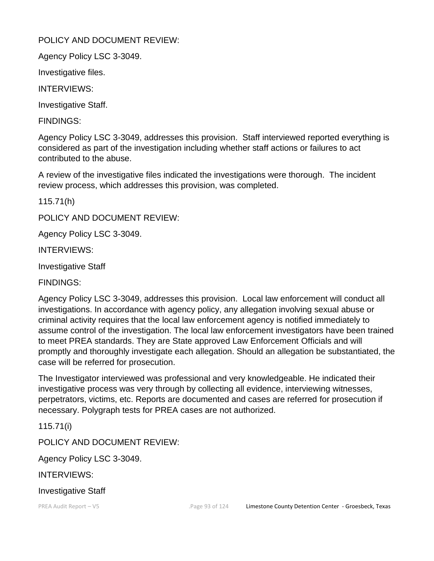# POLICY AND DOCUMENT REVIEW:

Agency Policy LSC 3-3049.

Investigative files.

INTERVIEWS:

Investigative Staff.

FINDINGS:

Agency Policy LSC 3-3049, addresses this provision. Staff interviewed reported everything is considered as part of the investigation including whether staff actions or failures to act contributed to the abuse.

A review of the investigative files indicated the investigations were thorough. The incident review process, which addresses this provision, was completed.

115.71(h)

POLICY AND DOCUMENT REVIEW:

Agency Policy LSC 3-3049.

INTERVIEWS:

Investigative Staff

FINDINGS:

Agency Policy LSC 3-3049, addresses this provision. Local law enforcement will conduct all investigations. In accordance with agency policy, any allegation involving sexual abuse or criminal activity requires that the local law enforcement agency is notified immediately to assume control of the investigation. The local law enforcement investigators have been trained to meet PREA standards. They are State approved Law Enforcement Officials and will promptly and thoroughly investigate each allegation. Should an allegation be substantiated, the case will be referred for prosecution.

The Investigator interviewed was professional and very knowledgeable. He indicated their investigative process was very through by collecting all evidence, interviewing witnesses, perpetrators, victims, etc. Reports are documented and cases are referred for prosecution if necessary. Polygraph tests for PREA cases are not authorized.

115.71(i)

POLICY AND DOCUMENT REVIEW:

Agency Policy LSC 3-3049.

INTERVIEWS:

Investigative Staff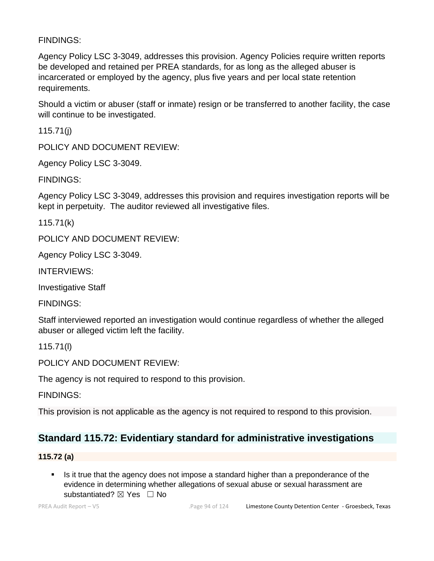# FINDINGS:

Agency Policy LSC 3-3049, addresses this provision. Agency Policies require written reports be developed and retained per PREA standards, for as long as the alleged abuser is incarcerated or employed by the agency, plus five years and per local state retention requirements.

Should a victim or abuser (staff or inmate) resign or be transferred to another facility, the case will continue to be investigated.

115.71(j)

POLICY AND DOCUMENT REVIEW:

Agency Policy LSC 3-3049.

FINDINGS:

Agency Policy LSC 3-3049, addresses this provision and requires investigation reports will be kept in perpetuity. The auditor reviewed all investigative files.

115.71(k)

POLICY AND DOCUMENT REVIEW:

Agency Policy LSC 3-3049.

INTERVIEWS:

Investigative Staff

FINDINGS:

Staff interviewed reported an investigation would continue regardless of whether the alleged abuser or alleged victim left the facility.

115.71(l)

POLICY AND DOCUMENT REVIEW:

The agency is not required to respond to this provision.

FINDINGS:

This provision is not applicable as the agency is not required to respond to this provision.

# **Standard 115.72: Evidentiary standard for administrative investigations**

### **115.72 (a)**

■ Is it true that the agency does not impose a standard higher than a preponderance of the evidence in determining whether allegations of sexual abuse or sexual harassment are substantiated? ⊠ Yes □ No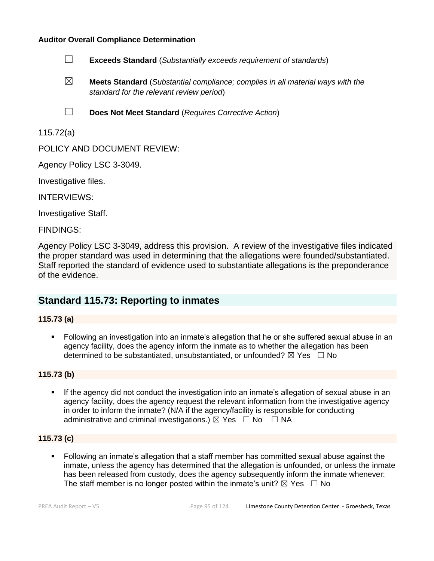

- ☒ **Meets Standard** (*Substantial compliance; complies in all material ways with the standard for the relevant review period*)
- ☐ **Does Not Meet Standard** (*Requires Corrective Action*)

### 115.72(a)

POLICY AND DOCUMENT REVIEW:

Agency Policy LSC 3-3049.

Investigative files.

INTERVIEWS:

Investigative Staff.

FINDINGS:

Agency Policy LSC 3-3049, address this provision. A review of the investigative files indicated the proper standard was used in determining that the allegations were founded/substantiated. Staff reported the standard of evidence used to substantiate allegations is the preponderance of the evidence.

# **Standard 115.73: Reporting to inmates**

#### **115.73 (a)**

▪ Following an investigation into an inmate's allegation that he or she suffered sexual abuse in an agency facility, does the agency inform the inmate as to whether the allegation has been determined to be substantiated, unsubstantiated, or unfounded?  $\boxtimes$  Yes  $\Box$  No

#### **115.73 (b)**

If the agency did not conduct the investigation into an inmate's allegation of sexual abuse in an agency facility, does the agency request the relevant information from the investigative agency in order to inform the inmate? (N/A if the agency/facility is responsible for conducting administrative and criminal investigations.)  $\boxtimes$  Yes  $\Box$  No  $\Box$  NA

#### **115.73 (c)**

▪ Following an inmate's allegation that a staff member has committed sexual abuse against the inmate, unless the agency has determined that the allegation is unfounded, or unless the inmate has been released from custody, does the agency subsequently inform the inmate whenever: The staff member is no longer posted within the inmate's unit?  $\boxtimes$  Yes  $\Box$  No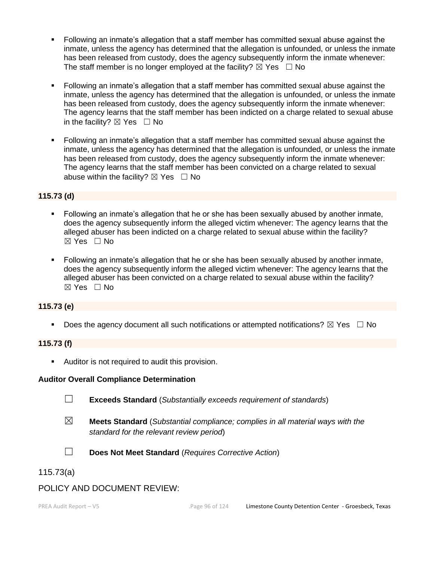- Following an inmate's allegation that a staff member has committed sexual abuse against the inmate, unless the agency has determined that the allegation is unfounded, or unless the inmate has been released from custody, does the agency subsequently inform the inmate whenever: The staff member is no longer employed at the facility?  $\boxtimes$  Yes  $\Box$  No
- Following an inmate's allegation that a staff member has committed sexual abuse against the inmate, unless the agency has determined that the allegation is unfounded, or unless the inmate has been released from custody, does the agency subsequently inform the inmate whenever: The agency learns that the staff member has been indicted on a charge related to sexual abuse in the facility?  $\boxtimes$  Yes  $\Box$  No
- Following an inmate's allegation that a staff member has committed sexual abuse against the inmate, unless the agency has determined that the allegation is unfounded, or unless the inmate has been released from custody, does the agency subsequently inform the inmate whenever: The agency learns that the staff member has been convicted on a charge related to sexual abuse within the facility?  $\boxtimes$  Yes  $\Box$  No

### **115.73 (d)**

- Following an inmate's allegation that he or she has been sexually abused by another inmate, does the agency subsequently inform the alleged victim whenever: The agency learns that the alleged abuser has been indicted on a charge related to sexual abuse within the facility?  $\boxtimes$  Yes  $\Box$  No
- Following an inmate's allegation that he or she has been sexually abused by another inmate, does the agency subsequently inform the alleged victim whenever: The agency learns that the alleged abuser has been convicted on a charge related to sexual abuse within the facility?  $\boxtimes$  Yes  $\Box$  No

#### **115.73 (e)**

**•** Does the agency document all such notifications or attempted notifications?  $\boxtimes$  Yes  $\Box$  No

#### **115.73 (f)**

■ Auditor is not required to audit this provision.

#### **Auditor Overall Compliance Determination**

- 
- ☐ **Exceeds Standard** (*Substantially exceeds requirement of standards*)
- ☒ **Meets Standard** (*Substantial compliance; complies in all material ways with the standard for the relevant review period*)
- 
- ☐ **Does Not Meet Standard** (*Requires Corrective Action*)

115.73(a)

# POLICY AND DOCUMENT REVIEW: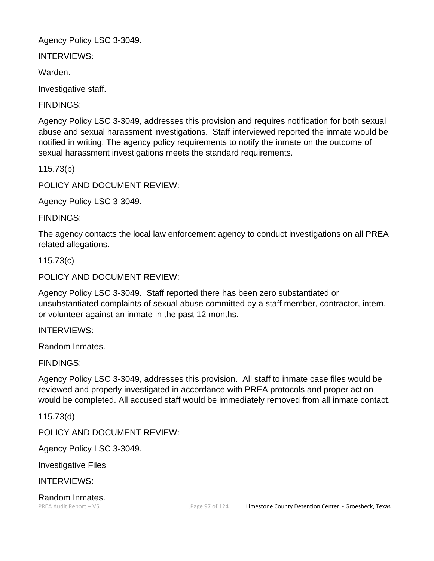Agency Policy LSC 3-3049.

INTERVIEWS:

Warden.

Investigative staff.

FINDINGS:

Agency Policy LSC 3-3049, addresses this provision and requires notification for both sexual abuse and sexual harassment investigations. Staff interviewed reported the inmate would be notified in writing. The agency policy requirements to notify the inmate on the outcome of sexual harassment investigations meets the standard requirements.

115.73(b)

POLICY AND DOCUMENT REVIEW:

Agency Policy LSC 3-3049.

FINDINGS:

The agency contacts the local law enforcement agency to conduct investigations on all PREA related allegations.

115.73(c)

POLICY AND DOCUMENT REVIEW:

Agency Policy LSC 3-3049. Staff reported there has been zero substantiated or unsubstantiated complaints of sexual abuse committed by a staff member, contractor, intern, or volunteer against an inmate in the past 12 months.

INTERVIEWS:

Random Inmates.

FINDINGS:

Agency Policy LSC 3-3049, addresses this provision. All staff to inmate case files would be reviewed and properly investigated in accordance with PREA protocols and proper action would be completed. All accused staff would be immediately removed from all inmate contact.

115.73(d)

POLICY AND DOCUMENT REVIEW:

Agency Policy LSC 3-3049.

Investigative Files

INTERVIEWS:

Random Inmates.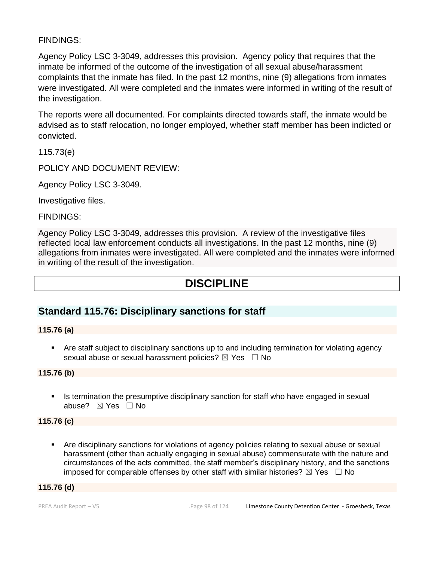# FINDINGS:

Agency Policy LSC 3-3049, addresses this provision. Agency policy that requires that the inmate be informed of the outcome of the investigation of all sexual abuse/harassment complaints that the inmate has filed. In the past 12 months, nine (9) allegations from inmates were investigated. All were completed and the inmates were informed in writing of the result of the investigation.

The reports were all documented. For complaints directed towards staff, the inmate would be advised as to staff relocation, no longer employed, whether staff member has been indicted or convicted.

115.73(e)

POLICY AND DOCUMENT REVIEW:

Agency Policy LSC 3-3049.

Investigative files.

FINDINGS:

Agency Policy LSC 3-3049, addresses this provision. A review of the investigative files reflected local law enforcement conducts all investigations. In the past 12 months, nine (9) allegations from inmates were investigated. All were completed and the inmates were informed in writing of the result of the investigation.

# **DISCIPLINE**

# **Standard 115.76: Disciplinary sanctions for staff**

#### **115.76 (a)**

• Are staff subject to disciplinary sanctions up to and including termination for violating agency sexual abuse or sexual harassment policies?  $\boxtimes$  Yes  $\Box$  No

#### **115.76 (b)**

**•** Is termination the presumptive disciplinary sanction for staff who have engaged in sexual abuse? ☒ Yes ☐ No

#### **115.76 (c)**

▪ Are disciplinary sanctions for violations of agency policies relating to sexual abuse or sexual harassment (other than actually engaging in sexual abuse) commensurate with the nature and circumstances of the acts committed, the staff member's disciplinary history, and the sanctions imposed for comparable offenses by other staff with similar histories?  $\boxtimes$  Yes  $\Box$  No

#### **115.76 (d)**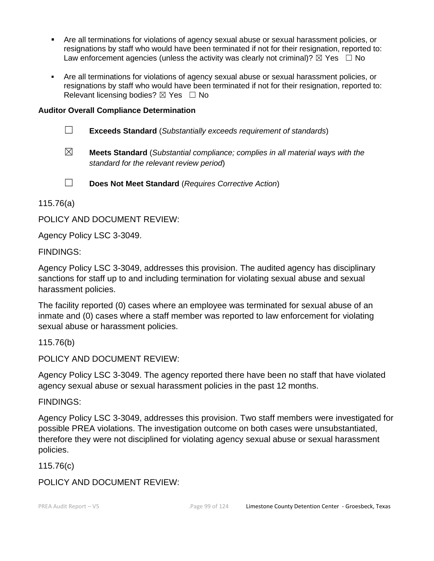- **EXECT** Are all terminations for violations of agency sexual abuse or sexual harassment policies, or resignations by staff who would have been terminated if not for their resignation, reported to: Law enforcement agencies (unless the activity was clearly not criminal)?  $\boxtimes$  Yes  $\Box$  No
- **EXECT** Are all terminations for violations of agency sexual abuse or sexual harassment policies, or resignations by staff who would have been terminated if not for their resignation, reported to: Relevant licensing bodies?  $\boxtimes$  Yes  $\Box$  No

- ☐ **Exceeds Standard** (*Substantially exceeds requirement of standards*)
- ☒ **Meets Standard** (*Substantial compliance; complies in all material ways with the standard for the relevant review period*)
- ☐ **Does Not Meet Standard** (*Requires Corrective Action*)

115.76(a)

POLICY AND DOCUMENT REVIEW:

Agency Policy LSC 3-3049.

FINDINGS:

Agency Policy LSC 3-3049, addresses this provision. The audited agency has disciplinary sanctions for staff up to and including termination for violating sexual abuse and sexual harassment policies.

The facility reported (0) cases where an employee was terminated for sexual abuse of an inmate and (0) cases where a staff member was reported to law enforcement for violating sexual abuse or harassment policies.

115.76(b)

POLICY AND DOCUMENT REVIEW:

Agency Policy LSC 3-3049. The agency reported there have been no staff that have violated agency sexual abuse or sexual harassment policies in the past 12 months.

FINDINGS:

Agency Policy LSC 3-3049, addresses this provision. Two staff members were investigated for possible PREA violations. The investigation outcome on both cases were unsubstantiated, therefore they were not disciplined for violating agency sexual abuse or sexual harassment policies.

115.76(c)

POLICY AND DOCUMENT REVIEW: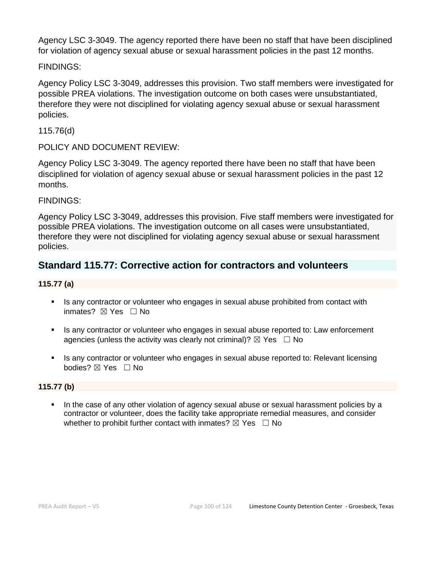Agency LSC 3-3049. The agency reported there have been no staff that have been disciplined for violation of agency sexual abuse or sexual harassment policies in the past 12 months.

# FINDINGS:

Agency Policy LSC 3-3049, addresses this provision. Two staff members were investigated for possible PREA violations. The investigation outcome on both cases were unsubstantiated, therefore they were not disciplined for violating agency sexual abuse or sexual harassment policies.

# 115.76(d)

POLICY AND DOCUMENT REVIEW:

Agency Policy LSC 3-3049. The agency reported there have been no staff that have been disciplined for violation of agency sexual abuse or sexual harassment policies in the past 12 months.

# FINDINGS:

Agency Policy LSC 3-3049, addresses this provision. Five staff members were investigated for possible PREA violations. The investigation outcome on all cases were unsubstantiated, therefore they were not disciplined for violating agency sexual abuse or sexual harassment policies.

# **Standard 115.77: Corrective action for contractors and volunteers**

### **115.77 (a)**

- **■** Is any contractor or volunteer who engages in sexual abuse prohibited from contact with inmates? ⊠ Yes □ No
- Is any contractor or volunteer who engages in sexual abuse reported to: Law enforcement agencies (unless the activity was clearly not criminal)?  $\boxtimes$  Yes  $\Box$  No
- **EXT** Is any contractor or volunteer who engages in sexual abuse reported to: Relevant licensing bodies? ☒ Yes ☐ No

#### **115.77 (b)**

**.** In the case of any other violation of agency sexual abuse or sexual harassment policies by a contractor or volunteer, does the facility take appropriate remedial measures, and consider whether to prohibit further contact with inmates?  $\boxtimes$  Yes  $\Box$  No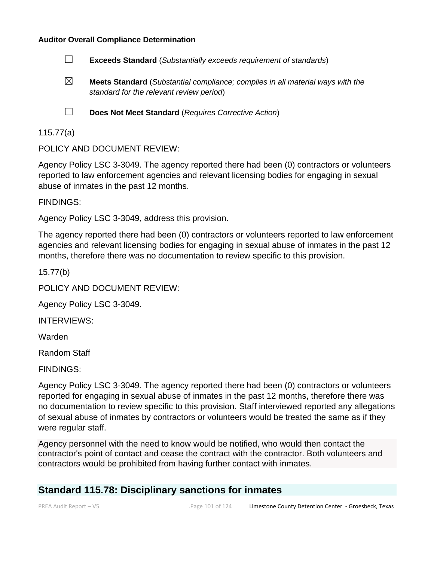

- ☒ **Meets Standard** (*Substantial compliance; complies in all material ways with the standard for the relevant review period*)
- 
- ☐ **Does Not Meet Standard** (*Requires Corrective Action*)

#### 115.77(a)

POLICY AND DOCUMENT REVIEW:

Agency Policy LSC 3-3049. The agency reported there had been (0) contractors or volunteers reported to law enforcement agencies and relevant licensing bodies for engaging in sexual abuse of inmates in the past 12 months.

FINDINGS:

Agency Policy LSC 3-3049, address this provision.

The agency reported there had been (0) contractors or volunteers reported to law enforcement agencies and relevant licensing bodies for engaging in sexual abuse of inmates in the past 12 months, therefore there was no documentation to review specific to this provision.

15.77(b)

POLICY AND DOCUMENT REVIEW:

Agency Policy LSC 3-3049.

INTERVIEWS:

Warden

Random Staff

FINDINGS:

Agency Policy LSC 3-3049. The agency reported there had been (0) contractors or volunteers reported for engaging in sexual abuse of inmates in the past 12 months, therefore there was no documentation to review specific to this provision. Staff interviewed reported any allegations of sexual abuse of inmates by contractors or volunteers would be treated the same as if they were regular staff.

Agency personnel with the need to know would be notified, who would then contact the contractor's point of contact and cease the contract with the contractor. Both volunteers and contractors would be prohibited from having further contact with inmates.

# **Standard 115.78: Disciplinary sanctions for inmates**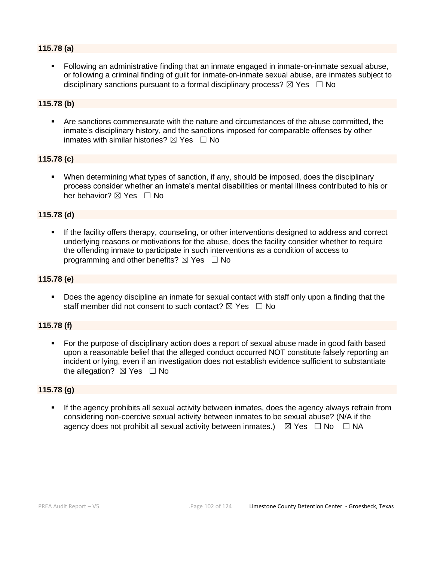### **115.78 (a)**

▪ Following an administrative finding that an inmate engaged in inmate-on-inmate sexual abuse, or following a criminal finding of guilt for inmate-on-inmate sexual abuse, are inmates subject to disciplinary sanctions pursuant to a formal disciplinary process?  $\boxtimes$  Yes  $\Box$  No

#### **115.78 (b)**

▪ Are sanctions commensurate with the nature and circumstances of the abuse committed, the inmate's disciplinary history, and the sanctions imposed for comparable offenses by other inmates with similar histories?  $\boxtimes$  Yes  $\Box$  No

#### **115.78 (c)**

▪ When determining what types of sanction, if any, should be imposed, does the disciplinary process consider whether an inmate's mental disabilities or mental illness contributed to his or her behavior? ⊠ Yes □ No

#### **115.78 (d)**

If the facility offers therapy, counseling, or other interventions designed to address and correct underlying reasons or motivations for the abuse, does the facility consider whether to require the offending inmate to participate in such interventions as a condition of access to programming and other benefits?  $\boxtimes$  Yes  $\Box$  No

#### **115.78 (e)**

▪ Does the agency discipline an inmate for sexual contact with staff only upon a finding that the staff member did not consent to such contact?  $\boxtimes$  Yes  $\Box$  No

#### **115.78 (f)**

■ For the purpose of disciplinary action does a report of sexual abuse made in good faith based upon a reasonable belief that the alleged conduct occurred NOT constitute falsely reporting an incident or lying, even if an investigation does not establish evidence sufficient to substantiate the allegation?  $\boxtimes$  Yes  $\Box$  No

#### **115.78 (g)**

**.** If the agency prohibits all sexual activity between inmates, does the agency always refrain from considering non-coercive sexual activity between inmates to be sexual abuse? (N/A if the agency does not prohibit all sexual activity between inmates.)  $\boxtimes$  Yes  $\Box$  No  $\Box$  NA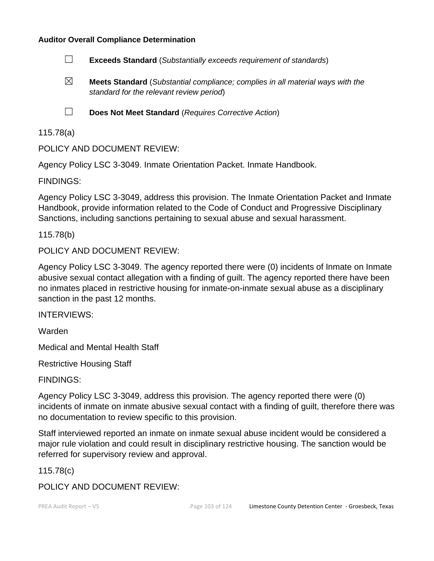

- ☒ **Meets Standard** (*Substantial compliance; complies in all material ways with the standard for the relevant review period*)
- 

☐ **Does Not Meet Standard** (*Requires Corrective Action*)

115.78(a)

POLICY AND DOCUMENT REVIEW:

Agency Policy LSC 3-3049. Inmate Orientation Packet. Inmate Handbook.

FINDINGS:

Agency Policy LSC 3-3049, address this provision. The Inmate Orientation Packet and Inmate Handbook, provide information related to the Code of Conduct and Progressive Disciplinary Sanctions, including sanctions pertaining to sexual abuse and sexual harassment.

115.78(b)

POLICY AND DOCUMENT REVIEW:

Agency Policy LSC 3-3049. The agency reported there were (0) incidents of Inmate on Inmate abusive sexual contact allegation with a finding of guilt. The agency reported there have been no inmates placed in restrictive housing for inmate-on-inmate sexual abuse as a disciplinary sanction in the past 12 months.

INTERVIEWS:

Warden

Medical and Mental Health Staff

Restrictive Housing Staff

FINDINGS:

Agency Policy LSC 3-3049, address this provision. The agency reported there were (0) incidents of inmate on inmate abusive sexual contact with a finding of guilt, therefore there was no documentation to review specific to this provision.

Staff interviewed reported an inmate on inmate sexual abuse incident would be considered a major rule violation and could result in disciplinary restrictive housing. The sanction would be referred for supervisory review and approval.

115.78(c)

POLICY AND DOCUMENT REVIEW: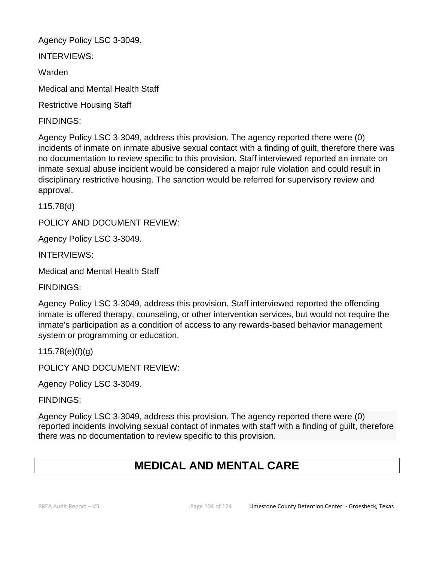Agency Policy LSC 3-3049.

INTERVIEWS:

Warden

Medical and Mental Health Staff

Restrictive Housing Staff

FINDINGS:

Agency Policy LSC 3-3049, address this provision. The agency reported there were (0) incidents of inmate on inmate abusive sexual contact with a finding of guilt, therefore there was no documentation to review specific to this provision. Staff interviewed reported an inmate on inmate sexual abuse incident would be considered a major rule violation and could result in disciplinary restrictive housing. The sanction would be referred for supervisory review and approval.

115.78(d)

POLICY AND DOCUMENT REVIEW:

Agency Policy LSC 3-3049.

INTERVIEWS:

Medical and Mental Health Staff

FINDINGS:

Agency Policy LSC 3-3049, address this provision. Staff interviewed reported the offending inmate is offered therapy, counseling, or other intervention services, but would not require the inmate's participation as a condition of access to any rewards-based behavior management system or programming or education.

115.78(e)(f)(g)

POLICY AND DOCUMENT REVIEW:

Agency Policy LSC 3-3049.

FINDINGS:

Agency Policy LSC 3-3049, address this provision. The agency reported there were (0) reported incidents involving sexual contact of inmates with staff with a finding of guilt, therefore there was no documentation to review specific to this provision.

# **MEDICAL AND MENTAL CARE**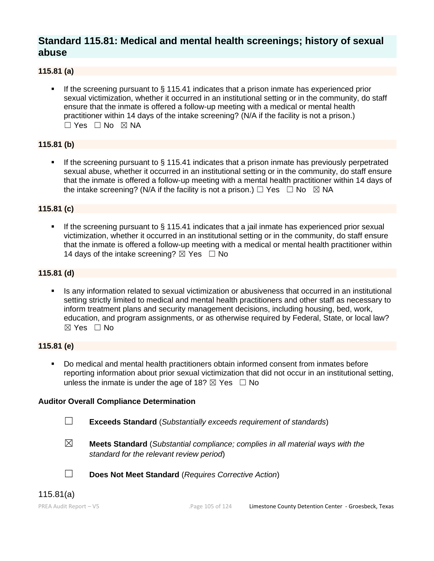# **Standard 115.81: Medical and mental health screenings; history of sexual abuse**

### **115.81 (a)**

If the screening pursuant to  $\S$  115.41 indicates that a prison inmate has experienced prior sexual victimization, whether it occurred in an institutional setting or in the community, do staff ensure that the inmate is offered a follow-up meeting with a medical or mental health practitioner within 14 days of the intake screening? (N/A if the facility is not a prison.) ☐ Yes ☐ No ☒ NA

#### **115.81 (b)**

If the screening pursuant to  $\S$  115.41 indicates that a prison inmate has previously perpetrated sexual abuse, whether it occurred in an institutional setting or in the community, do staff ensure that the inmate is offered a follow-up meeting with a mental health practitioner within 14 days of the intake screening? (N/A if the facility is not a prison.)  $\Box$  Yes  $\Box$  No  $\boxtimes$  NA

#### **115.81 (c)**

**.** If the screening pursuant to  $\S$  115.41 indicates that a jail inmate has experienced prior sexual victimization, whether it occurred in an institutional setting or in the community, do staff ensure that the inmate is offered a follow-up meeting with a medical or mental health practitioner within 14 days of the intake screening?  $\boxtimes$  Yes  $\Box$  No

#### **115.81 (d)**

Is any information related to sexual victimization or abusiveness that occurred in an institutional setting strictly limited to medical and mental health practitioners and other staff as necessary to inform treatment plans and security management decisions, including housing, bed, work, education, and program assignments, or as otherwise required by Federal, State, or local law?  $\boxtimes$  Yes  $\Box$  No

#### **115.81 (e)**

▪ Do medical and mental health practitioners obtain informed consent from inmates before reporting information about prior sexual victimization that did not occur in an institutional setting, unless the inmate is under the age of 18?  $\boxtimes$  Yes  $\Box$  No

#### **Auditor Overall Compliance Determination**

- ☐ **Exceeds Standard** (*Substantially exceeds requirement of standards*)
- ☒ **Meets Standard** (*Substantial compliance; complies in all material ways with the standard for the relevant review period*)

☐ **Does Not Meet Standard** (*Requires Corrective Action*)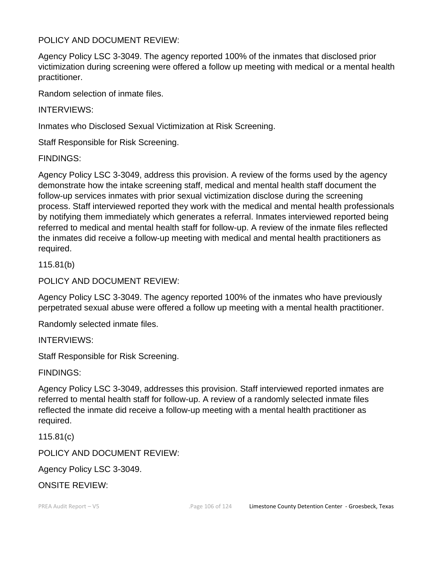# POLICY AND DOCUMENT REVIEW:

Agency Policy LSC 3-3049. The agency reported 100% of the inmates that disclosed prior victimization during screening were offered a follow up meeting with medical or a mental health practitioner.

Random selection of inmate files.

INTERVIEWS:

Inmates who Disclosed Sexual Victimization at Risk Screening.

Staff Responsible for Risk Screening.

FINDINGS:

Agency Policy LSC 3-3049, address this provision. A review of the forms used by the agency demonstrate how the intake screening staff, medical and mental health staff document the follow-up services inmates with prior sexual victimization disclose during the screening process. Staff interviewed reported they work with the medical and mental health professionals by notifying them immediately which generates a referral. Inmates interviewed reported being referred to medical and mental health staff for follow-up. A review of the inmate files reflected the inmates did receive a follow-up meeting with medical and mental health practitioners as required.

115.81(b)

POLICY AND DOCUMENT REVIEW:

Agency Policy LSC 3-3049. The agency reported 100% of the inmates who have previously perpetrated sexual abuse were offered a follow up meeting with a mental health practitioner.

Randomly selected inmate files.

INTERVIEWS:

Staff Responsible for Risk Screening.

FINDINGS:

Agency Policy LSC 3-3049, addresses this provision. Staff interviewed reported inmates are referred to mental health staff for follow-up. A review of a randomly selected inmate files reflected the inmate did receive a follow-up meeting with a mental health practitioner as required.

115.81(c)

POLICY AND DOCUMENT REVIEW:

Agency Policy LSC 3-3049.

ONSITE REVIEW: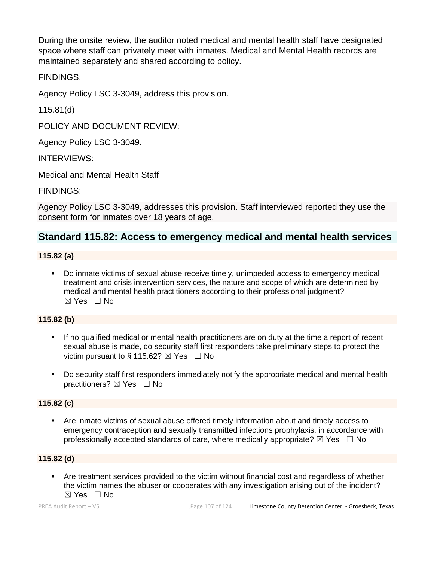During the onsite review, the auditor noted medical and mental health staff have designated space where staff can privately meet with inmates. Medical and Mental Health records are maintained separately and shared according to policy.

FINDINGS:

Agency Policy LSC 3-3049, address this provision.

115.81(d)

POLICY AND DOCUMENT REVIEW:

Agency Policy LSC 3-3049.

INTERVIEWS:

Medical and Mental Health Staff

FINDINGS:

Agency Policy LSC 3-3049, addresses this provision. Staff interviewed reported they use the consent form for inmates over 18 years of age.

# **Standard 115.82: Access to emergency medical and mental health services**

### **115.82 (a)**

▪ Do inmate victims of sexual abuse receive timely, unimpeded access to emergency medical treatment and crisis intervention services, the nature and scope of which are determined by medical and mental health practitioners according to their professional judgment?  $\boxtimes$  Yes  $\Box$  No

# **115.82 (b)**

- If no qualified medical or mental health practitioners are on duty at the time a report of recent sexual abuse is made, do security staff first responders take preliminary steps to protect the victim pursuant to § 115.62?  $\boxtimes$  Yes  $\Box$  No
- Do security staff first responders immediately notify the appropriate medical and mental health practitioners?  $\boxtimes$  Yes  $\Box$  No

#### **115.82 (c)**

■ Are inmate victims of sexual abuse offered timely information about and timely access to emergency contraception and sexually transmitted infections prophylaxis, in accordance with professionally accepted standards of care, where medically appropriate?  $\boxtimes$  Yes  $\Box$  No

#### **115.82 (d)**

Are treatment services provided to the victim without financial cost and regardless of whether the victim names the abuser or cooperates with any investigation arising out of the incident? ☒ Yes ☐ No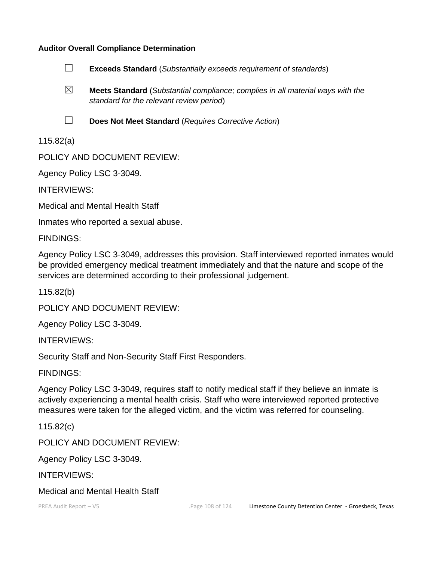

☒ **Meets Standard** (*Substantial compliance; complies in all material ways with the standard for the relevant review period*)

☐ **Does Not Meet Standard** (*Requires Corrective Action*)

115.82(a)

POLICY AND DOCUMENT REVIEW:

Agency Policy LSC 3-3049.

INTERVIEWS:

Medical and Mental Health Staff

Inmates who reported a sexual abuse.

FINDINGS:

Agency Policy LSC 3-3049, addresses this provision. Staff interviewed reported inmates would be provided emergency medical treatment immediately and that the nature and scope of the services are determined according to their professional judgement.

115.82(b)

POLICY AND DOCUMENT REVIEW:

Agency Policy LSC 3-3049.

INTERVIEWS:

Security Staff and Non-Security Staff First Responders.

FINDINGS:

Agency Policy LSC 3-3049, requires staff to notify medical staff if they believe an inmate is actively experiencing a mental health crisis. Staff who were interviewed reported protective measures were taken for the alleged victim, and the victim was referred for counseling.

115.82(c)

POLICY AND DOCUMENT REVIEW:

Agency Policy LSC 3-3049.

INTERVIEWS:

Medical and Mental Health Staff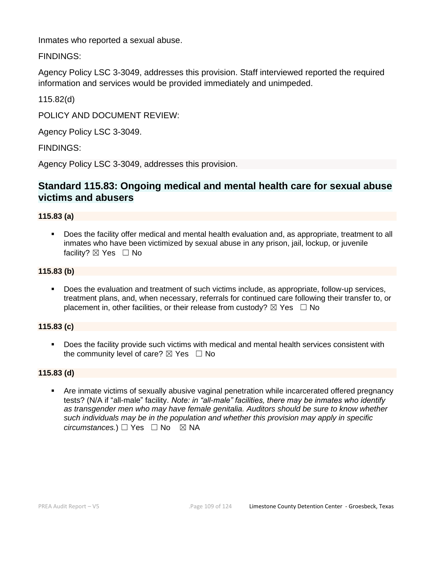Inmates who reported a sexual abuse.

FINDINGS:

Agency Policy LSC 3-3049, addresses this provision. Staff interviewed reported the required information and services would be provided immediately and unimpeded.

115.82(d)

POLICY AND DOCUMENT REVIEW:

Agency Policy LSC 3-3049.

FINDINGS:

Agency Policy LSC 3-3049, addresses this provision.

## **Standard 115.83: Ongoing medical and mental health care for sexual abuse victims and abusers**

#### **115.83 (a)**

▪ Does the facility offer medical and mental health evaluation and, as appropriate, treatment to all inmates who have been victimized by sexual abuse in any prison, jail, lockup, or juvenile facility? ⊠ Yes □ No

#### **115.83 (b)**

Does the evaluation and treatment of such victims include, as appropriate, follow-up services, treatment plans, and, when necessary, referrals for continued care following their transfer to, or placement in, other facilities, or their release from custody?  $\boxtimes$  Yes  $\Box$  No

#### **115.83 (c)**

**•** Does the facility provide such victims with medical and mental health services consistent with the community level of care?  $\boxtimes$  Yes  $\Box$  No

#### **115.83 (d)**

Are inmate victims of sexually abusive vaginal penetration while incarcerated offered pregnancy tests? (N/A if "all-male" facility. *Note: in "all-male" facilities, there may be inmates who identify as transgender men who may have female genitalia. Auditors should be sure to know whether such individuals may be in the population and whether this provision may apply in specific circumstances.*) □ Yes □ No ⊠ NA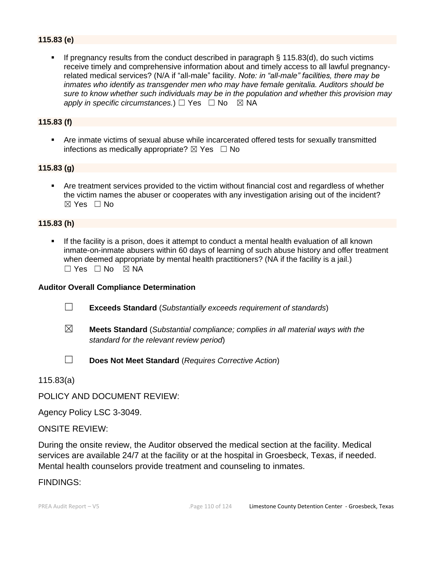### **115.83 (e)**

**•** If pregnancy results from the conduct described in paragraph  $\S$  115.83(d), do such victims receive timely and comprehensive information about and timely access to all lawful pregnancyrelated medical services? (N/A if "all-male" facility. *Note: in "all-male" facilities, there may be inmates who identify as transgender men who may have female genitalia. Auditors should be sure to know whether such individuals may be in the population and whether this provision may apply in specific circumstances.*)  $□$  Yes  $□$  No  $□$  NA

#### **115.83 (f)**

Are inmate victims of sexual abuse while incarcerated offered tests for sexually transmitted infections as medically appropriate?  $\boxtimes$  Yes  $\Box$  No

#### **115.83 (g)**

Are treatment services provided to the victim without financial cost and regardless of whether the victim names the abuser or cooperates with any investigation arising out of the incident?  $\boxtimes$  Yes  $\Box$  No

#### **115.83 (h)**

**.** If the facility is a prison, does it attempt to conduct a mental health evaluation of all known inmate-on-inmate abusers within 60 days of learning of such abuse history and offer treatment when deemed appropriate by mental health practitioners? (NA if the facility is a jail.) ☐ Yes ☐ No ☒ NA

#### **Auditor Overall Compliance Determination**

- ☐ **Exceeds Standard** (*Substantially exceeds requirement of standards*)
- ☒ **Meets Standard** (*Substantial compliance; complies in all material ways with the standard for the relevant review period*)
- 
- ☐ **Does Not Meet Standard** (*Requires Corrective Action*)

115.83(a)

POLICY AND DOCUMENT REVIEW:

Agency Policy LSC 3-3049.

ONSITE REVIEW:

During the onsite review, the Auditor observed the medical section at the facility. Medical services are available 24/7 at the facility or at the hospital in Groesbeck, Texas, if needed. Mental health counselors provide treatment and counseling to inmates.

#### FINDINGS: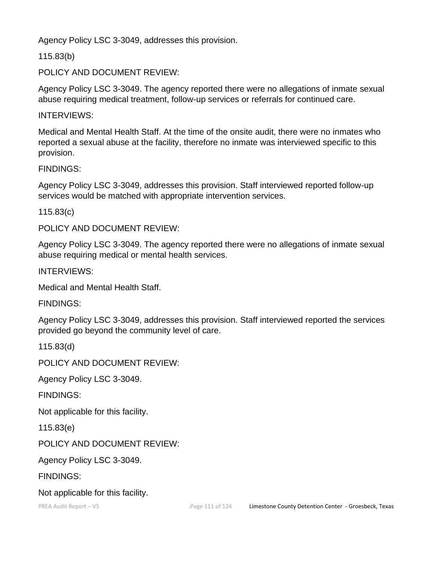Agency Policy LSC 3-3049, addresses this provision.

115.83(b)

POLICY AND DOCUMENT REVIEW:

Agency Policy LSC 3-3049. The agency reported there were no allegations of inmate sexual abuse requiring medical treatment, follow-up services or referrals for continued care.

INTERVIEWS:

Medical and Mental Health Staff. At the time of the onsite audit, there were no inmates who reported a sexual abuse at the facility, therefore no inmate was interviewed specific to this provision.

FINDINGS:

Agency Policy LSC 3-3049, addresses this provision. Staff interviewed reported follow-up services would be matched with appropriate intervention services.

115.83(c)

POLICY AND DOCUMENT REVIEW:

Agency Policy LSC 3-3049. The agency reported there were no allegations of inmate sexual abuse requiring medical or mental health services.

INTERVIEWS:

Medical and Mental Health Staff.

FINDINGS:

Agency Policy LSC 3-3049, addresses this provision. Staff interviewed reported the services provided go beyond the community level of care.

115.83(d)

POLICY AND DOCUMENT REVIEW:

Agency Policy LSC 3-3049.

FINDINGS:

Not applicable for this facility.

115.83(e)

POLICY AND DOCUMENT REVIEW:

Agency Policy LSC 3-3049.

FINDINGS:

Not applicable for this facility.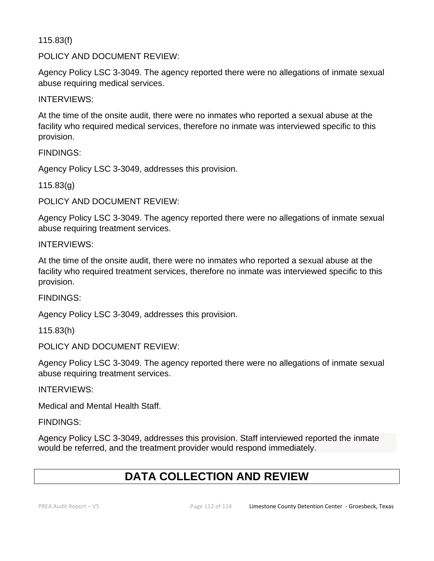115.83(f)

POLICY AND DOCUMENT REVIEW:

Agency Policy LSC 3-3049. The agency reported there were no allegations of inmate sexual abuse requiring medical services.

INTERVIEWS:

At the time of the onsite audit, there were no inmates who reported a sexual abuse at the facility who required medical services, therefore no inmate was interviewed specific to this provision.

FINDINGS:

Agency Policy LSC 3-3049, addresses this provision.

115.83(g)

POLICY AND DOCUMENT REVIEW:

Agency Policy LSC 3-3049. The agency reported there were no allegations of inmate sexual abuse requiring treatment services.

INTERVIEWS:

At the time of the onsite audit, there were no inmates who reported a sexual abuse at the facility who required treatment services, therefore no inmate was interviewed specific to this provision.

FINDINGS:

Agency Policy LSC 3-3049, addresses this provision.

115.83(h)

POLICY AND DOCUMENT REVIEW:

Agency Policy LSC 3-3049. The agency reported there were no allegations of inmate sexual abuse requiring treatment services.

INTERVIEWS:

Medical and Mental Health Staff.

FINDINGS:

Agency Policy LSC 3-3049, addresses this provision. Staff interviewed reported the inmate would be referred, and the treatment provider would respond immediately.

# **DATA COLLECTION AND REVIEW**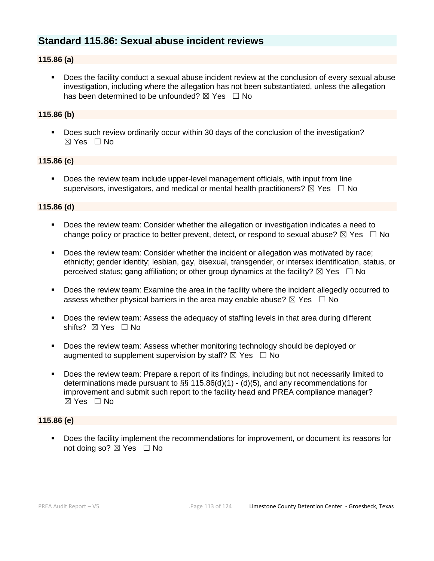# **Standard 115.86: Sexual abuse incident reviews**

#### **115.86 (a)**

▪ Does the facility conduct a sexual abuse incident review at the conclusion of every sexual abuse investigation, including where the allegation has not been substantiated, unless the allegation has been determined to be unfounded?  $\boxtimes$  Yes  $\Box$  No

#### **115.86 (b)**

■ Does such review ordinarily occur within 30 days of the conclusion of the investigation? ☒ Yes ☐ No

#### **115.86 (c)**

▪ Does the review team include upper-level management officials, with input from line supervisors, investigators, and medical or mental health practitioners?  $\boxtimes$  Yes  $\Box$  No

#### **115.86 (d)**

- Does the review team: Consider whether the allegation or investigation indicates a need to change policy or practice to better prevent, detect, or respond to sexual abuse?  $\boxtimes$  Yes  $\Box$  No
- Does the review team: Consider whether the incident or allegation was motivated by race; ethnicity; gender identity; lesbian, gay, bisexual, transgender, or intersex identification, status, or perceived status; gang affiliation; or other group dynamics at the facility?  $\boxtimes$  Yes  $\Box$  No
- Does the review team: Examine the area in the facility where the incident allegedly occurred to assess whether physical barriers in the area may enable abuse?  $\boxtimes$  Yes  $\Box$  No
- Does the review team: Assess the adequacy of staffing levels in that area during different shifts? ⊠ Yes □ No
- Does the review team: Assess whether monitoring technology should be deployed or augmented to supplement supervision by staff?  $\boxtimes$  Yes  $\Box$  No
- Does the review team: Prepare a report of its findings, including but not necessarily limited to determinations made pursuant to §§ 115.86(d)(1) - (d)(5), and any recommendations for improvement and submit such report to the facility head and PREA compliance manager? ☒ Yes ☐ No

#### **115.86 (e)**

▪ Does the facility implement the recommendations for improvement, or document its reasons for not doing so? ⊠ Yes □ No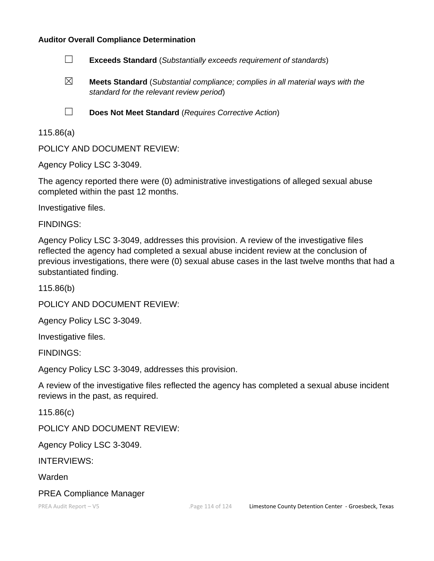#### **Auditor Overall Compliance Determination**

- ☐ **Exceeds Standard** (*Substantially exceeds requirement of standards*)
- ☒ **Meets Standard** (*Substantial compliance; complies in all material ways with the standard for the relevant review period*)
- 
- ☐ **Does Not Meet Standard** (*Requires Corrective Action*)

#### 115.86(a)

POLICY AND DOCUMENT REVIEW:

Agency Policy LSC 3-3049.

The agency reported there were (0) administrative investigations of alleged sexual abuse completed within the past 12 months.

Investigative files.

FINDINGS:

Agency Policy LSC 3-3049, addresses this provision. A review of the investigative files reflected the agency had completed a sexual abuse incident review at the conclusion of previous investigations, there were (0) sexual abuse cases in the last twelve months that had a substantiated finding.

115.86(b)

POLICY AND DOCUMENT REVIEW:

Agency Policy LSC 3-3049.

Investigative files.

FINDINGS:

Agency Policy LSC 3-3049, addresses this provision.

A review of the investigative files reflected the agency has completed a sexual abuse incident reviews in the past, as required.

115.86(c)

POLICY AND DOCUMENT REVIEW:

Agency Policy LSC 3-3049.

INTERVIEWS:

Warden

#### PREA Compliance Manager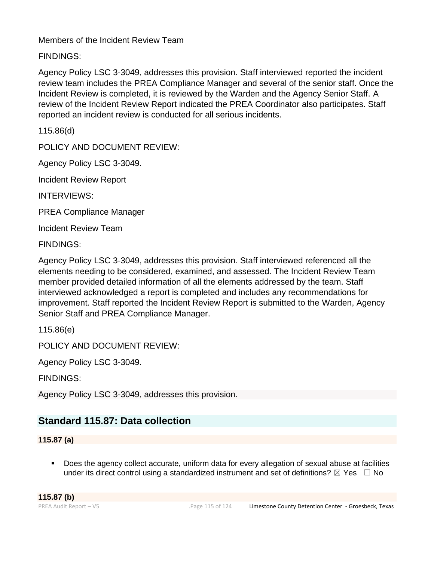Members of the Incident Review Team

FINDINGS:

Agency Policy LSC 3-3049, addresses this provision. Staff interviewed reported the incident review team includes the PREA Compliance Manager and several of the senior staff. Once the Incident Review is completed, it is reviewed by the Warden and the Agency Senior Staff. A review of the Incident Review Report indicated the PREA Coordinator also participates. Staff reported an incident review is conducted for all serious incidents.

115.86(d)

POLICY AND DOCUMENT REVIEW:

Agency Policy LSC 3-3049.

Incident Review Report

INTERVIEWS:

PREA Compliance Manager

Incident Review Team

FINDINGS:

Agency Policy LSC 3-3049, addresses this provision. Staff interviewed referenced all the elements needing to be considered, examined, and assessed. The Incident Review Team member provided detailed information of all the elements addressed by the team. Staff interviewed acknowledged a report is completed and includes any recommendations for improvement. Staff reported the Incident Review Report is submitted to the Warden, Agency Senior Staff and PREA Compliance Manager.

115.86(e)

POLICY AND DOCUMENT REVIEW:

Agency Policy LSC 3-3049.

FINDINGS:

Agency Policy LSC 3-3049, addresses this provision.

# **Standard 115.87: Data collection**

**115.87 (a)**

Does the agency collect accurate, uniform data for every allegation of sexual abuse at facilities under its direct control using a standardized instrument and set of definitions?  $\boxtimes$  Yes  $\Box$  No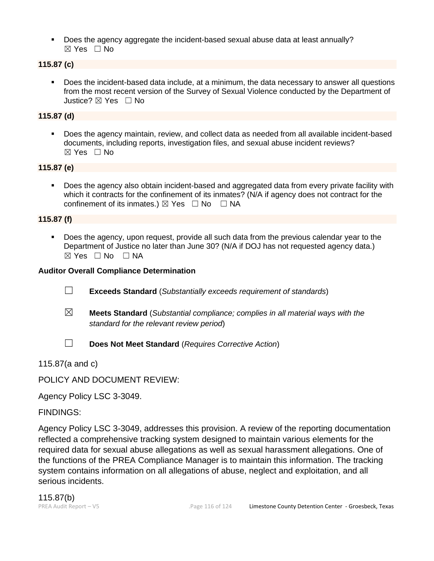▪ Does the agency aggregate the incident-based sexual abuse data at least annually? ☒ Yes ☐ No

### **115.87 (c)**

Does the incident-based data include, at a minimum, the data necessary to answer all questions from the most recent version of the Survey of Sexual Violence conducted by the Department of Justice? ☒ Yes ☐ No

#### **115.87 (d)**

▪ Does the agency maintain, review, and collect data as needed from all available incident-based documents, including reports, investigation files, and sexual abuse incident reviews?  $\boxtimes$  Yes  $\Box$  No

#### **115.87 (e)**

Does the agency also obtain incident-based and aggregated data from every private facility with which it contracts for the confinement of its inmates? (N/A if agency does not contract for the confinement of its inmates.)  $\boxtimes$  Yes  $\Box$  No  $\Box$  NA

#### **115.87 (f)**

Does the agency, upon request, provide all such data from the previous calendar year to the Department of Justice no later than June 30? (N/A if DOJ has not requested agency data.)  $\boxtimes$  Yes  $\Box$  No  $\Box$  NA

#### **Auditor Overall Compliance Determination**

- ☐ **Exceeds Standard** (*Substantially exceeds requirement of standards*)
- ☒ **Meets Standard** (*Substantial compliance; complies in all material ways with the standard for the relevant review period*)
- 
- ☐ **Does Not Meet Standard** (*Requires Corrective Action*)

115.87(a and c)

POLICY AND DOCUMENT REVIEW:

Agency Policy LSC 3-3049.

FINDINGS:

Agency Policy LSC 3-3049, addresses this provision. A review of the reporting documentation reflected a comprehensive tracking system designed to maintain various elements for the required data for sexual abuse allegations as well as sexual harassment allegations. One of the functions of the PREA Compliance Manager is to maintain this information. The tracking system contains information on all allegations of abuse, neglect and exploitation, and all serious incidents.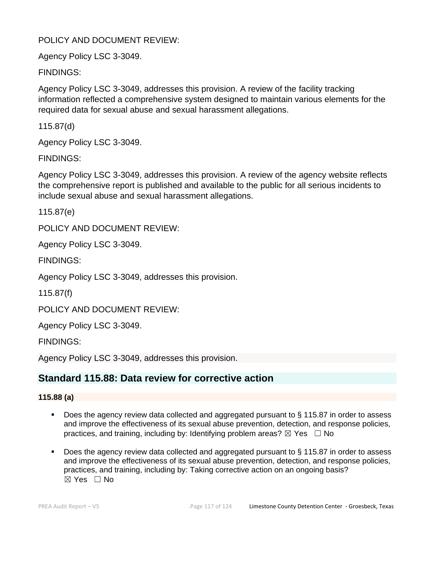## POLICY AND DOCUMENT REVIEW:

Agency Policy LSC 3-3049.

FINDINGS:

Agency Policy LSC 3-3049, addresses this provision. A review of the facility tracking information reflected a comprehensive system designed to maintain various elements for the required data for sexual abuse and sexual harassment allegations.

115.87(d)

Agency Policy LSC 3-3049.

FINDINGS:

Agency Policy LSC 3-3049, addresses this provision. A review of the agency website reflects the comprehensive report is published and available to the public for all serious incidents to include sexual abuse and sexual harassment allegations.

115.87(e)

POLICY AND DOCUMENT REVIEW:

Agency Policy LSC 3-3049.

FINDINGS:

Agency Policy LSC 3-3049, addresses this provision.

115.87(f)

POLICY AND DOCUMENT REVIEW:

Agency Policy LSC 3-3049.

FINDINGS:

Agency Policy LSC 3-3049, addresses this provision.

## **Standard 115.88: Data review for corrective action**

#### **115.88 (a)**

- Does the agency review data collected and aggregated pursuant to  $\S$  115.87 in order to assess and improve the effectiveness of its sexual abuse prevention, detection, and response policies, practices, and training, including by: Identifying problem areas?  $\boxtimes$  Yes  $\Box$  No
- Does the agency review data collected and aggregated pursuant to § 115.87 in order to assess and improve the effectiveness of its sexual abuse prevention, detection, and response policies, practices, and training, including by: Taking corrective action on an ongoing basis? ☒ Yes ☐ No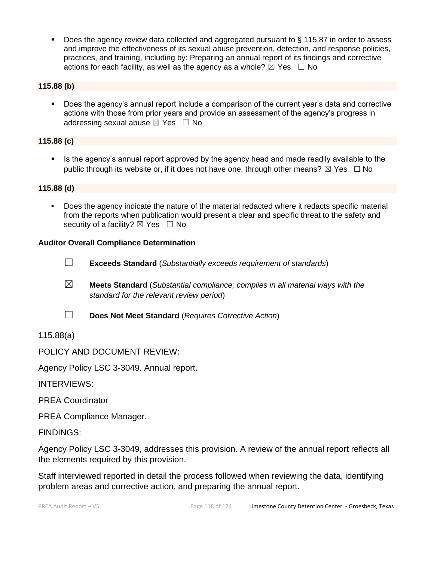■ Does the agency review data collected and aggregated pursuant to § 115.87 in order to assess and improve the effectiveness of its sexual abuse prevention, detection, and response policies, practices, and training, including by: Preparing an annual report of its findings and corrective actions for each facility, as well as the agency as a whole?  $\boxtimes$  Yes  $\Box$  No

#### **115.88 (b)**

▪ Does the agency's annual report include a comparison of the current year's data and corrective actions with those from prior years and provide an assessment of the agency's progress in addressing sexual abuse  $\boxtimes$  Yes  $\Box$  No

#### **115.88 (c)**

Is the agency's annual report approved by the agency head and made readily available to the public through its website or, if it does not have one, through other means?  $\boxtimes$  Yes  $\Box$  No

#### **115.88 (d)**

▪ Does the agency indicate the nature of the material redacted where it redacts specific material from the reports when publication would present a clear and specific threat to the safety and security of a facility?  $\boxtimes$  Yes  $\Box$  No

#### **Auditor Overall Compliance Determination**



☐ **Exceeds Standard** (*Substantially exceeds requirement of standards*)

☒ **Meets Standard** (*Substantial compliance; complies in all material ways with the standard for the relevant review period*)



☐ **Does Not Meet Standard** (*Requires Corrective Action*)

115.88(a)

POLICY AND DOCUMENT REVIEW:

Agency Policy LSC 3-3049. Annual report.

INTERVIEWS:

PREA Coordinator

PREA Compliance Manager.

FINDINGS:

Agency Policy LSC 3-3049, addresses this provision. A review of the annual report reflects all the elements required by this provision.

Staff interviewed reported in detail the process followed when reviewing the data, identifying problem areas and corrective action, and preparing the annual report.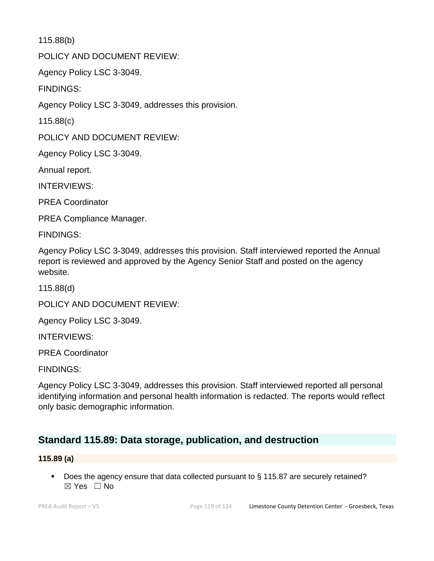115.88(b)

POLICY AND DOCUMENT REVIEW:

Agency Policy LSC 3-3049.

FINDINGS:

Agency Policy LSC 3-3049, addresses this provision.

115.88(c)

POLICY AND DOCUMENT REVIEW:

Agency Policy LSC 3-3049.

Annual report.

INTERVIEWS:

PREA Coordinator

PREA Compliance Manager.

FINDINGS:

Agency Policy LSC 3-3049, addresses this provision. Staff interviewed reported the Annual report is reviewed and approved by the Agency Senior Staff and posted on the agency website.

115.88(d)

POLICY AND DOCUMENT REVIEW:

Agency Policy LSC 3-3049.

INTERVIEWS:

PREA Coordinator

FINDINGS:

Agency Policy LSC 3-3049, addresses this provision. Staff interviewed reported all personal identifying information and personal health information is redacted. The reports would reflect only basic demographic information.

## **Standard 115.89: Data storage, publication, and destruction**

#### **115.89 (a)**

■ Does the agency ensure that data collected pursuant to § 115.87 are securely retained?  $\boxtimes$  Yes  $\Box$  No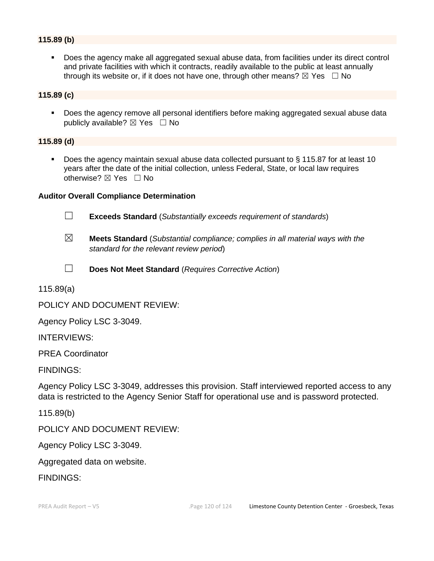#### **115.89 (b)**

▪ Does the agency make all aggregated sexual abuse data, from facilities under its direct control and private facilities with which it contracts, readily available to the public at least annually through its website or, if it does not have one, through other means?  $\boxtimes$  Yes  $\Box$  No

#### **115.89 (c)**

Does the agency remove all personal identifiers before making aggregated sexual abuse data publicly available?  $\boxtimes$  Yes  $\Box$  No

#### **115.89 (d)**

Does the agency maintain sexual abuse data collected pursuant to  $\S$  115.87 for at least 10 years after the date of the initial collection, unless Federal, State, or local law requires otherwise?  $\boxtimes$  Yes  $\Box$  No

#### **Auditor Overall Compliance Determination**



☐ **Exceeds Standard** (*Substantially exceeds requirement of standards*)

- ☒ **Meets Standard** (*Substantial compliance; complies in all material ways with the standard for the relevant review period*)
- 
- ☐ **Does Not Meet Standard** (*Requires Corrective Action*)

115.89(a)

POLICY AND DOCUMENT REVIEW:

Agency Policy LSC 3-3049.

INTERVIEWS:

PREA Coordinator

FINDINGS:

Agency Policy LSC 3-3049, addresses this provision. Staff interviewed reported access to any data is restricted to the Agency Senior Staff for operational use and is password protected.

115.89(b)

POLICY AND DOCUMENT REVIEW:

Agency Policy LSC 3-3049.

Aggregated data on website.

FINDINGS: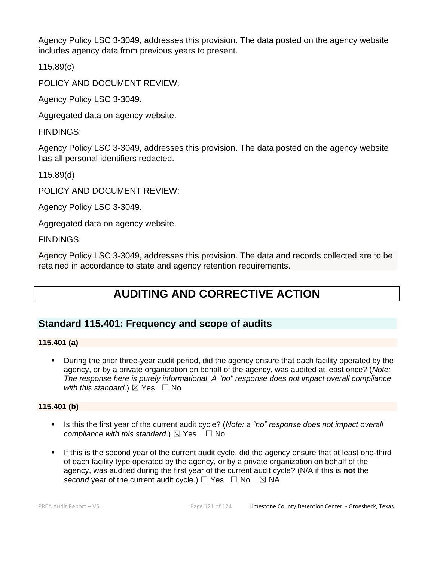Agency Policy LSC 3-3049, addresses this provision. The data posted on the agency website includes agency data from previous years to present.

115.89(c)

POLICY AND DOCUMENT REVIEW:

Agency Policy LSC 3-3049.

Aggregated data on agency website.

FINDINGS:

Agency Policy LSC 3-3049, addresses this provision. The data posted on the agency website has all personal identifiers redacted.

115.89(d)

POLICY AND DOCUMENT REVIEW:

Agency Policy LSC 3-3049.

Aggregated data on agency website.

FINDINGS:

Agency Policy LSC 3-3049, addresses this provision. The data and records collected are to be retained in accordance to state and agency retention requirements.

# **AUDITING AND CORRECTIVE ACTION**

# **Standard 115.401: Frequency and scope of audits**

#### **115.401 (a)**

▪ During the prior three-year audit period, did the agency ensure that each facility operated by the agency, or by a private organization on behalf of the agency, was audited at least once? (*Note: The response here is purely informational. A "no" response does not impact overall compliance with this standard.*)  $\boxtimes$  Yes  $\Box$  No

#### **115.401 (b)**

- Is this the first year of the current audit cycle? (*Note: a "no" response does not impact overall compliance with this standard.*)  $\boxtimes$  Yes  $\Box$  No
- **.** If this is the second year of the current audit cycle, did the agency ensure that at least one-third of each facility type operated by the agency, or by a private organization on behalf of the agency, was audited during the first year of the current audit cycle? (N/A if this is **not** the *second* year of the current audit cycle.)  $\Box$  Yes  $\Box$  No  $\boxtimes$  NA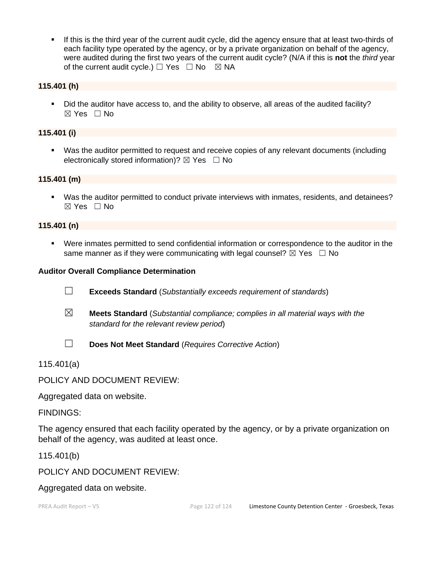▪ If this is the third year of the current audit cycle, did the agency ensure that at least two-thirds of each facility type operated by the agency, or by a private organization on behalf of the agency, were audited during the first two years of the current audit cycle? (N/A if this is **not** the *third* year of the current audit cycle.)  $\Box$  Yes  $\Box$  No  $\boxtimes$  NA

#### **115.401 (h)**

▪ Did the auditor have access to, and the ability to observe, all areas of the audited facility? ☒ Yes ☐ No

#### **115.401 (i)**

▪ Was the auditor permitted to request and receive copies of any relevant documents (including electronically stored information)?  $\boxtimes$  Yes  $\Box$  No

#### **115.401 (m)**

▪ Was the auditor permitted to conduct private interviews with inmates, residents, and detainees?  $\boxtimes$  Yes  $\Box$  No

#### **115.401 (n)**

▪ Were inmates permitted to send confidential information or correspondence to the auditor in the same manner as if they were communicating with legal counsel?  $\boxtimes$  Yes  $\Box$  No

#### **Auditor Overall Compliance Determination**

- ☐ **Exceeds Standard** (*Substantially exceeds requirement of standards*)
- ☒ **Meets Standard** (*Substantial compliance; complies in all material ways with the standard for the relevant review period*)
- 
- ☐ **Does Not Meet Standard** (*Requires Corrective Action*)

115.401(a)

POLICY AND DOCUMENT REVIEW:

Aggregated data on website.

FINDINGS:

The agency ensured that each facility operated by the agency, or by a private organization on behalf of the agency, was audited at least once.

115.401(b)

POLICY AND DOCUMENT REVIEW:

Aggregated data on website.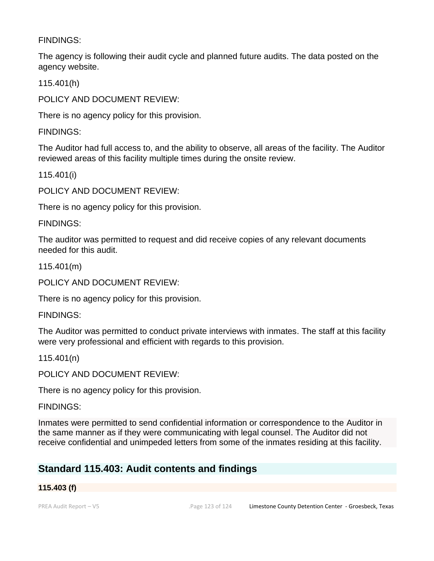### FINDINGS:

The agency is following their audit cycle and planned future audits. The data posted on the agency website.

115.401(h)

POLICY AND DOCUMENT REVIEW:

There is no agency policy for this provision.

FINDINGS:

The Auditor had full access to, and the ability to observe, all areas of the facility. The Auditor reviewed areas of this facility multiple times during the onsite review.

115.401(i)

POLICY AND DOCUMENT REVIEW:

There is no agency policy for this provision.

FINDINGS:

The auditor was permitted to request and did receive copies of any relevant documents needed for this audit.

115.401(m)

POLICY AND DOCUMENT REVIEW:

There is no agency policy for this provision.

FINDINGS:

The Auditor was permitted to conduct private interviews with inmates. The staff at this facility were very professional and efficient with regards to this provision.

115.401(n)

POLICY AND DOCUMENT REVIEW:

There is no agency policy for this provision.

FINDINGS:

Inmates were permitted to send confidential information or correspondence to the Auditor in the same manner as if they were communicating with legal counsel. The Auditor did not receive confidential and unimpeded letters from some of the inmates residing at this facility.

# **Standard 115.403: Audit contents and findings**

#### **115.403 (f)**